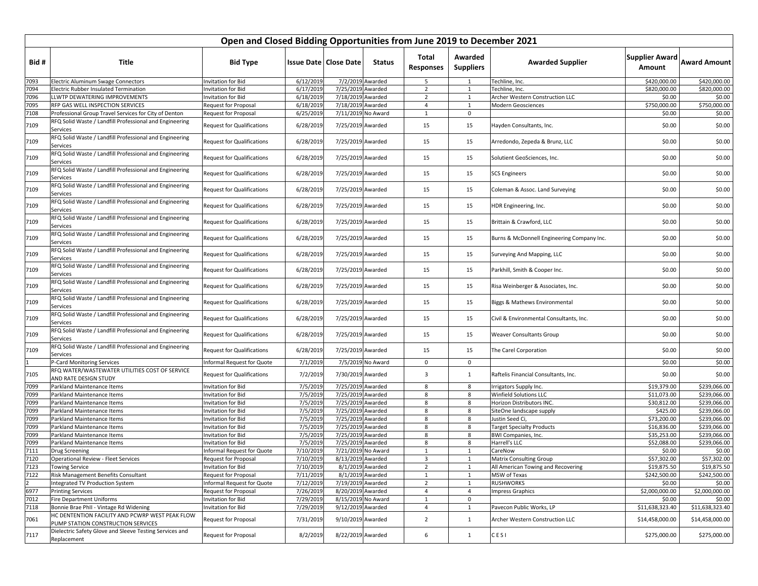|              |                                                                                       | Open and Closed Bidding Opportunities from June 2019 to December 2021 |                      |                                        |                    |                           |                             |                                             |                                 |                              |
|--------------|---------------------------------------------------------------------------------------|-----------------------------------------------------------------------|----------------------|----------------------------------------|--------------------|---------------------------|-----------------------------|---------------------------------------------|---------------------------------|------------------------------|
| Bid #        | Title                                                                                 | <b>Bid Type</b>                                                       |                      | <b>Issue Date   Close Date</b>         | <b>Status</b>      | Total<br><b>Responses</b> | Awarded<br><b>Suppliers</b> | <b>Awarded Supplier</b>                     | <b>Supplier Award</b><br>Amount | <b>Award Amount</b>          |
| 7093         | Electric Aluminum Swage Connectors                                                    | Invitation for Bid                                                    | 6/12/2019            |                                        | 7/2/2019 Awarded   | 5                         | 1                           | Techline, Inc.                              | \$420,000.00                    | \$420,000.00                 |
| 7094         | <b>Electric Rubber Insulated Termination</b>                                          | Invitation for Bid                                                    | 6/17/2019            | 7/25/2019 Awarded                      |                    | $\overline{2}$            | 1                           | Fechline, Inc.                              | \$820,000.00                    | \$820,000.00                 |
| 7096         | LLWTP DEWATERING IMPROVEMENTS                                                         | Invitation for Bid                                                    | 6/18/2019            | 7/18/2019 Awarded                      |                    | $\overline{2}$            | $\mathbf{1}$                | Archer Western Construction LLC             | \$0.00                          | \$0.00                       |
| 7095         | RFP GAS WELL INSPECTION SERVICES                                                      | Request for Proposal                                                  | 6/18/2019            | 7/18/2019 Awarded                      |                    | $\overline{4}$            | $\mathbf{1}$                | Modern Geosciences                          | \$750,000.00                    | \$750,000.00                 |
| 7108         | Professional Group Travel Services for City of Denton                                 | Request for Proposal                                                  | 6/25/2019            | 7/11/2019 No Award                     |                    | $\mathbf{1}$              | $\mathbf 0$                 |                                             | \$0.00                          | \$0.00                       |
| 7109         | RFQ Solid Waste / Landfill Professional and Engineering<br>Services                   | <b>Request for Qualifications</b>                                     | 6/28/2019            | 7/25/2019 Awarded                      |                    | 15                        | 15                          | Hayden Consultants, Inc.                    | \$0.00                          | \$0.00                       |
| 7109         | RFQ Solid Waste / Landfill Professional and Engineering<br>Services                   | <b>Request for Qualifications</b>                                     | 6/28/2019            | 7/25/2019 Awarded                      |                    | 15                        | 15                          | Arredondo, Zepeda & Brunz, LLC              | \$0.00                          | \$0.00                       |
| 7109         | RFQ Solid Waste / Landfill Professional and Engineering<br>Services                   | Request for Qualifications                                            | 6/28/2019            | 7/25/2019 Awarded                      |                    | 15                        | 15                          | Solutient GeoSciences, Inc.                 | \$0.00                          | \$0.00                       |
| 7109         | RFQ Solid Waste / Landfill Professional and Engineering<br>Services                   | <b>Request for Qualifications</b>                                     | 6/28/2019            | 7/25/2019 Awarded                      |                    | 15                        | 15                          | <b>SCS Engineers</b>                        | \$0.00                          | \$0.00                       |
| 7109         | RFQ Solid Waste / Landfill Professional and Engineering<br>Services                   | <b>Request for Qualifications</b>                                     | 6/28/2019            | 7/25/2019 Awarded                      |                    | 15                        | 15                          | Coleman & Assoc. Land Surveying             | \$0.00                          | \$0.00                       |
| 7109         | RFQ Solid Waste / Landfill Professional and Engineering<br>Services                   | <b>Request for Qualifications</b>                                     | 6/28/2019            | 7/25/2019 Awarded                      |                    | 15                        | 15                          | HDR Engineering, Inc.                       | \$0.00                          | \$0.00                       |
| 7109         | RFQ Solid Waste / Landfill Professional and Engineering<br>Services                   | <b>Request for Qualifications</b>                                     | 6/28/2019            | 7/25/2019 Awarded                      |                    | 15                        | 15                          | Brittain & Crawford, LLC                    | \$0.00                          | \$0.00                       |
| 7109         | RFQ Solid Waste / Landfill Professional and Engineering<br>Services                   | <b>Request for Qualifications</b>                                     | 6/28/2019            | 7/25/2019 Awarded                      |                    | 15                        | 15                          | Burns & McDonnell Engineering Company Inc.  | \$0.00                          | \$0.00                       |
| 7109         | RFQ Solid Waste / Landfill Professional and Engineering<br>Services                   | <b>Request for Qualifications</b>                                     | 6/28/2019            | 7/25/2019 Awarded                      |                    | 15                        | 15                          | Surveying And Mapping, LLC                  | \$0.00                          | \$0.00                       |
| 7109         | RFQ Solid Waste / Landfill Professional and Engineering<br>Services                   | <b>Request for Qualifications</b>                                     | 6/28/2019            | 7/25/2019 Awarded                      |                    | 15                        | 15                          | Parkhill, Smith & Cooper Inc.               | \$0.00                          | \$0.00                       |
| 7109         | RFQ Solid Waste / Landfill Professional and Engineering<br>Services                   | <b>Request for Qualifications</b>                                     | 6/28/2019            | 7/25/2019 Awarded                      |                    | 15                        | 15                          | Risa Weinberger & Associates, Inc.          | \$0.00                          | \$0.00                       |
| 7109         | RFQ Solid Waste / Landfill Professional and Engineering<br>Services                   | <b>Request for Qualifications</b>                                     | 6/28/2019            | 7/25/2019 Awarded                      |                    | 15                        | 15                          | Biggs & Mathews Environmental               | \$0.00                          | \$0.00                       |
| 7109         | RFQ Solid Waste / Landfill Professional and Engineering<br>Services                   | <b>Request for Qualifications</b>                                     | 6/28/2019            | 7/25/2019 Awarded                      |                    | 15                        | 15                          | Civil & Environmental Consultants, Inc.     | \$0.00                          | \$0.00                       |
| 7109         | RFQ Solid Waste / Landfill Professional and Engineering<br>Services                   | <b>Request for Qualifications</b>                                     | 6/28/2019            | 7/25/2019 Awarded                      |                    | 15                        | 15                          | Weaver Consultants Group                    | \$0.00                          | \$0.00                       |
| 7109         | RFQ Solid Waste / Landfill Professional and Engineering<br>Services                   | <b>Request for Qualifications</b>                                     | 6/28/2019            | 7/25/2019 Awarded                      |                    | 15                        | 15                          | The Carel Corporation                       | \$0.00                          | \$0.00                       |
|              | P-Card Monitoring Services                                                            | Informal Request for Quote                                            | 7/1/2019             |                                        | 7/5/2019 No Award  | 0                         | $\mathbf 0$                 |                                             | \$0.00                          | \$0.00                       |
| 7105         | RFQ WATER/WASTEWATER UTILITIES COST OF SERVICE<br>AND RATE DESIGN STUDY               | Request for Qualifications                                            | 7/2/2019             | 7/30/2019 Awarded                      |                    | 3                         | $\mathbf{1}$                | Raftelis Financial Consultants, Inc.        | \$0.00                          | \$0.00                       |
| 7099         | Parkland Maintenance Items                                                            | <b>Invitation for Bid</b>                                             | 7/5/201              | 7/25/2019 Awarded                      |                    | 8                         | 8                           | Irrigators Supply Inc.                      | \$19,379.00                     | \$239,066.00                 |
| 7099         | Parkland Maintenance Items                                                            | Invitation for Bid                                                    | 7/5/2019             | 7/25/2019 Awarded                      |                    | 8                         | 8                           | Winfield Solutions LLC                      | \$11,073.00                     | \$239,066.00                 |
| 7099         | Parkland Maintenance Items                                                            | <b>Invitation for Bid</b>                                             | 7/5/2019             | 7/25/2019 Awarded                      |                    | 8                         | 8                           | Horizon Distributors INC.                   | \$30,812.00                     | \$239,066.00                 |
| 7099         | Parkland Maintenance Items                                                            | Invitation for Bid                                                    | 7/5/2019             | 7/25/2019 Awarded                      |                    | 8                         | 8                           | SiteOne landscape supply                    | \$425.00                        | \$239,066.00                 |
| 7099         | Parkland Maintenance Items                                                            | Invitation for Bid                                                    | 7/5/2019             | 7/25/2019 Awarded                      |                    | 8                         | 8                           | Justin Seed Ci,                             | \$73,200.00                     | \$239,066.00                 |
| 7099         | Parkland Maintenance Items                                                            | Invitation for Bid                                                    | 7/5/2019             | 7/25/2019 Awarded<br>7/25/2019 Awarded |                    | 8                         | 8                           | <b>Target Specialty Products</b>            | \$16,836.00                     | \$239,066.00                 |
| 7099<br>7099 | Parkland Maintenance Items<br>Parkland Maintenance Items                              | Invitation for Bid<br><b>Invitation for Bid</b>                       | 7/5/2019<br>7/5/2019 | 7/25/2019 Awarded                      |                    | 8<br>8                    | 8<br>8                      | <b>BWI Companies, Inc.</b><br>Harrell's LLC | \$35,253.00<br>\$52,088.00      | \$239,066.00<br>\$239,066.00 |
| 7111         | <b>Drug Screening</b>                                                                 | Informal Request for Quote                                            | 7/10/2019            |                                        | 7/21/2019 No Award | $\mathbf{1}$              | 1                           | CareNow                                     | \$0.00                          | \$0.00                       |
| 7120         | Operational Review - Fleet Services                                                   | <b>Request for Proposal</b>                                           | 7/10/2019            | 8/13/2019 Awarded                      |                    | 3                         | $\mathbf{1}$                | Matrix Consulting Group                     | \$57,302.00                     | \$57,302.00                  |
| 7123         | <b>Towing Service</b>                                                                 | Invitation for Bid                                                    | 7/10/2019            |                                        | 8/1/2019 Awarded   | $\overline{2}$            | 1                           | All American Towing and Recovering          | \$19,875.50                     | \$19,875.50                  |
| 7122         | Risk Management Benefits Consultant                                                   | Request for Proposal                                                  | 7/11/2019            |                                        | 8/1/2019 Awarded   | $\mathbf{1}$              | $\mathbf{1}$                | MSW of Texas                                | \$242,500.00                    | \$242,500.00                 |
|              | Integrated TV Production System                                                       | Informal Request for Quote                                            | 7/12/2019            | 7/19/2019 Awarded                      |                    | $\overline{2}$            | $\mathbf{1}$                | <b>RUSHWORKS</b>                            | \$0.00                          | \$0.00                       |
| 6977         | <b>Printing Services</b>                                                              | Request for Proposal                                                  | 7/26/2019            | 8/20/2019 Awarded                      |                    | $\overline{4}$            | $\overline{4}$              | <b>Impress Graphics</b>                     | \$2,000,000.00                  | \$2,000,000.00               |
| 7012         | <b>Fire Department Uniforms</b>                                                       | Invitation for Bid                                                    | 7/29/2019            |                                        | 8/15/2019 No Award | $\mathbf{1}$              | $\mathbf 0$                 |                                             | \$0.00                          | \$0.00                       |
| 7118         | Bonnie Brae PhII - Vintage Rd Widening                                                | Invitation for Bid                                                    | 7/29/2019            | 9/12/2019 Awarded                      |                    | $\overline{4}$            | $\mathbf{1}$                | Pavecon Public Works, LP                    | \$11,638,323.40                 | \$11,638,323.40              |
| 7061         | HC DENTENTION FACILITY AND PCWRP WEST PEAK FLOW<br>PUMP STATION CONSTRUCTION SERVICES | Request for Proposal                                                  | 7/31/2019            | 9/10/2019 Awarded                      |                    | $\overline{2}$            | $\mathbf{1}$                | Archer Western Construction LLC             | \$14,458,000.00                 | \$14,458,000.00              |
| 7117         | Dielectric Safety Glove and Sleeve Testing Services and<br>Replacement                | Request for Proposal                                                  | 8/2/2019             | 8/22/2019 Awarded                      |                    | 6                         | $\mathbf{1}$                | CESI                                        | \$275,000.00                    | \$275,000.00                 |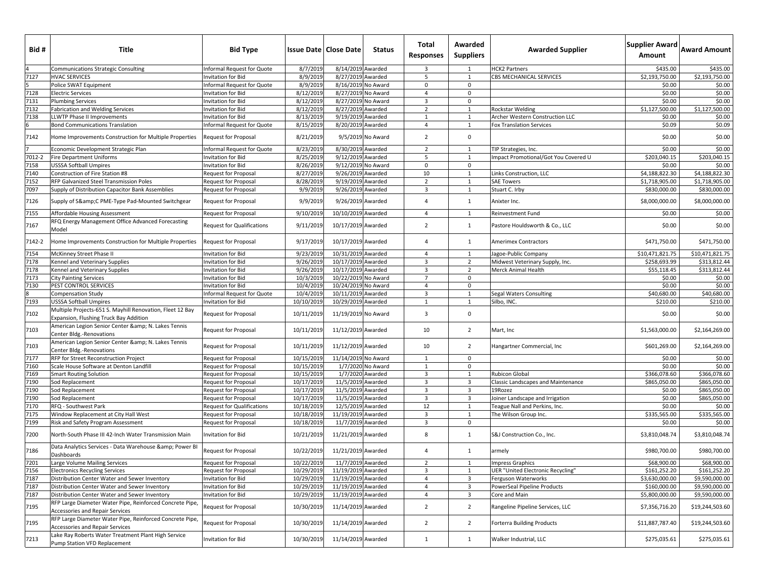| Bid #          | Title                                                                                               | <b>Bid Type</b>                   | <b>Issue Date   Close Date</b> |                     | <b>Status</b>     | Total<br><b>Responses</b> | Awarded<br><b>Suppliers</b> | <b>Awarded Supplier</b>                   | Supplier Award<br>Amount | <b>Award Amount</b> |
|----------------|-----------------------------------------------------------------------------------------------------|-----------------------------------|--------------------------------|---------------------|-------------------|---------------------------|-----------------------------|-------------------------------------------|--------------------------|---------------------|
|                | <b>Communications Strategic Consulting</b>                                                          | Informal Request for Quote        | 8/7/2019                       | 8/14/2019 Awarded   |                   | $\overline{\mathbf{3}}$   | 1                           | <b>HCK2 Partners</b>                      | \$435.00                 | \$435.00            |
| 7127           | <b>HVAC SERVICES</b>                                                                                | <b>Invitation for Bid</b>         | 8/9/2019                       | 8/27/2019 Awarded   |                   | 5                         | 1                           | CBS MECHANICAL SERVICES                   | \$2,193,750.00           | \$2,193,750.00      |
|                | Police SWAT Equipment                                                                               | Informal Request for Quote        | 8/9/2019                       | 8/16/2019 No Award  |                   | $\mathbf 0$               | $\mathbf 0$                 |                                           | \$0.00                   | \$0.00              |
| 7128           | <b>Electric Services</b>                                                                            | Invitation for Bid                | 8/12/2019                      | 8/27/2019 No Award  |                   | $\overline{4}$            | $\mathbf 0$                 |                                           | \$0.00                   | \$0.00              |
| 7131           | <b>Plumbing Services</b>                                                                            | Invitation for Bid                | 8/12/2019                      | 8/27/2019 No Award  |                   | $\overline{3}$            | $\mathbf 0$                 |                                           | \$0.00                   | \$0.00              |
| 7132           | Fabrication and Welding Services                                                                    | Invitation for Bid                | 8/12/2019                      | 8/27/2019 Awarded   |                   | $\overline{2}$            | $\mathbf{1}$                | Rockstar Welding                          | \$1,127,500.00           | \$1,127,500.00      |
| 7138           | <b>LLWTP Phase II Improvements</b>                                                                  | <b>Invitation for Bid</b>         | 8/13/2019                      | 9/19/2019 Awarded   |                   | $\mathbf{1}$              | 1                           | Archer Western Construction LLC           | \$0.00                   | \$0.00              |
| 6              | <b>Bond Communications Translation</b>                                                              | Informal Request for Quote        | 8/15/2019                      | 8/20/2019 Awarded   |                   | $\overline{4}$            | 1                           | Fox Translation Services                  | \$0.09                   | \$0.09              |
| 7142           | Home Improvements Construction for Multiple Properties                                              | <b>Request for Proposal</b>       | 8/21/2019                      |                     | 9/5/2019 No Award | $\overline{2}$            | $\mathbf 0$                 |                                           | \$0.00                   | \$0.00              |
| $\overline{7}$ | Economic Development Strategic Plan                                                                 | Informal Request for Quote        | 8/23/2019                      | 8/30/2019 Awarded   |                   | $\overline{2}$            | 1                           | TIP Strategies, Inc.                      | \$0.00                   | \$0.00              |
| $7012 - 2$     | <b>Fire Department Uniforms</b>                                                                     | Invitation for Bid                | 8/25/2019                      | 9/12/2019 Awarded   |                   | 5                         | $\mathbf{1}$                | mpact Promotional/Got You Covered U       | \$203,040.15             | \$203,040.15        |
| 7158           | <b>USSSA Softball Umpires</b>                                                                       | <b>Invitation for Bid</b>         | 8/26/2019                      | 9/12/2019 No Award  |                   | $\mathbf 0$               | $\mathbf{0}$                |                                           | \$0.00                   | \$0.00              |
| 7140           | Construction of Fire Station #8                                                                     | <b>Request for Proposal</b>       | 8/27/2019                      | 9/26/2019 Awarded   |                   | 10                        | 1                           | Links Construction, LLC                   | \$4,188,822.30           | \$4,188,822.30      |
| 7152           | RFP Galvanized Steel Transmission Poles                                                             | <b>Request for Proposal</b>       | 8/28/2019                      | 9/19/2019 Awarded   |                   | $\overline{2}$            | $\mathbf{1}$                | <b>SAE Towers</b>                         | \$1,718,905.00           | \$1,718,905.00      |
| 7097           | Supply of Distribution Capacitor Bank Assemblies                                                    | <b>Request for Proposal</b>       | 9/9/2019                       | 9/26/2019 Awarded   |                   | $\overline{3}$            | 1                           | Stuart C. Irby                            | \$830,000.00             | \$830,000.00        |
| 7126           | Supply of S&C PME-Type Pad-Mounted Switchgear                                                       | Request for Proposal              | 9/9/2019                       | 9/26/2019 Awarded   |                   | $\overline{4}$            | $\mathbf{1}$                | Anixter Inc.                              | \$8,000,000.00           | \$8,000,000.00      |
| 7155           | Affordable Housing Assessment                                                                       | Request for Proposal              | 9/10/201                       | 10/10/2019 Awarded  |                   | $\overline{4}$            | 1                           | Reinvestment Fund                         | \$0.00                   | \$0.00              |
| 7167           | RFQ Energy Management Office Advanced Forecasting<br>Model                                          | <b>Request for Qualifications</b> | 9/11/2019                      | 10/17/2019 Awarded  |                   | $\overline{2}$            | 1                           | Pastore Houldsworth & Co., LLC            | \$0.00                   | \$0.00              |
| 7142-2         | Home Improvements Construction for Multiple Properties                                              | Request for Proposal              | 9/17/2019                      | 10/17/2019 Awarded  |                   | $\overline{4}$            | $\mathbf{1}$                | <b>Amerimex Contractors</b>               | \$471,750.00             | \$471,750.00        |
| 7154           | McKinney Street Phase II                                                                            | Invitation for Bid                | 9/23/201                       | 10/31/2019 Awarded  |                   | $\overline{4}$            | 1                           | Jagoe-Public Company                      | \$10,471,821.75          | \$10,471,821.75     |
| 7178           | Kennel and Veterinary Supplies                                                                      | Invitation for Bid                | 9/26/2019                      | 10/17/2019 Awarded  |                   | $\overline{3}$            | $\overline{2}$              | Midwest Veterinary Supply, Inc.           | \$258,693.99             | \$313,812.44        |
| 7178           | Kennel and Veterinary Supplies                                                                      | Invitation for Bid                | 9/26/2019                      | 10/17/2019 Awarded  |                   | $\overline{\mathbf{3}}$   | $\overline{2}$              | Merck Animal Health                       | \$55,118.45              | \$313,812.44        |
| 7173           | <b>City Painting Services</b>                                                                       | <b>Invitation for Bid</b>         | 10/3/2019                      | 10/22/2019 No Award |                   | $\overline{7}$            | $\mathbf 0$                 |                                           | \$0.00                   | \$0.00              |
| 7130           | PEST CONTROL SERVICES                                                                               | <b>Invitation for Bid</b>         | 10/4/2019                      | 10/24/2019 No Award |                   | $\overline{4}$            | $\mathbf 0$                 |                                           | \$0.00                   | \$0.00              |
| 8              | <b>Compensation Study</b>                                                                           | Informal Request for Quote        | 10/4/2019                      | 10/11/2019 Awarded  |                   | $\overline{3}$            | 1                           | Segal Waters Consulting                   | \$40,680.00              | \$40,680.00         |
| 7193           | <b>USSSA Softball Umpires</b>                                                                       | Invitation for Bid                | 10/10/2019                     | 10/29/2019 Awarded  |                   | 1                         | $\mathbf{1}$                | Silbo, INC.                               | \$210.00                 | \$210.00            |
| 7102           | Multiple Projects-651 S. Mayhill Renovation, Fleet 12 Bay<br>Expansion, Flushing Truck Bay Addition | <b>Request for Proposal</b>       | 10/11/2019                     | 11/19/2019 No Award |                   | $\overline{\mathbf{3}}$   | $\mathbf 0$                 |                                           | \$0.00                   | \$0.00              |
| 7103           | American Legion Senior Center & N. Lakes Tennis<br>Center Bldg.-Renovations                         | Request for Proposal              | 10/11/2019                     | 11/12/2019 Awarded  |                   | 10                        | $\overline{2}$              | Mart, Inc                                 | \$1,563,000.00           | \$2,164,269.00      |
| 7103           | American Legion Senior Center & N. Lakes Tennis<br>Center Bldg.-Renovations                         | Request for Proposal              | 10/11/2019                     | 11/12/2019 Awarded  |                   | 10                        | $\overline{2}$              | Hangartner Commercial, Inc                | \$601,269.00             | \$2,164,269.00      |
| 7177           | RFP for Street Reconstruction Project                                                               | <b>Request for Proposal</b>       | 10/15/2019                     | 11/14/2019 No Award |                   | 1                         | 0                           |                                           | \$0.00                   | \$0.00              |
| 7160           | Scale House Software at Denton Landfill                                                             | <b>Request for Proposal</b>       | 10/15/2019                     |                     | 1/7/2020 No Award | $\mathbf{1}$              | 0                           |                                           | \$0.00                   | \$0.00              |
| 7169           | <b>Smart Routing Solution</b>                                                                       | <b>Request for Proposal</b>       | 10/15/2019                     | 1/7/2020 Awarded    |                   | $\overline{\mathbf{3}}$   | 1                           | Rubicon Global                            | \$366,078.60             | \$366,078.60        |
| 7190           | Sod Replacement                                                                                     | Request for Proposal              | 10/17/2019                     | 11/5/2019 Awarded   |                   | $\overline{\mathbf{3}}$   | $\overline{3}$              | <b>Classic Landscapes and Maintenance</b> | \$865,050.00             | \$865,050.00        |
| 7190           | Sod Replacement                                                                                     | <b>Request for Proposal</b>       | 10/17/2019                     | 11/5/2019 Awarded   |                   | $\overline{3}$            | $\overline{3}$              | 19Rozez                                   | \$0.00                   | \$865,050.00        |
| 7190           | Sod Replacement                                                                                     | <b>Request for Proposal</b>       | 10/17/2019                     | 11/5/2019 Awarded   |                   | $\overline{3}$            | 3                           | Joiner Landscape and Irrigation           | \$0.00                   | \$865,050.00        |
| 7170           | RFQ - Southwest Park                                                                                | <b>Request for Qualifications</b> | 10/18/2019                     | 12/5/2019 Awarded   |                   | 12                        | 1                           | Teague Nall and Perkins, Inc.             | \$0.00                   | \$0.00              |
| 7175           | Window Replacement at City Hall West                                                                | <b>Request for Proposal</b>       | 10/18/2019                     | 11/19/2019 Awarded  |                   | $\overline{\mathbf{3}}$   | 1                           | The Wilson Group Inc.                     | \$335,565.00             | \$335,565.00        |
| 7199           | Risk and Safety Program Assessment                                                                  | <b>Request for Proposal</b>       | 10/18/2019                     | 11/7/2019 Awarded   |                   | $\overline{3}$            | $\mathbf 0$                 |                                           | \$0.00                   | \$0.00              |
| 7200           | North-South Phase III 42-Inch Water Transmission Main                                               | <b>Invitation for Bid</b>         | 10/21/2019                     | 11/21/2019 Awarded  |                   | 8                         | 1                           | S&J Construction Co., Inc.                | \$3,810,048.74           | \$3,810,048.74      |
| 7186           | Data Analytics Services - Data Warehouse & Power Bl<br>Dashboards                                   | Request for Proposal              | 10/22/2019                     | 11/21/2019 Awarded  |                   | $\overline{4}$            | $\mathbf{1}$                | armely                                    | \$980,700.00             | \$980,700.00        |
| 7201           | Large Volume Mailing Services                                                                       | Request for Proposal              | 10/22/2019                     | 11/7/2019 Awarded   |                   | 2                         | 1                           | <b>Impress Graphics</b>                   | \$68,900.00              | \$68,900.00         |
| 7156           | <b>Electronics Recycling Services</b>                                                               | Request for Proposal              | 10/29/2019                     | 11/19/2019 Awarded  |                   | $\overline{3}$            | 1                           | <b>UER "United Electronic Recycling"</b>  | \$161,252.20             | \$161,252.20        |
| 7187           | Distribution Center Water and Sewer Inventory                                                       | Invitation for Bid                | 10/29/2019                     | 11/19/2019 Awarded  |                   | $\overline{4}$            | 3                           | Ferguson Waterworks                       | \$3,630,000.00           | \$9,590,000.00      |
| 7187           | Distribution Center Water and Sewer Inventory                                                       | Invitation for Bid                | 10/29/2019                     | 11/19/2019 Awarded  |                   | $\overline{4}$            | 3                           | PowerSeal Pipeline Products               | \$160,000.00             | \$9,590,000.00      |
| 7187           | Distribution Center Water and Sewer Inventory                                                       | Invitation for Bid                | 10/29/2019                     | 11/19/2019 Awarded  |                   | $\overline{4}$            | $\overline{3}$              | Core and Main                             | \$5,800,000.00           | \$9,590,000.00      |
| 7195           | RFP Large Diameter Water Pipe, Reinforced Concrete Pipe,<br>Accessories and Repair Services         | Request for Proposal              | 10/30/2019                     | 11/14/2019 Awarded  |                   | $\overline{2}$            | $\overline{2}$              | Rangeline Pipeline Services, LLC          | \$7,356,716.20           | \$19,244,503.60     |
| 7195           | RFP Large Diameter Water Pipe, Reinforced Concrete Pipe,<br>Accessories and Repair Services         | Request for Proposal              | 10/30/2019                     | 11/14/2019 Awarded  |                   | $\overline{2}$            | $\overline{2}$              | Forterra Building Products                | \$11,887,787.40          | \$19,244,503.60     |
| 7213           | Lake Ray Roberts Water Treatment Plant High Service<br>Pump Station VFD Replacement                 | Invitation for Bid                | 10/30/2019                     | 11/14/2019 Awarded  |                   | $\mathbf{1}$              | $\mathbf{1}$                | Walker Industrial, LLC                    | \$275,035.61             | \$275,035.61        |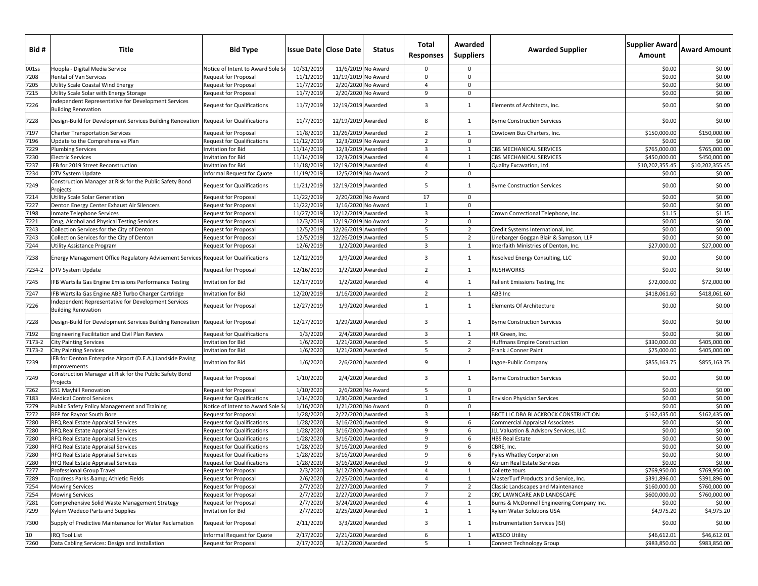| Bid#   | Title                                                                              | <b>Bid Type</b>                   |            | <b>Issue Date   Close Date</b> | Status            | Total<br>Responses | Awarded<br><b>Suppliers</b> | <b>Awarded Supplier</b>                    | Supplier Award Award Amount<br>Amount |                 |
|--------|------------------------------------------------------------------------------------|-----------------------------------|------------|--------------------------------|-------------------|--------------------|-----------------------------|--------------------------------------------|---------------------------------------|-----------------|
| 001ss  | Hoopla - Digital Media Service                                                     | Notice of Intent to Award Sole S  | 10/31/2019 | 11/6/2019 No Award             |                   | $\mathbf 0$        | 0                           |                                            | \$0.00                                | \$0.00          |
| 7208   | Rental of Van Services                                                             | Request for Proposal              | 11/1/2019  | 11/19/2019 No Award            |                   | 0                  | $\mathbf 0$                 |                                            | \$0.00                                | \$0.00          |
| 7205   | Utility Scale Coastal Wind Energy                                                  | Request for Proposal              | 11/7/2019  | 2/20/2020 No Award             |                   | $\overline{4}$     | $\mathbf 0$                 |                                            | \$0.00                                | \$0.00          |
| 7215   | Utility Scale Solar with Energy Storage                                            | Request for Proposal              | 11/7/2019  | 2/20/2020 No Award             |                   | 9                  | $\mathbf 0$                 |                                            | \$0.00                                | \$0.00          |
| 7226   | Independent Representative for Development Services<br><b>Building Renovation</b>  | <b>Request for Qualifications</b> | 11/7/2019  | 12/19/2019 Awarded             |                   | 3                  | 1                           | Elements of Architects, Inc.               | \$0.00                                | \$0.00          |
| 7228   | Design-Build for Development Services Building Renovation                          | <b>Request for Qualifications</b> | 11/7/2019  | 12/19/2019 Awarded             |                   | 8                  | 1                           | <b>Byrne Construction Services</b>         | \$0.00                                | \$0.00          |
| 7197   | Charter Transportation Services                                                    | Request for Proposal              | 11/8/2019  | 11/26/2019 Awarded             |                   | $\overline{2}$     | 1                           | Cowtown Bus Charters, Inc.                 | \$150,000.00                          | \$150,000.00    |
| 7196   | Update to the Comprehensive Plan                                                   | <b>Request for Qualifications</b> | 11/12/2019 | 12/3/2019 No Award             |                   | $\overline{2}$     | $\mathbf 0$                 |                                            | \$0.00                                | \$0.00          |
| 7229   | <b>Plumbing Services</b>                                                           | Invitation for Bid                | 11/14/2019 | 12/3/2019 Awarded              |                   | 3                  | 1                           | CBS MECHANICAL SERVICES                    | \$765,000.00                          | \$765,000.00    |
| 7230   | <b>Electric Services</b>                                                           | Invitation for Bid                | 11/14/2019 | 12/3/2019 Awarded              |                   | $\overline{4}$     | $\mathbf{1}$                | CBS MECHANICAL SERVICES                    | \$450,000.00                          | \$450,000.00    |
| 7237   | IFB for 2019 Street Reconstruction                                                 | Invitation for Bid                | 11/18/2019 | 12/19/2019 Awarded             |                   | $\overline{4}$     | 1                           | Quality Excavation, Ltd.                   | \$10,202,355.45                       | \$10,202,355.45 |
| 7234   | DTV System Update                                                                  | Informal Request for Quote        | 11/19/2019 | 12/5/2019 No Award             |                   | $\overline{2}$     | $\mathbf 0$                 |                                            | \$0.00                                | \$0.00          |
| 7249   | Construction Manager at Risk for the Public Safety Bond<br>Projects                | <b>Request for Qualifications</b> | 11/21/2019 | 12/19/2019 Awarded             |                   | 5                  | 1                           | <b>Byrne Construction Services</b>         | \$0.00                                | \$0.00          |
| 7214   | Utility Scale Solar Generation                                                     | Request for Proposal              | 11/22/2019 | 2/20/2020 No Award             |                   | 17                 | $\mathbf 0$                 |                                            | \$0.00                                | \$0.00          |
| 7227   | Denton Energy Center Exhaust Air Silencers                                         | <b>Request for Proposal</b>       | 11/22/2019 | 1/16/2020 No Award             |                   | 1                  | $\mathbf 0$                 |                                            | \$0.00                                | \$0.00          |
| 7198   | Inmate Telephone Services                                                          | Request for Proposal              | 11/27/2019 | 12/12/2019 Awarded             |                   | $\overline{3}$     | 1                           | Crown Correctional Telephone, Inc.         | \$1.15                                | \$1.15          |
| 7221   | Drug, Alcohol and Physical Testing Services                                        | Request for Proposal              | 12/3/2019  | 12/19/2019 No Award            |                   | $\overline{2}$     | $\mathbf 0$                 |                                            | \$0.00                                | \$0.00          |
| 7243   | Collection Services for the City of Denton                                         | Request for Proposal              | 12/5/2019  | 12/26/2019 Awarded             |                   | 5                  | $\overline{2}$              | Credit Systems International, Inc.         | \$0.00                                | \$0.00          |
| 7243   | Collection Services for the City of Denton                                         | Request for Proposal              | 12/5/2019  | 12/26/2019 Awarded             |                   | 5                  | $\overline{2}$              | Linebarger Goggan Blair & Sampson, LLP     | \$0.00                                | \$0.00          |
| 7244   | Utility Assistance Program                                                         | Request for Proposal              | 12/6/2019  |                                | 1/2/2020 Awarded  | $\overline{3}$     | 1                           | Interfaith Ministries of Denton, Inc.      | \$27,000.00                           | \$27,000.00     |
| 7238   | Energy Management Office Regulatory Advisement Services Request for Qualifications |                                   | 12/12/2019 |                                | 1/9/2020 Awarded  | 3                  | $\mathbf{1}$                | Resolved Energy Consulting, LLC            | \$0.00                                | \$0.00          |
| 7234-2 | DTV System Update                                                                  | <b>Request for Proposal</b>       | 12/16/2019 |                                | 1/2/2020 Awarded  | $\overline{2}$     | 1                           | <b>RUSHWORKS</b>                           | \$0.00                                | \$0.00          |
| 7245   | IFB Wartsila Gas Engine Emissions Performance Testing                              | <b>Invitation for Bid</b>         | 12/17/2019 |                                | 1/2/2020 Awarded  | $\overline{4}$     | $\mathbf{1}$                | Relient Emissions Testing, Inc             | \$72,000.00                           | \$72,000.00     |
| 7247   | IFB Wartsila Gas Engine ABB Turbo Charger Cartridge                                | Invitation for Bid                | 12/20/2019 | 1/16/2020 Awarded              |                   | $\overline{2}$     | 1                           | ABB Inc                                    | \$418,061.60                          | \$418,061.60    |
| 7226   | Independent Representative for Development Services<br><b>Building Renovation</b>  | Request for Proposal              | 12/27/2019 |                                | 1/9/2020 Awarded  | 1                  | 1                           | Elements Of Architecture                   | \$0.00                                | \$0.00          |
| 7228   | Design-Build for Development Services Building Renovation                          | <b>Request for Proposal</b>       | 12/27/2019 | 1/29/2020 Awarded              |                   | 3                  | 1                           | <b>Byrne Construction Services</b>         | \$0.00                                | \$0.00          |
| 7192   | Engineering Facilitation and Civil Plan Review                                     | <b>Request for Qualifications</b> | 1/3/2020   |                                | 2/4/2020 Awarded  | $\overline{3}$     | 1                           | HR Green, Inc.                             | \$0.00                                | \$0.00          |
| 7173-2 | <b>City Painting Services</b>                                                      | Invitation for Bid                | 1/6/2020   | 1/21/2020 Awarded              |                   | 5                  | $\overline{2}$              | <b>Huffmans Empire Construction</b>        | \$330,000.00                          | \$405,000.00    |
| 7173-2 | <b>City Painting Services</b>                                                      | Invitation for Bid                | 1/6/2020   | 1/21/2020 Awarded              |                   | 5                  | $\overline{2}$              | Frank J Conner Paint                       | \$75,000.00                           | \$405,000.00    |
| 7239   | IFB for Denton Enterprise Airport (D.E.A.) Landside Paving<br>Improvements         | nvitation for Bid                 | 1/6/2020   |                                | 2/6/2020 Awarded  | 9                  | 1                           | Jagoe-Public Company                       | \$855,163.75                          | \$855,163.75    |
| 7249   | Construction Manager at Risk for the Public Safety Bond<br>Projects                | Request for Proposal              | 1/10/2020  |                                | 2/4/2020 Awarded  | 3                  | $\mathbf{1}$                | <b>Byrne Construction Services</b>         | \$0.00                                | \$0.00          |
| 7262   | 651 Mayhill Renovation                                                             | Request for Proposal              | 1/10/2020  |                                | 2/6/2020 No Award | 5                  | $\mathbf 0$                 |                                            | \$0.00                                | \$0.00          |
| 7183   | <b>Medical Control Services</b>                                                    | <b>Request for Qualifications</b> | 1/14/2020  | 1/30/2020 Awarded              |                   | $\mathbf{1}$       | $\mathbf{1}$                | <b>Envision Physician Services</b>         | \$0.00                                | \$0.00          |
| 7279   | Public Safety Policy Management and Training                                       | Notice of Intent to Award Sole S  | 1/16/2020  | 1/21/2020 No Award             |                   | $\mathbf 0$        | $\mathbf 0$                 |                                            | \$0.00                                | \$0.00          |
| 7272   | RFP for Rayzor South Bore                                                          | <b>Request for Proposal</b>       | 1/28/2020  | 2/27/2020 Awarded              |                   | $\overline{3}$     | 1                           | BRCT LLC DBA BLACKROCK CONSTRUCTION        | \$162,435.00                          | \$162,435.00    |
| 7280   | RFQ Real Estate Appraisal Services                                                 | <b>Request for Qualifications</b> | 1/28/2020  | 3/16/2020 Awarded              |                   | 9                  | 6                           | <b>Commercial Appraisal Associates</b>     | \$0.00                                | \$0.00          |
| 7280   | RFQ Real Estate Appraisal Services                                                 | <b>Request for Qualifications</b> | 1/28/2020  | 3/16/2020 Awarded              |                   | 9                  | 6                           | JLL Valuation & Advisory Services, LLC     | \$0.00                                | \$0.00          |
| 7280   | RFQ Real Estate Appraisal Services                                                 | <b>Request for Qualifications</b> | 1/28/2020  | 3/16/2020 Awarded              |                   | 9                  | 6                           | <b>HBS Real Estate</b>                     | \$0.00                                | \$0.00          |
| 7280   | RFQ Real Estate Appraisal Services                                                 | <b>Request for Qualifications</b> | 1/28/202   | 3/16/2020 Awarded              |                   | 9                  | 6                           | CBRE, Inc.                                 | \$0.00                                | \$0.00          |
| 7280   | RFQ Real Estate Appraisal Services                                                 | <b>Request for Qualifications</b> | 1/28/2020  | 3/16/2020 Awarded              |                   | 9                  | 6                           | Pyles Whatley Corporation                  | \$0.00                                | \$0.00          |
| 7280   | RFQ Real Estate Appraisal Services                                                 | <b>Request for Qualifications</b> | 1/28/2020  | 3/16/2020 Awarded              |                   | 9                  | 6                           | <b>Atrium Real Estate Services</b>         | \$0.00                                | \$0.00          |
| 7277   | Professional Group Travel                                                          | <b>Request for Proposal</b>       | 2/3/2020   | 3/12/2020 Awarded              |                   | 4                  | 1                           | Collette tours                             | \$769,950.00                          | \$769,950.00    |
| 7289   | Topdress Parks & Athletic Fields                                                   | <b>Request for Proposal</b>       | 2/6/2020   | 2/25/2020 Awarded              |                   | $\overline{4}$     | $\mathbf{1}$                | MasterTurf Products and Service, Inc.      | \$391,896.00                          | \$391,896.00    |
| 7254   | <b>Mowing Services</b>                                                             | <b>Request for Proposal</b>       | 2/7/2020   | 2/27/2020 Awarded              |                   | $7\overline{ }$    | $\overline{2}$              | <b>Classic Landscapes and Maintenance</b>  | \$160,000.00                          | \$760,000.00    |
| 7254   | <b>Mowing Services</b>                                                             | <b>Request for Proposal</b>       | 2/7/2020   | 2/27/2020 Awarded              |                   | 7                  | $\overline{2}$              | CRC LAWNCARE AND LANDSCAPE                 | \$600,000.00                          | \$760,000.00    |
| 7281   | Comprehensive Solid Waste Management Strategy                                      | Request for Proposal              | 2/7/2020   | 3/24/2020 Awarded              |                   | 4                  | 1                           | Burns & McDonnell Engineering Company Inc. | \$0.00                                | \$0.00          |
| 7299   | Xylem Wedeco Parts and Supplies                                                    | Invitation for Bid                | 2/7/2020   | 2/25/2020 Awarded              |                   | $\mathbf{1}$       | 1                           | Xylem Water Solutions USA                  | \$4,975.20                            | \$4,975.20      |
| 7300   | Supply of Predictive Maintenance for Water Reclamation                             | <b>Request for Proposal</b>       | 2/11/2020  |                                | 3/3/2020 Awarded  | 3                  | 1                           | Instrumentation Services (ISI)             | \$0.00                                | \$0.00          |
| 10     | <b>IRQ Tool List</b>                                                               | Informal Request for Quote        | 2/17/2020  | 2/21/2020 Awarded              |                   | 6                  | 1                           | <b>WESCO Utility</b>                       | \$46,612.01                           | \$46,612.01     |
| 7260   | Data Cabling Services: Design and Installation                                     | <b>Request for Proposal</b>       | 2/17/2020  | 3/12/2020 Awarded              |                   | 5                  | $\mathbf{1}$                | Connect Technology Group                   | \$983,850.00                          | \$983,850.00    |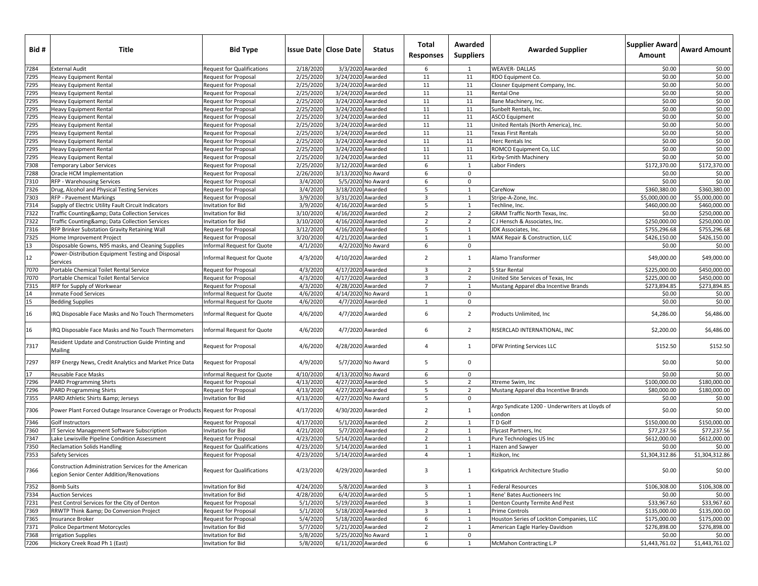| Bid # | Title                                                                                              | <b>Bid Type</b>                   |           | <b>Issue Date   Close Date</b> | <b>Status</b>      | Total<br><b>Responses</b> | Awarded<br><b>Suppliers</b> | <b>Awarded Supplier</b>                                   | Supplier Award<br>Amount | <b>Award Amount</b> |
|-------|----------------------------------------------------------------------------------------------------|-----------------------------------|-----------|--------------------------------|--------------------|---------------------------|-----------------------------|-----------------------------------------------------------|--------------------------|---------------------|
| 7284  | <b>External Audit</b>                                                                              | <b>Request for Qualifications</b> | 2/18/2020 |                                | 3/3/2020 Awarded   | 6                         | 1                           | <b>WEAVER-DALLAS</b>                                      | \$0.00                   | \$0.00              |
| 7295  | <b>Heavy Equipment Rental</b>                                                                      | Request for Proposal              | 2/25/2020 | 3/24/2020 Awarded              |                    | 11                        | 11                          | RDO Equipment Co.                                         | \$0.00                   | \$0.00              |
| 7295  | Heavy Equipment Rental                                                                             | Request for Proposal              | 2/25/2020 | 3/24/2020 Awarded              |                    | 11                        | 11                          | Closner Equipment Company, Inc.                           | \$0.00                   | \$0.00              |
| 7295  | <b>Heavy Equipment Rental</b>                                                                      | Request for Proposal              | 2/25/2020 | 3/24/2020 Awarded              |                    | 11                        | 11                          | Rental One                                                | \$0.00                   | \$0.00              |
| 7295  | Heavy Equipment Rental                                                                             | Request for Proposal              | 2/25/2020 | 3/24/2020 Awarded              |                    | 11                        | 11                          | Bane Machinery, Inc.                                      | \$0.00                   | \$0.00              |
| 7295  | <b>Heavy Equipment Rental</b>                                                                      | Request for Proposal              | 2/25/2020 | 3/24/2020 Awarded              |                    | 11                        | 11                          | Sunbelt Rentals, Inc.                                     | \$0.00                   | \$0.00              |
| 7295  | <b>Heavy Equipment Rental</b>                                                                      | Request for Proposal              | 2/25/2020 | 3/24/2020 Awarded              |                    | 11                        | 11                          | <b>ASCO Equipment</b>                                     | \$0.00                   | \$0.00              |
| 7295  | Heavy Equipment Rental                                                                             | Request for Proposal              | 2/25/2020 | 3/24/2020 Awarded              |                    | 11                        | 11                          | United Rentals (North America), Inc.                      | \$0.00                   | \$0.00              |
| 7295  | Heavy Equipment Rental                                                                             | Request for Proposal              | 2/25/2020 | 3/24/2020 Awarded              |                    | 11                        | 11                          | Texas First Rentals                                       | \$0.00                   | \$0.00              |
| 7295  | <b>Heavy Equipment Rental</b>                                                                      | Request for Proposal              | 2/25/2020 | 3/24/2020 Awarded              |                    | 11                        | 11                          | Herc Rentals Inc                                          | \$0.00                   | \$0.00              |
| 7295  | <b>Heavy Equipment Rental</b>                                                                      | Request for Proposal              | 2/25/2020 | 3/24/2020 Awarded              |                    | 11                        | 11                          | ROMCO Equipment Co, LLC                                   | \$0.00                   | \$0.00              |
| 7295  | <b>Heavy Equipment Rental</b>                                                                      | Request for Proposal              | 2/25/2020 | 3/24/2020 Awarded              |                    | 11                        | 11                          | Kirby-Smith Machinery                                     | \$0.00                   | \$0.00              |
| 7308  | <b>Temporary Labor Services</b>                                                                    | Request for Proposal              | 2/25/2020 | 3/12/2020 Awarded              |                    | 6                         | $\mathbf{1}$                | abor Finders                                              | \$172.370.00             | \$172,370.00        |
| 7288  | Oracle HCM Implementation                                                                          | Request for Proposal              | 2/26/2020 |                                | 3/13/2020 No Award | 6                         | $\mathbf 0$                 |                                                           | \$0.00                   | \$0.00              |
| 7310  | RFP - Warehousing Services                                                                         | Request for Proposal              | 3/4/2020  |                                | 5/5/2020 No Award  | 6                         | $\mathbf 0$                 |                                                           | \$0.00                   | \$0.00              |
| 7326  | Drug, Alcohol and Physical Testing Services                                                        | Request for Proposal              | 3/4/2020  | 3/18/2020 Awarded              |                    | 5                         | $\mathbf{1}$                | CareNow                                                   | \$360,380.00             | \$360,380.00        |
| 7303  | <b>RFP - Pavement Markings</b>                                                                     | Request for Proposal              | 3/9/2020  | 3/31/2020 Awarded              |                    | $\overline{3}$            | $\mathbf{1}$                | Stripe-A-Zone, Inc.                                       | \$5,000,000.00           | \$5,000,000.00      |
| 7314  | Supply of Electric Utility Fault Circuit Indicators                                                | nvitation for Bid                 | 3/9/2020  | 4/16/2020 Awarded              |                    | 5                         | $\mathbf{1}$                | Techline, Inc.                                            | \$460,000.00             | \$460,000.00        |
| 7322  | Traffic Counting& Data Collection Services                                                         | nvitation for Bid                 | 3/10/2020 | 4/16/2020 Awarded              |                    | $\overline{2}$            | $\overline{2}$              | GRAM Traffic North Texas, Inc.                            | \$0.00                   | \$250,000.00        |
| 7322  | Traffic Counting& Data Collection Services                                                         | nvitation for Bid                 | 3/10/2020 | 4/16/2020 Awarded              |                    | $\overline{2}$            | $\overline{2}$              | CJ Hensch & Associates, Inc.                              | \$250,000.00             | \$250,000.00        |
| 7316  | RFP Brinker Substation Gravity Retaining Wall                                                      | Request for Proposal              | 3/12/2020 | 4/16/2020 Awarded              |                    | 5                         | $\mathbf{1}$                | JDK Associates, Inc.                                      | \$755,296.68             | \$755,296.68        |
| 7325  | Home Improvement Project                                                                           | Request for Proposal              | 3/20/2020 | 4/21/2020 Awarded              |                    | $\mathbf{1}$              | $\mathbf{1}$                | MAK Repair & Construction, LLC                            | \$426.150.00             | \$426,150.00        |
| 13    | Disposable Gowns, N95 masks, and Cleaning Supplies                                                 | nformal Request for Quote         | 4/1/2020  |                                | 4/2/2020 No Award  | 6                         | 0                           |                                                           | \$0.00                   | \$0.00              |
| 12    | Power-Distribution Equipment Testing and Disposal<br>Services                                      | nformal Request for Quote         | 4/3/2020  | 4/10/2020 Awarded              |                    | $\overline{2}$            | 1                           | Alamo Transformer                                         | \$49,000.00              | \$49,000.00         |
| 7070  | Portable Chemical Toilet Rental Service                                                            | Request for Proposal              | 4/3/2020  | 4/17/2020 Awarded              |                    | $\overline{3}$            | $\overline{2}$              | 5 Star Rental                                             | \$225,000.00             | \$450,000.00        |
| 7070  | Portable Chemical Toilet Rental Service                                                            | Request for Proposal              | 4/3/2020  | 4/17/2020 Awarded              |                    | $\overline{3}$            | $\overline{2}$              | United Site Services of Texas, Inc                        | \$225,000.00             | \$450,000.00        |
| 7315  | RFP for Supply of Workwear                                                                         | Request for Proposal              | 4/3/2020  | 4/28/2020 Awarded              |                    | $\overline{7}$            | $\mathbf{1}$                | Mustang Apparel dba Incentive Brands                      | \$273,894.85             | \$273,894.85        |
| 14    | <b>Inmate Food Services</b>                                                                        | Informal Request for Quote        | 4/6/2020  |                                | 4/14/2020 No Award | $\mathbf{1}$              | 0                           |                                                           | \$0.00                   | \$0.00              |
| 15    | <b>Bedding Supplies</b>                                                                            | Informal Request for Quote        | 4/6/2020  |                                | 4/7/2020 Awarded   | 1                         | 0                           |                                                           | \$0.00                   | \$0.00              |
| 16    | IRQ Disposable Face Masks and No Touch Thermometers                                                | Informal Request for Quote        | 4/6/2020  |                                | 4/7/2020 Awarded   | 6                         | $\overline{2}$              | Products Unlimited, Inc                                   | \$4,286.00               | \$6,486.00          |
| 16    | IRQ Disposable Face Masks and No Touch Thermometers                                                | Informal Request for Quote        | 4/6/2020  |                                | 4/7/2020 Awarded   | 6                         | $\overline{2}$              | RISERCLAD INTERNATIONAL, INC                              | \$2,200.00               | \$6,486.00          |
| 7317  | Resident Update and Construction Guide Printing and<br>Mailing                                     | Request for Proposal              | 4/6/2020  | 4/28/2020 Awarded              |                    | $\overline{4}$            | $\mathbf{1}$                | DFW Printing Services LLC                                 | \$152.50                 | \$152.50            |
| 7297  | RFP Energy News, Credit Analytics and Market Price Data                                            | <b>Request for Proposal</b>       | 4/9/2020  |                                | 5/7/2020 No Award  | 5                         | 0                           |                                                           | \$0.00                   | \$0.00              |
| 17    | Reusable Face Masks                                                                                | Informal Request for Quote        | 4/10/2020 |                                | 4/13/2020 No Award | 6                         | 0                           |                                                           | \$0.00                   | \$0.00              |
| 7296  | <b>PARD Programming Shirts</b>                                                                     | Request for Proposal              | 4/13/2020 | 4/27/2020 Awarded              |                    | 5                         | $\overline{2}$              | Xtreme Swim, Inc                                          | \$100,000.00             | \$180,000.00        |
| 7296  | <b>PARD Programming Shirts</b>                                                                     | Request for Proposal              | 4/13/2020 | 4/27/2020 Awarded              |                    | 5                         | $\overline{2}$              | Mustang Apparel dba Incentive Brands                      | \$80,000.00              | \$180,000.00        |
| 7355  | PARD Athletic Shirts & Jerseys                                                                     | nvitation for Bid                 | 4/13/2020 |                                | 4/27/2020 No Award | 5                         | 0                           |                                                           | \$0.00                   | \$0.00              |
| 7306  | Power Plant Forced Outage Insurance Coverage or Products Request for Proposal                      |                                   | 4/17/2020 | 4/30/2020 Awarded              |                    | $\overline{2}$            | $\mathbf{1}$                | Argo Syndicate 1200 - Underwriters at Lloyds of<br>.ondon | \$0.00                   | \$0.00              |
| 7346  | Golf Instructors                                                                                   | <b>Request for Proposal</b>       | 4/17/2020 |                                | 5/1/2020 Awarded   | $\overline{2}$            | 1                           | <b>D</b> Golf                                             | \$150,000.00             | \$150,000.00        |
| 7360  | IT Service Management Software Subscription                                                        | nvitation for Bid                 | 4/21/2020 |                                | 5/7/2020 Awarded   | $\overline{2}$            | $\mathbf{1}$                | Flycast Partners, Inc                                     | \$77,237.56              | \$77,237.56         |
| 7347  | Lake Lewisville Pipeline Condition Assessment                                                      | Request for Proposal              | 4/23/2020 | 5/14/2020 Awarded              |                    | $\overline{2}$            | 1                           | Pure Technologies US Inc                                  | \$612,000.00             | \$612,000.00        |
| 7350  | <b>Reclamation Solids Handling</b>                                                                 | Request for Qualifications        | 4/23/2020 | 5/14/2020 Awarded              |                    | $\mathbf{1}$              | 1                           | lazen and Sawyer                                          | \$0.00                   | \$0.00              |
| 7353  | Safety Services                                                                                    | Request for Proposal              | 4/23/2020 | 5/14/2020 Awarded              |                    | $\overline{4}$            | 1                           | Rizikon, Inc                                              | \$1,304,312.86           | \$1,304,312.86      |
| 7366  | Construction Administration Services for the American<br>Legion Senior Center Addition/Renovations | <b>Request for Qualifications</b> | 4/23/2020 | 4/29/2020 Awarded              |                    | $\overline{3}$            | $\mathbf{1}$                | Kirkpatrick Architecture Studio                           | \$0.00                   | \$0.00              |
| 7352  | <b>Bomb Suits</b>                                                                                  | nvitation for Bid                 | 4/24/2020 |                                | 5/8/2020 Awarded   | $\overline{3}$            | 1                           | Federal Resources                                         | \$106,308.00             | \$106,308.00        |
| 7334  | <b>Auction Services</b>                                                                            | Invitation for Bid                | 4/28/2020 |                                | 6/4/2020 Awarded   | 5                         | $\mathbf{1}$                | Rene' Bates Auctioneers Inc                               | \$0.00                   | \$0.00              |
| 7231  | Pest Control Services for the City of Denton                                                       | Request for Proposal              | 5/1/2020  | 5/19/2020 Awarded              |                    | $\overline{3}$            | 1                           | Denton County Termite And Pest                            | \$33,967.60              | \$33,967.60         |
| 7369  | RRWTP Think & Do Conversion Project                                                                | Request for Proposal              | 5/1/2020  | 5/18/2020 Awarded              |                    | $\overline{3}$            | 1                           | Prime Controls                                            | \$135,000.00             | \$135,000.00        |
| 7365  | Insurance Broker                                                                                   | Request for Proposal              | 5/4/2020  | 5/18/2020 Awarded              |                    | 6                         | $\mathbf{1}$                | Houston Series of Lockton Companies, LLC                  | \$175,000.00             | \$175,000.00        |
| 7371  | <b>Police Department Motorcycles</b>                                                               | nvitation for Bid                 | 5/7/2020  | 5/21/2020 Awarded              |                    | $\overline{2}$            | $\mathbf{1}$                | American Eagle Harley-Davidson                            | \$276,898.00             | \$276,898.00        |
| 7368  | <b>Irrigation Supplies</b>                                                                         | Invitation for Bid                | 5/8/2020  |                                | 5/25/2020 No Award | $\mathbf{1}$              | 0                           |                                                           | \$0.00                   | \$0.00              |
| 7206  | Hickory Creek Road Ph 1 (East)                                                                     | Invitation for Bid                | 5/8/2020  | 6/11/2020 Awarded              |                    | 6                         | $\mathbf{1}$                | McMahon Contracting L.P                                   | \$1,443,761.02           | \$1,443,761.02      |
|       |                                                                                                    |                                   |           |                                |                    |                           |                             |                                                           |                          |                     |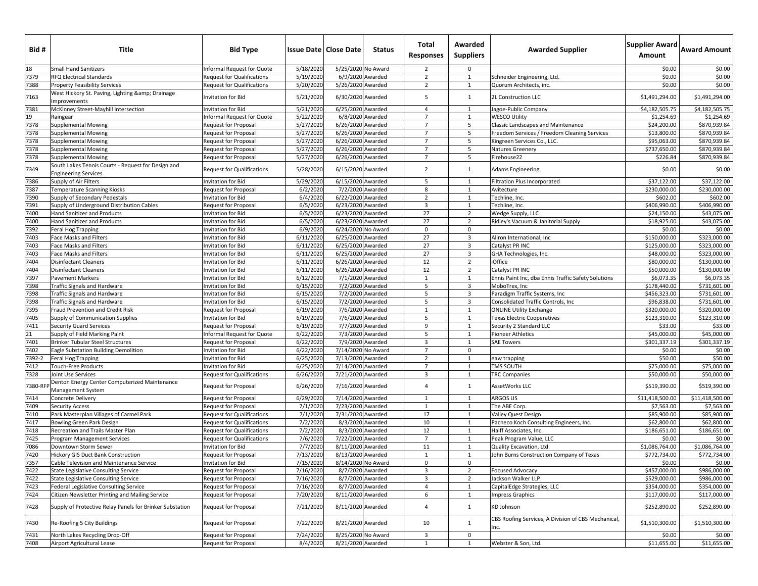| Bid #      | Title                                                                             | <b>Bid Type</b>                          |                        | <b>Issue Date   Close Date</b>         | <b>Status</b>    | Total<br><b>Responses</b> | Awarded<br><b>Suppliers</b>               | <b>Awarded Supplier</b>                             | <b>Supplier Award</b><br>Amount | <b>Award Amount</b>          |
|------------|-----------------------------------------------------------------------------------|------------------------------------------|------------------------|----------------------------------------|------------------|---------------------------|-------------------------------------------|-----------------------------------------------------|---------------------------------|------------------------------|
| 18         | <b>Small Hand Sanitizers</b>                                                      | Informal Request for Quote               | 5/18/2020              | 5/25/2020 No Award                     |                  | $\overline{2}$            | $\mathbf 0$                               |                                                     | \$0.00                          | \$0.00                       |
| 7379       | <b>RFQ Electrical Standards</b>                                                   | <b>Request for Qualifications</b>        | 5/19/2020              |                                        | 6/9/2020 Awarded | $\overline{2}$            | $\mathbf{1}$                              | Schneider Engineering, Ltd.                         | \$0.00                          | \$0.00                       |
| 7388       | <b>Property Feasibility Services</b>                                              | <b>Request for Qualifications</b>        | 5/20/2020              | 5/26/2020 Awarded                      |                  | $\overline{2}$            | $\mathbf{1}$                              | Quorum Architects, inc.                             | \$0.00                          | \$0.00                       |
| 7163       | West Hickory St. Paving, Lighting & Drainage<br>Improvements                      | Invitation for Bid                       | 5/21/2020              | 6/30/2020 Awarded                      |                  | 5                         | 1                                         | 2L Construction LLC                                 | \$1,491,294.00                  | \$1,491,294.00               |
| 7381       | McKinney Street-Mayhill Intersection                                              | Invitation for Bid                       | 5/21/2020              | 6/25/2020 Awarded                      |                  | $\overline{4}$            | 1                                         | Jagoe-Public Company                                | \$4,182,505.75                  | \$4,182,505.75               |
|            | Raingear                                                                          | Informal Request for Quote               | 5/22/2020              |                                        | 6/8/2020 Awarded | $\overline{7}$            | $\mathbf{1}$                              | <b>WESCO Utility</b>                                | \$1,254.69                      | \$1,254.69                   |
| 19<br>7378 | <b>Supplemental Mowing</b>                                                        | Request for Proposal                     | 5/27/2020              | 6/26/2020 Awarded                      |                  | $\overline{7}$            | 5                                         | Classic Landscapes and Maintenance                  | \$24,200.00                     | \$870,939.84                 |
| 7378       | <b>Supplemental Mowing</b>                                                        | Request for Proposal                     | 5/27/2020              | 6/26/2020 Awarded                      |                  | $\overline{7}$            | 5                                         | Freedom Services / Freedom Cleaning Services        | \$13,800.00                     | \$870,939.84                 |
| 7378       | <b>Supplemental Mowing</b>                                                        | Request for Proposal                     | 5/27/2020              | 6/26/2020 Awarded                      |                  | $\overline{7}$            | 5                                         | Kingreen Services Co., LLC.                         | \$95,063.00                     | \$870,939.84                 |
| 7378       | <b>Supplemental Mowing</b>                                                        | <b>Request for Proposal</b>              | 5/27/2020              | 6/26/2020 Awarded                      |                  | $\overline{7}$            | 5                                         | Natures Greenery                                    | \$737,650.00                    | \$870,939.84                 |
| 7378       | <b>Supplemental Mowing</b>                                                        | <b>Request for Proposal</b>              | 5/27/2020              | 6/26/2020 Awarded                      |                  | $\overline{7}$            | 5                                         | Firehouse22                                         | \$226.84                        | \$870,939.84                 |
| 7349       | South Lakes Tennis Courts - Request for Design and<br><b>Engineering Services</b> | <b>Request for Qualifications</b>        | 5/28/2020              | 6/15/2020 Awarded                      |                  | $\overline{2}$            | $\mathbf{1}$                              | <b>Adams Engineering</b>                            | \$0.00                          | \$0.00                       |
| 7386       | Supply of Air Filters                                                             | Invitation for Bid                       | 5/29/2020              | 6/15/2020 Awarded                      |                  | 5                         | $\mathbf{1}$                              | Filtration Plus Incorporated                        | \$37,122.00                     | \$37,122.00                  |
| 7387       | <b>Temperature Scanning Kiosks</b>                                                | <b>Request for Proposal</b>              | 6/2/2020               |                                        | 7/2/2020 Awarded | 8                         | $\mathbf{1}$                              | Avitecture                                          | \$230,000.00                    | \$230,000.00                 |
| 7390       | Supply of Secondary Pedestals                                                     | Invitation for Bid                       | 6/4/2020               | 6/22/2020 Awarded                      |                  | $\overline{2}$            | $\mathbf{1}$                              | Fechline, Inc.                                      | \$602.00                        | \$602.00                     |
| 7391       | Supply of Underground Distribution Cables                                         | <b>Request for Proposal</b>              | 6/5/2020               | 6/23/2020 Awarded                      |                  | $\overline{3}$            | $\mathbf{1}$                              | Techline, Inc.                                      | \$406,990.00                    | \$406,990.00                 |
| 7400       | Hand Sanitizer and Products                                                       | Invitation for Bid                       | 6/5/2020               | 6/23/2020 Awarded                      |                  | 27                        | $\overline{2}$                            | Wedge Supply, LLC                                   | \$24,150.00                     | \$43,075.00                  |
| 7400       | Hand Sanitizer and Products                                                       | Invitation for Bid                       | 6/5/2020               | 6/23/2020 Awarded                      |                  | 27                        | $\overline{2}$                            | Ridley's Vacuum & Janitorial Supply                 | \$18,925.00                     | \$43,075.00                  |
| 7392       |                                                                                   | Invitation for Bid                       | 6/9/2020               | 6/24/2020 No Award                     |                  | $\mathbf 0$               | $\mathbf 0$                               |                                                     | \$0.00                          | \$0.00                       |
| 7403       | Feral Hog Trapping<br>Face Masks and Filters                                      | Invitation for Bid                       | 6/11/2020              | 6/25/2020 Awarded                      |                  | 27                        | 3                                         | Aliron International, Inc                           | \$150,000.00                    | \$323,000.00                 |
| 7403       |                                                                                   |                                          | 6/11/2020              | 6/25/2020 Awarded                      |                  | 27                        | $\overline{3}$                            | Catalyst PR INC                                     | \$125,000.00                    | \$323,000.00                 |
| 7403       | <b>Face Masks and Filters</b>                                                     | Invitation for Bid                       |                        |                                        |                  | 27                        |                                           |                                                     |                                 |                              |
| 7404       | <b>Face Masks and Filters</b><br><b>Disinfectant Cleaners</b>                     | Invitation for Bid<br>Invitation for Bid | 6/11/2020<br>6/11/2020 | 6/25/2020 Awarded<br>6/26/2020 Awarded |                  | 12                        | $\overline{\mathbf{3}}$<br>$\overline{2}$ | GHA Technologies, Inc.<br>iOffice                   | \$48,000.00<br>\$80,000.00      | \$323,000.00<br>\$130,000.00 |
|            |                                                                                   |                                          |                        |                                        |                  |                           |                                           |                                                     |                                 |                              |
| 7404       | <b>Disinfectant Cleaners</b>                                                      | Invitation for Bid                       | 6/11/2020              | 6/26/2020 Awarded                      |                  | 12                        | $\overline{2}$                            | Catalyst PR INC                                     | \$50,000.00                     | \$130,000.00                 |
| 7397       | <b>Pavement Markers</b>                                                           | <b>Invitation for Bid</b>                | 6/12/2020              |                                        | 7/1/2020 Awarded | $\mathbf{1}$              | $\mathbf{1}$                              | Ennis Paint Inc, dba Ennis Traffic Safety Solutions | \$6,073.35                      | \$6,073.35                   |
| 7398       | <b>Traffic Signals and Hardware</b>                                               | Invitation for Bid                       | 6/15/2020              | 7/2/2020 Awarded                       |                  | 5                         | $\overline{3}$                            | MoboTrex, Inc                                       | \$178,440.00                    | \$731,601.00                 |
| 7398       | Traffic Signals and Hardware                                                      | Invitation for Bid                       | 6/15/2020              |                                        | 7/2/2020 Awarded | 5                         | $\overline{\mathbf{3}}$                   | Paradigm Traffic Systems, Inc                       | \$456,323.00                    | \$731,601.00                 |
| 7398       | <b>Traffic Signals and Hardware</b>                                               | Invitation for Bid                       | 6/15/2020              |                                        | 7/2/2020 Awarded | 5                         | $\overline{\mathbf{3}}$                   | Consolidated Traffic Controls, Inc                  | \$96,838.00                     | \$731,601.00                 |
| 7395       | Fraud Prevention and Credit Risk                                                  | <b>Request for Proposal</b>              | 6/19/2020              |                                        | 7/6/2020 Awarded | 1                         | 1                                         | <b>ONLINE Utility Exchange</b>                      | \$320,000.00                    | \$320,000.00                 |
| 7405       | Supply of Communication Supplies                                                  | Invitation for Bid                       | 6/19/2020              |                                        | 7/6/2020 Awarded | 5                         | 1                                         | Texas Electric Cooperatives                         | \$123,310.00                    | \$123,310.00                 |
| 7411       | <b>Security Guard Services</b>                                                    | Request for Proposal                     | 6/19/2020              | 7/7/2020 Awarded                       |                  | 9                         | 1                                         | Security 2 Standard LLC                             | \$33.00                         | \$33.00                      |
| 21         | Supply of Field Marking Paint                                                     | Informal Request for Quote               | 6/22/2020              |                                        | 7/3/2020 Awarded | 5                         | 1                                         | Pioneer Athletics                                   | \$45,000.00                     | \$45,000.00                  |
| 7401       | Brinker Tubular Steel Structures                                                  | Request for Proposal                     | 6/22/2020              |                                        | 7/9/2020 Awarded | $\mathbf{3}$              | 1                                         | SAE Towers                                          | \$301,337.19                    | \$301,337.19                 |
| 7402       | Eagle Substation Building Demolition                                              | Invitation for Bid                       | 6/22/2020              | 7/14/2020 No Award                     |                  | $\overline{7}$            | $\mathbf 0$                               |                                                     | \$0.00                          | \$0.00                       |
| 7392-2     | Feral Hog Trapping                                                                | Invitation for Bid                       | 6/25/2020              | 7/13/2020 Awarded                      |                  | $\overline{2}$            | $\mathbf{1}$                              | eaw trapping                                        | \$50.00                         | \$50.00                      |
| 7412       | <b>Touch-Free Products</b>                                                        | Invitation for Bid                       | 6/25/2020              | 7/14/2020 Awarded                      |                  | $7\overline{ }$           | 1                                         | TMS SOUTH                                           | \$75,000.00                     | \$75,000.00                  |
| 7328       | Joint Use Services                                                                | <b>Request for Qualifications</b>        | 6/26/2020              | 7/21/2020 Awarded                      |                  | $\overline{3}$            | 1                                         | <b>TRC Companies</b>                                | \$50,000.00                     | \$50,000.00                  |
| 7380-RF    | Denton Energy Center Computerized Maintenance<br>Management System                | Request for Proposal                     | 6/26/2020              | 7/16/2020 Awarded                      |                  | $\overline{4}$            | 1                                         | AssetWorks LLC                                      | \$519,390.00                    | \$519,390.00                 |
| 7414       | Concrete Delivery                                                                 | <b>Request for Proposal</b>              | 6/29/2020              | 7/14/2020 Awarded                      |                  | $\mathbf{1}$              | $\mathbf{1}$                              | ARGOS US                                            | \$11,418,500.00                 | \$11,418,500.00              |
| 7409       | <b>Security Access</b>                                                            | <b>Request for Proposal</b>              | 7/1/2020               | 7/23/2020 Awarded                      |                  | $\mathbf{1}$              | 1                                         | The ABE Corp.                                       | \$7,563.00                      | \$7,563.00                   |
| 7410       | Park Masterplan Villages of Carmel Park                                           | <b>Request for Qualifications</b>        | 7/1/2020               | 7/31/2020 Awarded                      |                  | 17                        | 1                                         | Valley Quest Design                                 | \$85,900.00                     | \$85,900.00                  |
| 7417       | Bowling Green Park Design                                                         | <b>Request for Qualifications</b>        | 7/2/2020               |                                        | 8/3/2020 Awarded | 10                        | $\mathbf{1}$                              | Pacheco Koch Consulting Engineers, Inc.             | \$62,800.00                     | \$62,800.00                  |
| 7418       | Recreation and Trails Master Plan                                                 | <b>Request for Qualifications</b>        | 7/2/2020               |                                        | 8/3/2020 Awarded | 12                        | 1                                         | Halff Associates, Inc.                              | \$186,651.00                    | \$186,651.00                 |
| 7425       | <b>Program Management Services</b>                                                | <b>Request for Qualifications</b>        | 7/6/2020               | 7/22/2020 Awarded                      |                  | $\overline{7}$            | $\mathbf{1}$                              | Peak Program Value, LLC                             | \$0.00                          | \$0.00                       |
| 7086       | Downtown Storm Sewer                                                              | Invitation for Bid                       | 7/7/2020               | 8/11/2020 Awarded                      |                  | 11                        | 1                                         | Quality Excavation, Ltd.                            | \$1,086,764.00                  | \$1,086,764.00               |
| 7420       | Hickory GIS Duct Bank Construction                                                | <b>Request for Proposal</b>              | 7/13/2020              | 8/13/2020 Awarded                      |                  | 1                         | 1                                         | John Burns Construction Company of Texas            | \$772,734.00                    | \$772,734.00                 |
| 7357       | Cable Television and Maintenance Service                                          | Invitation for Bid                       | 7/15/2020              | 8/14/2020 No Award                     |                  | 0                         | $\mathbf 0$                               |                                                     | \$0.00                          | \$0.00                       |
| 7422       | State Legislative Consulting Service                                              | Request for Proposal                     | 7/16/2020              |                                        | 8/7/2020 Awarded | $\mathbf{3}$              | $\overline{2}$                            | <b>Focused Advocacy</b>                             | \$457,000.00                    | \$986,000.00                 |
| 7422       | <b>State Legislative Consulting Service</b>                                       | Request for Proposal                     | 7/16/2020              |                                        | 8/7/2020 Awarded | $\overline{3}$            | $\overline{2}$                            | Jackson Walker LLP                                  | \$529,000.00                    | \$986,000.00                 |
| 7423       | Federal Legislative Consulting Service                                            | Request for Proposal                     | 7/16/2020              |                                        | 8/7/2020 Awarded | $\overline{4}$            | $\mathbf{1}$                              | CapitalEdge Strategies, LLC                         | \$354,000.00                    | \$354,000.00                 |
| 7424       | Citizen Newsletter Printing and Mailing Service                                   | Request for Proposal                     | 7/20/2020              | 8/11/2020 Awarded                      |                  | 6                         | 1                                         | <b>Impress Graphics</b>                             | \$117,000.00                    | \$117,000.00                 |
| 7428       | Supply of Protective Relay Panels for Brinker Substation                          | Request for Proposal                     | 7/21/2020              | 8/11/2020 Awarded                      |                  | $\overline{4}$            | $\mathbf{1}$                              | KD Johnson                                          | \$252,890.00                    | \$252,890.00                 |
| 7430       | Re-Roofing 5 City Buildings                                                       | Request for Proposal                     | 7/22/2020              | 8/21/2020 Awarded                      |                  | 10                        | 1                                         | CBS Roofing Services, A Division of CBS Mechanical, | \$1,510,300.00                  | \$1,510,300.00               |
| 7431       | North Lakes Recycling Drop-Off                                                    | Request for Proposal                     | 7/24/2020              | 8/25/2020 No Award                     |                  | $\overline{3}$            | $\mathbf{0}$                              |                                                     | \$0.00                          | \$0.00                       |
| 7408       | Airport Agricultural Lease                                                        | Request for Proposal                     | 8/4/2020               | 8/21/2020 Awarded                      |                  | $\mathbf{1}$              | $\mathbf{1}$                              | Webster & Son, Ltd.                                 | \$11,655.00                     | \$11,655.00                  |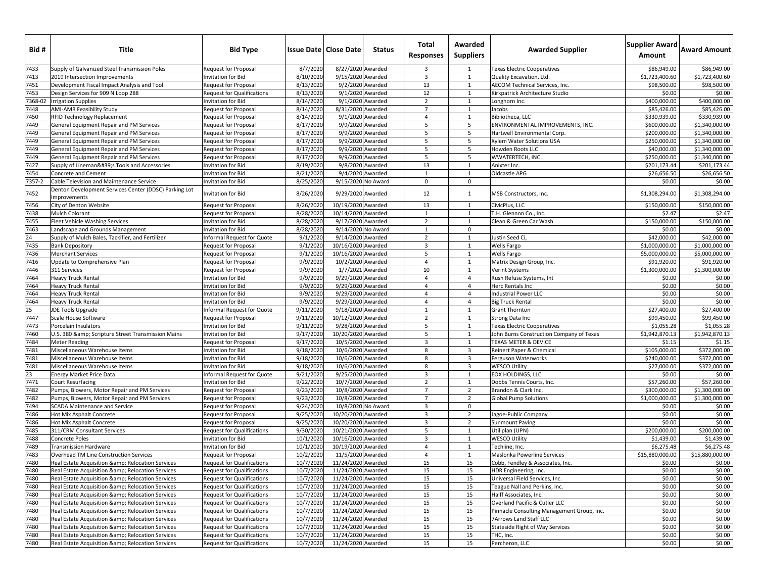| Bid #        | Title                                                                                          | <b>Bid Type</b>                                                        |                        | <b>Issue Date   Close Date</b>           | <b>Status</b>    | Total<br><b>Responses</b>        | Awarded<br><b>Suppliers</b> | <b>Awarded Supplier</b>                                 | Supplier Award<br>Amount | <b>Award Amount</b>      |
|--------------|------------------------------------------------------------------------------------------------|------------------------------------------------------------------------|------------------------|------------------------------------------|------------------|----------------------------------|-----------------------------|---------------------------------------------------------|--------------------------|--------------------------|
| 7433         | Supply of Galvanized Steel Transmission Poles                                                  | Request for Proposal                                                   | 8/7/2020               | 8/27/2020 Awarded                        |                  | $\overline{\mathbf{3}}$          | 1                           | Texas Electric Cooperatives                             | \$86,949.00              | \$86,949.00              |
| 7413         | 2019 Intersection Improvements                                                                 | Invitation for Bid                                                     | 8/10/2020              | 9/15/2020 Awarded                        |                  | $\overline{3}$                   | 1                           | Quality Excavation, Ltd.                                | \$1,723,400.60           | \$1,723,400.60           |
| 7451         | Development Fiscal Impact Analysis and Tool                                                    | <b>Request for Proposal</b>                                            | 8/13/2020              |                                          | 9/2/2020 Awarded | 13                               | $\mathbf{1}$                | AECOM Technical Services, Inc.                          | \$98,500.00              | \$98,500.00              |
| 7453         | Design Services for 909 N Loop 288                                                             | <b>Request for Qualifications</b>                                      | 8/13/2020              | 9/1/2020 Awarded                         |                  | 12                               | 1                           | Kirkpatrick Architecture Studio                         | \$0.00                   | \$0.00                   |
| 7368-02      | <b>Irrigation Supplies</b>                                                                     | <b>Invitation for Bid</b>                                              | 8/14/2020              |                                          | 9/1/2020 Awarded | $\overline{2}$                   | 1                           | Longhorn Inc.                                           | \$400,000.00             | \$400,000.00             |
| 7448         | <b>AMI-AMR Feasibility Study</b>                                                               | <b>Request for Proposal</b>                                            | 8/14/2020              | 8/31/2020 Awarded                        |                  | $\overline{7}$                   | $\mathbf{1}$                | Jacobs                                                  | \$85,426.00              | \$85,426.00              |
| 7450         | RFID Technology Replacement                                                                    | <b>Request for Proposal</b>                                            | 8/14/2020              |                                          | 9/1/2020 Awarded | $\overline{4}$                   | $\mathbf{1}$                | Bibliotheca, LLC                                        | \$330,939.00             | \$330,939.00             |
| 7449         | General Equipment Repair and PM Services                                                       | Request for Proposal                                                   | 8/17/2020              |                                          | 9/9/2020 Awarded | 5                                | 5                           | ENVIRONMENTAL IMPROVEMENTS, INC.                        | \$600,000.00             | \$1,340,000.00           |
| 7449         | General Equipment Repair and PM Services                                                       | <b>Request for Proposal</b>                                            | 8/17/2020              |                                          | 9/9/2020 Awarded | 5                                | 5                           | Hartwell Environmental Corp.                            | \$200,000.00             | \$1,340,000.00           |
| 7449         | General Equipment Repair and PM Services                                                       | <b>Request for Proposal</b>                                            | 8/17/2020              |                                          | 9/9/2020 Awarded | 5                                | 5                           | Xylem Water Solutions USA                               | \$250,000.00             | \$1,340,000.00           |
| 7449         | General Equipment Repair and PM Services                                                       | <b>Request for Proposal</b>                                            | 8/17/2020              |                                          | 9/9/2020 Awarded | 5                                | 5                           | Howden Roots LLC                                        | \$40,000.00              | \$1,340,000.00           |
| 7449         | General Equipment Repair and PM Services                                                       | <b>Request for Proposal</b>                                            | 8/17/2020              |                                          | 9/9/2020 Awarded | 5                                | 5                           | WWATERTECH, INC.                                        | \$250,000.00             | \$1.340.000.00           |
| 7427         | Supply of Lineman's Tools and Accessories                                                      | Invitation for Bid                                                     | 8/19/2020              |                                          | 9/8/2020 Awarded | 13                               | 1                           | Anixter Inc.                                            | \$201.173.44             | \$201,173.44             |
| 7454         | Concrete and Cement                                                                            | <b>Invitation for Bid</b>                                              | 8/21/2020              |                                          | 9/4/2020 Awarded | $\mathbf{1}$                     | 1                           | Oldcastle APG                                           | \$26,656.50              | \$26,656.50              |
| 7357-2       | Cable Television and Maintenance Service                                                       | Invitation for Bid                                                     | 8/25/2020              | 9/15/2020 No Award                       |                  | $\mathbf 0$                      | $\mathbf{0}$                |                                                         | \$0.00                   | \$0.00                   |
| 7452         | Denton Development Services Center (DDSC) Parking Lot<br>Improvements                          | Invitation for Bid                                                     | 8/26/2020              | 9/29/2020 Awarded                        |                  | 12                               | 1                           | MSB Constructors, Inc.                                  | \$1,308,294.00           | \$1,308,294.00           |
| 7456         | City of Denton Website                                                                         | <b>Request for Proposal</b>                                            | 8/26/2020              | 10/19/2020 Awarded                       |                  | 13                               | 1                           | CivicPlus, LLC                                          | \$150,000.00             | \$150,000.00             |
| 7438         | Mulch Colorant                                                                                 | <b>Request for Proposal</b>                                            | 8/28/2020              | 10/14/2020 Awarded                       |                  | 1                                | 1                           | T.H. Glennon Co., Inc.                                  | \$2.47                   | \$2.47                   |
| 7455         | Fleet Vehicle Washing Services                                                                 | Invitation for Bid                                                     | 8/28/2020              | 9/17/2020 Awarded                        |                  | $\overline{2}$                   | 1                           | Clean & Green Car Wash                                  | \$150,000.00             | \$150,000.00             |
| 7463         | Landscape and Grounds Management                                                               | Invitation for Bid                                                     | 8/28/2020              | 9/14/2020 No Award                       |                  | 1                                | $\mathbf 0$                 |                                                         | \$0.00                   | \$0.00                   |
| 24           | Supply of Mulch Bales, Tackifier, and Fertilizer                                               | Informal Request for Quote                                             | 9/1/2020               | 9/14/2020 Awarded                        |                  | $\overline{2}$                   | $\mathbf{1}$                | Justin Seed Ci,                                         | \$42,000.00              | \$42,000.00              |
| 7435         | <b>Bank Depository</b>                                                                         | <b>Request for Proposal</b>                                            | 9/1/202                | 10/16/2020 Awarded                       |                  | $\overline{\mathbf{3}}$          | $\mathbf{1}$                | <b>Wells Fargo</b>                                      | \$1,000,000.00           | \$1,000,000,00           |
| 7436         | <b>Merchant Services</b>                                                                       | <b>Request for Proposal</b>                                            | 9/1/202                | 10/16/2020 Awarded                       |                  | 5                                | $\mathbf{1}$                | <b>Wells Fargo</b>                                      | \$5,000,000.00           | \$5,000,000.00           |
| 7416         | Update to Comprehensive Plan                                                                   | <b>Request for Proposal</b>                                            | 9/9/202                | 10/2/2020 Awarded                        |                  | $\overline{4}$                   | $\mathbf{1}$                | Matrix Design Group, Inc.                               | \$91,920.00              | \$91,920.00              |
| 7446         | 311 Services                                                                                   | <b>Request for Proposal</b>                                            | 9/9/2020               | 1/7/2021 Awarded                         |                  | 10                               | 1                           | Verint Systems                                          | \$1,300,000.00           | \$1,300,000.00           |
| 7464         | <b>Heavy Truck Rental</b>                                                                      | <b>Invitation for Bid</b>                                              | 9/9/2020               | 9/29/2020 Awarded                        |                  | $\overline{4}$                   | $\overline{4}$              | Rush Refuse Systems, Int                                | \$0.00                   | \$0.00                   |
| 7464         | <b>Heavy Truck Rental</b>                                                                      | <b>Invitation for Bid</b>                                              | 9/9/202                | 9/29/2020 Awarded                        |                  | $\overline{4}$                   | $\overline{4}$              | Herc Rentals Inc                                        | \$0.00                   | \$0.00                   |
| 7464         | <b>Heavy Truck Rental</b>                                                                      | <b>Invitation for Bid</b>                                              | 9/9/202                | 9/29/2020 Awarded                        |                  | $\overline{4}$                   | $\overline{4}$              | <b>Industrial Power LLC</b>                             | \$0.00                   | \$0.00                   |
| 7464         | <b>Heavy Truck Rental</b>                                                                      | <b>Invitation for Bid</b>                                              | 9/9/2020               | 9/29/2020 Awarded                        |                  | $\overline{4}$                   | $\overline{4}$              | <b>Big Truck Rental</b>                                 | \$0.00                   | \$0.00                   |
| 25           | JDE Tools Upgrade                                                                              | Informal Request for Quote                                             | 9/11/2020              | 9/18/2020 Awarded                        |                  | 1                                | 1                           | <b>Grant Thornton</b>                                   | \$27,400.00              | \$27,400.00              |
| 7447         | Scale House Software                                                                           | Request for Proposal                                                   | 9/11/2020              | 10/12/2020 Awarded                       |                  | $\overline{2}$                   | 1                           | Strong Data Inc                                         | \$99,450.00              | \$99,450.00              |
| 7473         | Porcelain Insulators                                                                           | <b>Invitation for Bid</b>                                              | 9/11/202               | 9/28/2020 Awarded                        |                  | 5                                | $\mathbf{1}$                | Texas Electric Cooperatives                             | \$1,055.28               | \$1,055.28               |
| 7460         | U.S. 380 & Scripture Street Transmission Mains                                                 | Invitation for Bid                                                     | 9/17/202               | 10/20/2020 Awarded                       |                  | 5                                | 1                           | John Burns Construction Company of Texas                | \$1,942,870.13           | \$1,942,870.13           |
| 7484         | <b>Meter Reading</b>                                                                           | Request for Proposal                                                   | 9/17/2020              | 10/5/2020 Awarded                        |                  | $\overline{3}$                   | 1                           | TEXAS METER & DEVICE                                    | \$1.15                   | \$1.15                   |
| 7481         | Miscellaneous Warehouse Items                                                                  | Invitation for Bid                                                     | 9/18/2020              | 10/6/2020 Awarded                        |                  | 8                                | 3                           | Reinert Paper & Chemical                                | \$105,000.00             | \$372,000.00             |
| 7481         | Miscellaneous Warehouse Items                                                                  | <b>Invitation for Bid</b>                                              | 9/18/2020              | 10/6/2020 Awarded                        |                  | 8                                | 3                           | Ferguson Waterworks                                     | \$240,000.00             | \$372,000.00             |
| 7481         | Miscellaneous Warehouse Items                                                                  | Invitation for Bid                                                     | 9/18/2020              | 10/6/2020 Awarded                        |                  | 8                                | $\overline{3}$              | <b>WESCO Utility</b>                                    | \$27,000.00              | \$372,000.00             |
| 23           | Energy Market Price Data                                                                       | Informal Request for Quote                                             | 9/21/2020              | 9/25/2020 Awarded                        |                  | $\overline{\mathbf{3}}$          | 1                           | EOX HOLDINGS, LLC                                       | \$0.00                   | \$0.00                   |
| 7471         | <b>Court Resurfacing</b>                                                                       | <b>Invitation for Bid</b>                                              | 9/22/2020              | 10/7/2020 Awarded                        |                  | $\overline{2}$                   | 1                           | Dobbs Tennis Courts, Inc.                               | \$57,260.00              | \$57,260.00              |
| 7482         | Pumps, Blowers, Motor Repair and PM Services                                                   | <b>Request for Proposal</b>                                            | 9/23/2020              | 10/8/2020 Awarded                        |                  | $\overline{7}$                   | $\overline{2}$              | Brandon & Clark Inc.                                    | \$300,000.00             | \$1,300,000.00           |
| 7482         | Pumps, Blowers, Motor Repair and PM Services                                                   | <b>Request for Proposal</b>                                            | 9/23/2020              | 10/8/2020 Awarded                        |                  | $\overline{7}$                   | $\overline{2}$              | <b>Global Pump Solutions</b>                            | \$1,000,000.00           | \$1,300,000.00           |
| 7494         | <b>SCADA Maintenance and Service</b>                                                           | <b>Request for Proposal</b>                                            | 9/24/2020              | 10/8/2020 No Award                       |                  | $\overline{3}$                   | $\mathbf 0$                 |                                                         | \$0.00                   | \$0.00                   |
| 7486         | Hot Mix Asphalt Concrete                                                                       | <b>Request for Proposal</b>                                            | 9/25/2020              | 10/20/2020 Awarded                       |                  | $\overline{\mathbf{3}}$          | $\overline{2}$              | Jagoe-Public Company                                    | \$0.00                   | \$0.00                   |
| 7486         | Hot Mix Asphalt Concrete                                                                       | <b>Request for Proposal</b>                                            | 9/25/2020              | 10/20/2020 Awarded                       |                  | $\overline{3}$                   | $\overline{2}$              | <b>Sunmount Paving</b>                                  | \$0.00                   | \$0.00                   |
| 7485<br>7488 | 311/CRM Consultant Services                                                                    | <b>Request for Qualifications</b>                                      | 9/30/2020              | 10/21/2020 Awarded                       |                  | 5<br>$\overline{3}$              | 1<br>1                      | Utiliplan (UPN)                                         | \$200,000.00             | \$200,000.00             |
|              | Concrete Poles                                                                                 | Invitation for Bid<br><b>Invitation for Bid</b>                        | 10/1/2020<br>10/1/2020 | 10/16/2020 Awarded                       |                  |                                  |                             | <b>WESCO Utility</b>                                    | \$1,439.00<br>\$6,275.48 | \$1,439.00<br>\$6,275.48 |
| 7489<br>7483 | <b>Transmission Hardware</b><br>Overhead TM Line Construction Services                         |                                                                        | 10/2/2020              | 10/19/2020 Awarded<br>11/5/2020 Awarded  |                  | $\overline{4}$<br>$\overline{4}$ | 1<br>1                      | Techline, Inc.<br>Maslonka Powerline Services           | \$15,880,000.00          | \$15,880,000.00          |
| 7480         | Real Estate Acquisition &: Relocation Services                                                 | Request for Proposal                                                   | 10/7/2020              | 11/24/2020 Awarded                       |                  | 15                               | 15                          | Cobb, Fendley & Associates, Inc.                        | \$0.00                   | \$0.00                   |
| 7480         |                                                                                                | Request for Qualifications                                             | 10/7/2020              |                                          |                  |                                  | 15                          |                                                         | \$0.00                   | \$0.00                   |
| 7480         | Real Estate Acquisition & Relocation Services                                                  | Request for Qualifications                                             |                        | 11/24/2020 Awarded                       |                  | 15                               | 15                          | HDR Engineering, Inc.                                   |                          |                          |
| 7480         | Real Estate Acquisition & Relocation Services                                                  | <b>Request for Qualifications</b>                                      | 10/7/2020<br>10/7/2020 | 11/24/2020 Awarded<br>11/24/2020 Awarded |                  | 15<br>15                         | 15                          | Universal Field Services, Inc.                          | \$0.00<br>\$0.00         | \$0.00<br>\$0.00         |
| 7480         | Real Estate Acquisition & Relocation Services<br>Real Estate Acquisition & Relocation Services | <b>Request for Qualifications</b><br><b>Request for Qualifications</b> | 10/7/2020              | 11/24/2020 Awarded                       |                  | 15                               | 15                          | Teague Nall and Perkins, Inc.<br>Halff Associates, Inc. | \$0.00                   | \$0.00                   |
| 7480         | Real Estate Acquisition & Relocation Services                                                  | Request for Qualifications                                             | 10/7/2020              | 11/24/2020 Awarded                       |                  | 15                               | 15                          | Overland Pacific & Cutler LLC                           | \$0.00                   | \$0.00                   |
| 7480         | Real Estate Acquisition & Relocation Services                                                  | Request for Qualifications                                             | 10/7/2020              | 11/24/2020 Awarded                       |                  | 15                               | 15                          | Pinnacle Consulting Management Group, Inc.              | \$0.00                   | \$0.00                   |
| 7480         | Real Estate Acquisition & Relocation Services                                                  | Request for Qualifications                                             | 10/7/2020              | 11/24/2020 Awarded                       |                  | 15                               | 15                          | 7Arrows Land Staff LLC                                  | \$0.00                   | \$0.00                   |
| 7480         | Real Estate Acquisition & Relocation Services                                                  | <b>Request for Qualifications</b>                                      | 10/7/2020              | 11/24/2020 Awarded                       |                  | 15                               | 15                          | <b>Stateside Right of Way Services</b>                  | \$0.00                   | \$0.00                   |
| 7480         | Real Estate Acquisition & Relocation Services                                                  | Request for Qualifications                                             | 10/7/2020              | 11/24/2020 Awarded                       |                  | 15                               | 15                          | THC, Inc.                                               | \$0.00                   | \$0.00                   |
| 7480         | Real Estate Acquisition & Relocation Services                                                  | Request for Qualifications                                             | 10/7/2020              | 11/24/2020 Awarded                       |                  | 15                               | 15                          | Percheron, LLC                                          | \$0.00                   | \$0.00                   |
|              |                                                                                                |                                                                        |                        |                                          |                  |                                  |                             |                                                         |                          |                          |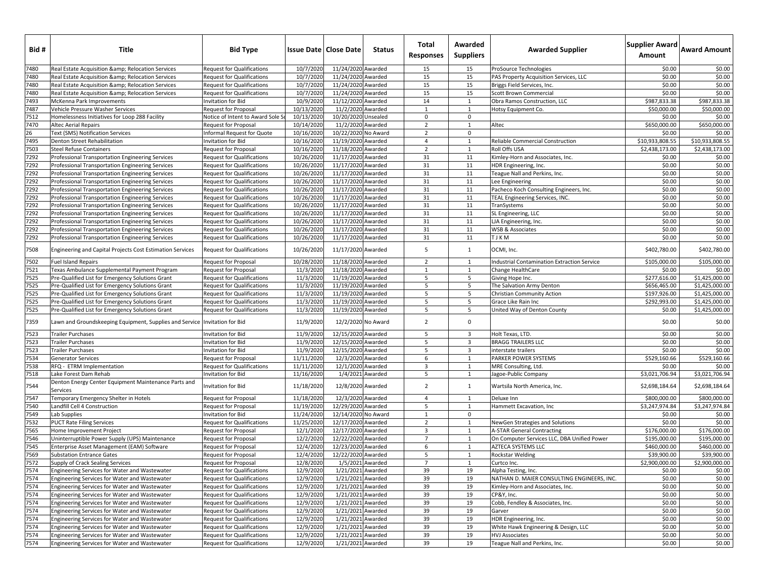| 7480<br>10/7/2020<br>11/24/2020 Awarded<br>\$0.00<br>\$0.00<br>Real Estate Acquisition & Relocation Services<br><b>Request for Qualifications</b><br>15<br>15<br>ProSource Technologies<br>7480<br>11/24/2020 Awarded<br>15<br>10/7/2020<br>15<br>\$0.00<br>\$0.00<br>Real Estate Acquisition & Relocation Services<br><b>Request for Qualifications</b><br>PAS Property Acquisition Services, LLC<br>7480<br>10/7/2020<br>15<br>15<br>\$0.00<br>\$0.00<br>11/24/2020 Awarded<br>Real Estate Acquisition & Relocation Services<br><b>Request for Qualifications</b><br>Briggs Field Services, Inc.<br>15<br>7480<br>Real Estate Acquisition & Relocation Services<br><b>Request for Qualifications</b><br>10/7/2020<br>11/24/2020 Awarded<br>15<br>Scott Brown Commercial<br>\$0.00<br>\$0.00<br>14<br>\$987,833.38<br>7493<br>10/9/2020<br>11/12/2020 Awarded<br>\$987,833.38<br>McKenna Park Improvements<br>Invitation for Bid<br>$\mathbf{1}$<br>Obra Ramos Construction, LLC<br>7487<br>10/13/2020<br>\$50,000.00<br>\$50,000.00<br>11/2/2020 Awarded<br>Vehicle Pressure Washer Services<br>Request for Proposal<br>1<br>$\mathbf{1}$<br>Hotsy Equipment Co.<br>7512<br>$\mathsf 0$<br>\$0.00<br>10/13/2020<br>10/20/2020 Unsealed<br>\$0.00<br>Homelessness Initiatives for Loop 288 Facility<br>Notice of Intent to Award Sole S<br>0<br>7470<br>10/14/2020<br>$\overline{2}$<br>\$650,000.00<br>\$650,000.00<br>11/2/2020 Awarded<br>1<br><b>Altec Aerial Repairs</b><br><b>Request for Proposal</b><br>Altec<br>26<br><b>Text (SMS) Notification Services</b><br>Informal Request for Quote<br>10/16/2020<br>10/22/2020 No Award<br>$\overline{2}$<br>0<br>\$0.00<br>\$0.00<br>7495<br>\$10,933,808.55<br>\$10,933,808.55<br>10/16/2020<br>11/19/2020 Awarded<br>$\overline{4}$<br>Denton Street Rehabilitation<br>Invitation for Bid<br>1<br>Reliable Commercial Construction<br>7503<br>10/16/2020<br>\$2,438,173.00<br>\$2,438,173.00<br>11/18/2020 Awarded<br>$\overline{2}$<br>Roll Offs USA<br><b>Steel Refuse Containers</b><br><b>Request for Proposal</b><br>1<br>7292<br>31<br>10/26/2020<br>11/17/2020 Awarded<br>11<br>Kimley-Horn and Associates, Inc.<br>\$0.00<br>\$0.00<br>Professional Transportation Engineering Services<br><b>Request for Qualifications</b><br>7292<br>10/26/2020<br>11/17/2020 Awarded<br>31<br>11<br>\$0.00<br>\$0.00<br><b>IDR</b> Engineering, Inc.<br>Professional Transportation Engineering Services<br><b>Request for Qualifications</b><br>31<br>7292<br>10/26/2020<br>11/17/2020 Awarded<br>11<br>Teague Nall and Perkins, Inc.<br>\$0.00<br>\$0.00<br>Professional Transportation Engineering Services<br><b>Request for Qualifications</b><br>31<br>\$0.00<br>7292<br>10/26/2020<br>11/17/2020 Awarded<br>11<br>\$0.00<br><b>Request for Qualifications</b><br>Lee Engineering<br>Professional Transportation Engineering Services<br>7292<br>10/26/2020<br>\$0.00<br>\$0.00<br>11/17/2020 Awarded<br>31<br>11<br>Pacheco Koch Consulting Engineers, Inc.<br>Professional Transportation Engineering Services<br><b>Request for Qualifications</b><br>7292<br>31<br>\$0.00<br>10/26/2020<br>11/17/2020 Awarded<br>11<br>TEAL Engineering Services, INC.<br>\$0.00<br>Professional Transportation Engineering Services<br><b>Request for Qualifications</b><br>7292<br>10/26/2020<br>11/17/2020 Awarded<br>31<br>11<br>\$0.00<br>\$0.00<br>Professional Transportation Engineering Services<br>Request for Qualifications<br>TranSystems<br>\$0.00<br>7292<br>10/26/2020<br>11/17/2020 Awarded<br>31<br>11<br>\$0.00<br>Professional Transportation Engineering Services<br><b>Request for Qualifications</b><br>SL Engineering, LLC<br>7292<br>10/26/2020<br>11/17/2020 Awarded<br>31<br>11<br>\$0.00<br>\$0.00<br>LJA Engineering, Inc.<br>Professional Transportation Engineering Services<br><b>Request for Qualifications</b><br>7292<br>10/26/2020<br>\$0.00<br>11/17/2020 Awarded<br>31<br>11<br><b>WSB &amp; Associates</b><br>\$0.00<br>Professional Transportation Engineering Services<br><b>Request for Qualifications</b><br>7292<br>11/17/2020 Awarded<br>31<br>\$0.00<br>10/26/2020<br>11<br>T J K M<br>\$0.00<br>Professional Transportation Engineering Services<br>Request for Qualifications<br>10/26/2020<br>11/17/2020 Awarded<br>7508<br><b>Request for Qualifications</b><br>5<br>OCMI, Inc.<br>\$402,780.00<br>\$402,780.00<br>Engineering and Capital Projects Cost Estimation Services<br>1<br>7502<br>10/28/2020<br>11/18/2020 Awarded<br>$\overline{2}$<br>\$105,000.00<br>\$105,000.00<br><b>Fuel Island Repairs</b><br><b>Request for Proposal</b><br>1<br>ndustrial Contamination Extraction Service<br>7521<br>11/3/2020<br>Texas Ambulance Supplemental Payment Program<br>11/18/2020 Awarded<br>\$0.00<br>\$0.00<br><b>Request for Proposal</b><br>1<br>$\mathbf{1}$<br>Change HealthCare<br>7525<br>11/19/2020 Awarded<br>5<br>5<br>11/3/2020<br>\$277,616.00<br>\$1,425,000.00<br>Pre-Qualified List for Emergency Solutions Grant<br><b>Request for Qualifications</b><br>Giving Hope Inc.<br>7525<br>11/3/2020<br>11/19/2020 Awarded<br>5<br>5<br>\$656,465.00<br>\$1,425,000.00<br>Pre-Qualified List for Emergency Solutions Grant<br><b>Request for Qualifications</b><br>The Salvation Army Denton<br>7525<br>Pre-Qualified List for Emergency Solutions Grant<br>11/3/2020<br>11/19/2020 Awarded<br>5<br>5<br>Christian Community Action<br>\$197,926.00<br>\$1,425,000.00<br><b>Request for Qualifications</b><br>7525<br>11/3/2020<br>5<br>5<br>\$292,993.00<br>Pre-Qualified List for Emergency Solutions Grant<br><b>Request for Qualifications</b><br>11/19/2020 Awarded<br>Grace Like Rain Inc<br>\$1,425,000.00<br>7525<br>\$1,425,000.00<br>Pre-Qualified List for Emergency Solutions Grant<br>11/3/2020<br>11/19/2020 Awarded<br>5<br>5<br>\$0.00<br><b>Request for Qualifications</b><br>United Way of Denton County<br>$\overline{2}$<br>7359<br>11/9/2020<br>12/2/2020 No Award<br>0<br>\$0.00<br>\$0.00<br>Lawn and Groundskeeping Equipment, Supplies and Service Invitation for Bid<br>7523<br>\$0.00<br>11/9/2020<br>12/15/2020 Awarded<br>5<br>3<br>\$0.00<br><b>Trailer Purchases</b><br>Invitation for Bid<br>Holt Texas, LTD.<br>7523<br>11/9/2020<br>12/15/2020 Awarded<br>5<br>$\overline{\mathbf{3}}$<br><b>BRAGG TRAILERS LLC</b><br>\$0.00<br>\$0.00<br><b>Trailer Purchases</b><br>nvitation for Bid<br>7523<br>11/9/2020<br>12/15/2020 Awarded<br>\$0.00<br>\$0.00<br>nvitation for Bid<br>5<br>3<br><b>Trailer Purchases</b><br>interstate trailers<br>7534<br>6<br>\$529,160.66<br>11/11/2020<br>12/3/2020 Awarded<br>1<br>PARKER POWER SYSTEMS<br>\$529,160.66<br>Generator Services<br><b>Request for Proposal</b><br>7538<br>11/11/2020<br>12/1/2020 Awarded<br>$\overline{3}$<br>\$0.00<br>RFQ - ETRM Implementation<br>1<br>MRE Consulting, Ltd.<br>\$0.00<br><b>Request for Qualifications</b><br>7518<br>Lake Forest Dam Rehab<br>11/16/2020<br>1/4/2021 Awarded<br>5<br>\$3,021,706.94<br>\$3,021,706.94<br>Invitation for Bid<br>$\mathbf{1}$<br>Jagoe-Public Company<br>Denton Energy Center Equipment Maintenance Parts and<br>11/18/2020<br>12/8/2020 Awarded<br>$\overline{2}$<br>7544<br>$\mathbf{1}$<br>\$2,698,184.64<br>\$2,698,184.64<br>Invitation for Bid<br>Wartsila North America, Inc.<br>Services<br>7547<br>11/18/2020<br>12/3/2020 Awarded<br>Temporary Emergency Shelter in Hotels<br>$\overline{4}$<br>1<br>\$800,000.00<br>\$800,000.00<br><b>Request for Proposal</b><br>Deluxe Inn<br>7540<br>11/19/2020<br>12/29/2020 Awarded<br>5<br>\$3,247,974.84<br>Landfill Cell 4 Construction<br>1<br>\$3,247,974.84<br><b>Request for Proposal</b><br>Hammett Excavation, Inc<br>7549<br>11/24/2020<br>12/14/2020 No Award<br>$\mathbf{1}$<br>\$0.00<br>\$0.00<br>Lab Supplies<br>Invitation for Bid<br>0<br>7532<br>11/25/2020<br>12/17/2020 Awarded<br>$\overline{2}$<br>\$0.00<br>\$0.00<br><b>PUCT Rate Filing Services</b><br><b>Request for Qualifications</b><br>1<br>NewGen Strategies and Solutions<br>7565<br>12/1/2020<br>12/17/2020 Awarded<br>$\overline{\mathbf{3}}$<br><b>A-STAR General Contracting</b><br>\$176,000.00<br>\$176,000.00<br>Home Improvement Project<br><b>Request for Proposal</b><br>$\mathbf{1}$<br>7546<br>$\overline{7}$<br>12/2/2020<br>12/22/2020 Awarded<br>1<br>On Computer Services LLC, DBA Unified Power<br>\$195,000.00<br>Uninterruptible Power Supply (UPS) Maintenance<br>Request for Proposal<br>\$195,000.00<br>7545<br>12/4/2020<br>12/23/2020 Awarded<br>6<br>1<br>AZTECA SYSTEMS LLC<br>\$460,000.00<br>\$460,000.00<br>Enterprise Asset Management (EAM) Software<br>Request for Proposal<br>7569<br>12/4/2020<br>12/22/2020 Awarded<br>5<br>\$39,900.00<br>\$39,900.00<br><b>Substation Entrance Gates</b><br><b>Request for Proposal</b><br>1<br>Rockstar Welding<br>7572<br>12/8/2020<br>1/5/2021 Awarded<br>$7^{\circ}$<br>\$2,900,000.00<br>\$2,900,000.00<br>Supply of Crack Sealing Services<br><b>Request for Proposal</b><br>1<br>Curtco Inc.<br>7574<br>Engineering Services for Water and Wastewater<br><b>Request for Qualifications</b><br>12/9/2020<br>1/21/2021 Awarded<br>39<br>19<br>\$0.00<br>Alpha Testing, Inc.<br>\$0.00<br>7574<br>12/9/2020<br>1/21/2021 Awarded<br>39<br>19<br>NATHAN D. MAIER CONSULTING ENGINEERS, INC.<br>\$0.00<br>\$0.00<br>Engineering Services for Water and Wastewater<br>Request for Qualifications<br>7574<br>12/9/2020<br>1/21/2021 Awarded<br>39<br>19<br>\$0.00<br>\$0.00<br>Engineering Services for Water and Wastewater<br>Request for Qualifications<br>Kimley-Horn and Associates, Inc.<br>7574<br>39<br><b>Request for Qualifications</b><br>12/9/2020<br>1/21/2021 Awarded<br>19<br>\$0.00<br>\$0.00<br>Engineering Services for Water and Wastewater<br>CP&Y, Inc.<br>7574<br>39<br>19<br>\$0.00<br>Engineering Services for Water and Wastewater<br><b>Request for Qualifications</b><br>12/9/2020<br>1/21/2021 Awarded<br>Cobb, Fendley & Associates, Inc.<br>\$0.00<br>7574<br>12/9/2020<br>1/21/2021 Awarded<br>39<br>\$0.00<br>\$0.00<br>Engineering Services for Water and Wastewater<br>Request for Qualifications<br>19<br>Garver<br>7574<br>39<br>12/9/2020<br>1/21/2021 Awarded<br>19<br>\$0.00<br>\$0.00<br>Engineering Services for Water and Wastewater<br>Request for Qualifications<br>HDR Engineering, Inc.<br>7574<br>12/9/2020<br>1/21/2021 Awarded<br>39<br>19<br>White Hawk Engineering & Design, LLC<br>\$0.00<br>\$0.00<br>Engineering Services for Water and Wastewater<br>Request for Qualifications<br>7574<br>12/9/2020<br>1/21/2021 Awarded<br>39<br>19<br>\$0.00<br>\$0.00<br>Engineering Services for Water and Wastewater<br>Request for Qualifications<br><b>HVJ Associates</b><br>12/9/2020<br>1/21/2021 Awarded<br>39<br>19<br>\$0.00<br>\$0.00<br>Engineering Services for Water and Wastewater<br>Request for Qualifications<br>Teague Nall and Perkins, Inc. | Bid # | Title | <b>Bid Type</b> | <b>Issue Date   Close Date  </b> | <b>Status</b> | Total<br><b>Responses</b> | Awarded<br><b>Suppliers</b> | <b>Awarded Supplier</b> | <b>Supplier Award</b><br>Amount | <b>Award Amount</b> |
|-------------------------------------------------------------------------------------------------------------------------------------------------------------------------------------------------------------------------------------------------------------------------------------------------------------------------------------------------------------------------------------------------------------------------------------------------------------------------------------------------------------------------------------------------------------------------------------------------------------------------------------------------------------------------------------------------------------------------------------------------------------------------------------------------------------------------------------------------------------------------------------------------------------------------------------------------------------------------------------------------------------------------------------------------------------------------------------------------------------------------------------------------------------------------------------------------------------------------------------------------------------------------------------------------------------------------------------------------------------------------------------------------------------------------------------------------------------------------------------------------------------------------------------------------------------------------------------------------------------------------------------------------------------------------------------------------------------------------------------------------------------------------------------------------------------------------------------------------------------------------------------------------------------------------------------------------------------------------------------------------------------------------------------------------------------------------------------------------------------------------------------------------------------------------------------------------------------------------------------------------------------------------------------------------------------------------------------------------------------------------------------------------------------------------------------------------------------------------------------------------------------------------------------------------------------------------------------------------------------------------------------------------------------------------------------------------------------------------------------------------------------------------------------------------------------------------------------------------------------------------------------------------------------------------------------------------------------------------------------------------------------------------------------------------------------------------------------------------------------------------------------------------------------------------------------------------------------------------------------------------------------------------------------------------------------------------------------------------------------------------------------------------------------------------------------------------------------------------------------------------------------------------------------------------------------------------------------------------------------------------------------------------------------------------------------------------------------------------------------------------------------------------------------------------------------------------------------------------------------------------------------------------------------------------------------------------------------------------------------------------------------------------------------------------------------------------------------------------------------------------------------------------------------------------------------------------------------------------------------------------------------------------------------------------------------------------------------------------------------------------------------------------------------------------------------------------------------------------------------------------------------------------------------------------------------------------------------------------------------------------------------------------------------------------------------------------------------------------------------------------------------------------------------------------------------------------------------------------------------------------------------------------------------------------------------------------------------------------------------------------------------------------------------------------------------------------------------------------------------------------------------------------------------------------------------------------------------------------------------------------------------------------------------------------------------------------------------------------------------------------------------------------------------------------------------------------------------------------------------------------------------------------------------------------------------------------------------------------------------------------------------------------------------------------------------------------------------------------------------------------------------------------------------------------------------------------------------------------------------------------------------------------------------------------------------------------------------------------------------------------------------------------------------------------------------------------------------------------------------------------------------------------------------------------------------------------------------------------------------------------------------------------------------------------------------------------------------------------------------------------------------------------------------------------------------------------------------------------------------------------------------------------------------------------------------------------------------------------------------------------------------------------------------------------------------------------------------------------------------------------------------------------------------------------------------------------------------------------------------------------------------------------------------------------------------------------------------------------------------------------------------------------------------------------------------------------------------------------------------------------------------------------------------------------------------------------------------------------------------------------------------------------------------------------------------------------------------------------------------------------------------------------------------------------------------------------------------------------------------------------------------------------------------------------------------------------------------------------------------------------------------------------------------------------------------------------------------------------------------------------------------------------------------------------------------------------------------------------------------------------------------------------------------------------------------------------------------------------------------------------------------------------------------------------------------------------------------------------------------------------------------------------------------------------------------------------------------------------------------------------------------------------------------------------------------------------------------------------------------------------------------------------------------------------------------------------------------------------------------------------------------------------------------------------------------------------------------------------------------------------------------------------------------------------------------------------------------------------------------------------------------------------------------------------------------------------------------------------------------------------------------------------------------------------------------------------------------------------------------------------------------------------------------------------------------------------------------------------------------------------------------------------------------------------------------------------------------------------------------------------------------------------------------------------------------------------------------------------------------------------------------------------------------------------------------------------------------------------------------------------------------------------------------------------------------------------------------------------------------------------------------------------------------------------------------------------------------------------------------------------------------------------------------------------------------------------------------------------------------------------------------------------------------------------------------------------------------------------------------------------------------------------------------------------------------------------------------------------------------------------------------------------------------------------------------------------------------------------------------------------------------------------------------------------------------------------------------------------------------------------------------------------------------------------------------------------------------------------------------------------------------------------------------------------------------------------------------------------------------------------------------------------------------------------------------------------------------------------------------------------------------------------------------------------------------------------------------------------------------------------------------------------------------------------------------------------------------------------------|-------|-------|-----------------|----------------------------------|---------------|---------------------------|-----------------------------|-------------------------|---------------------------------|---------------------|
|                                                                                                                                                                                                                                                                                                                                                                                                                                                                                                                                                                                                                                                                                                                                                                                                                                                                                                                                                                                                                                                                                                                                                                                                                                                                                                                                                                                                                                                                                                                                                                                                                                                                                                                                                                                                                                                                                                                                                                                                                                                                                                                                                                                                                                                                                                                                                                                                                                                                                                                                                                                                                                                                                                                                                                                                                                                                                                                                                                                                                                                                                                                                                                                                                                                                                                                                                                                                                                                                                                                                                                                                                                                                                                                                                                                                                                                                                                                                                                                                                                                                                                                                                                                                                                                                                                                                                                                                                                                                                                                                                                                                                                                                                                                                                                                                                                                                                                                                                                                                                                                                                                                                                                                                                                                                                                                                                                                                                                                                                                                                                                                                                                                                                                                                                                                                                                                                                                                                                                                                                                                                                                                                                                                                                                                                                                                                                                                                                                                                                                                                                                                                                                                                                                                                                                                                                                                                                                                                                                                                                                                                                                                                                                                                                                                                                                                                                                                                                                                                                                                                                                                                                                                                                                                                                                                                                                                                                                                                                                                                                                                                                                                                                                                                                                                                                                                                                                                                                                                                                                                                                                                                                                                                                                                                                                                                                                                                                                                                                                                                                                                                                                                                                                                                                                                                                                                                                                                                                                                                                                                                                                                                                                                                                                                                                                                                                                                                                                                                                                                                                                                                                                                                                                                                                                                                                                                                                                                                                                                                                                                                                                                                                                                                                                                                                                                                                                                                                                                                                                               |       |       |                 |                                  |               |                           |                             |                         |                                 |                     |
|                                                                                                                                                                                                                                                                                                                                                                                                                                                                                                                                                                                                                                                                                                                                                                                                                                                                                                                                                                                                                                                                                                                                                                                                                                                                                                                                                                                                                                                                                                                                                                                                                                                                                                                                                                                                                                                                                                                                                                                                                                                                                                                                                                                                                                                                                                                                                                                                                                                                                                                                                                                                                                                                                                                                                                                                                                                                                                                                                                                                                                                                                                                                                                                                                                                                                                                                                                                                                                                                                                                                                                                                                                                                                                                                                                                                                                                                                                                                                                                                                                                                                                                                                                                                                                                                                                                                                                                                                                                                                                                                                                                                                                                                                                                                                                                                                                                                                                                                                                                                                                                                                                                                                                                                                                                                                                                                                                                                                                                                                                                                                                                                                                                                                                                                                                                                                                                                                                                                                                                                                                                                                                                                                                                                                                                                                                                                                                                                                                                                                                                                                                                                                                                                                                                                                                                                                                                                                                                                                                                                                                                                                                                                                                                                                                                                                                                                                                                                                                                                                                                                                                                                                                                                                                                                                                                                                                                                                                                                                                                                                                                                                                                                                                                                                                                                                                                                                                                                                                                                                                                                                                                                                                                                                                                                                                                                                                                                                                                                                                                                                                                                                                                                                                                                                                                                                                                                                                                                                                                                                                                                                                                                                                                                                                                                                                                                                                                                                                                                                                                                                                                                                                                                                                                                                                                                                                                                                                                                                                                                                                                                                                                                                                                                                                                                                                                                                                                                                                                                                                               |       |       |                 |                                  |               |                           |                             |                         |                                 |                     |
|                                                                                                                                                                                                                                                                                                                                                                                                                                                                                                                                                                                                                                                                                                                                                                                                                                                                                                                                                                                                                                                                                                                                                                                                                                                                                                                                                                                                                                                                                                                                                                                                                                                                                                                                                                                                                                                                                                                                                                                                                                                                                                                                                                                                                                                                                                                                                                                                                                                                                                                                                                                                                                                                                                                                                                                                                                                                                                                                                                                                                                                                                                                                                                                                                                                                                                                                                                                                                                                                                                                                                                                                                                                                                                                                                                                                                                                                                                                                                                                                                                                                                                                                                                                                                                                                                                                                                                                                                                                                                                                                                                                                                                                                                                                                                                                                                                                                                                                                                                                                                                                                                                                                                                                                                                                                                                                                                                                                                                                                                                                                                                                                                                                                                                                                                                                                                                                                                                                                                                                                                                                                                                                                                                                                                                                                                                                                                                                                                                                                                                                                                                                                                                                                                                                                                                                                                                                                                                                                                                                                                                                                                                                                                                                                                                                                                                                                                                                                                                                                                                                                                                                                                                                                                                                                                                                                                                                                                                                                                                                                                                                                                                                                                                                                                                                                                                                                                                                                                                                                                                                                                                                                                                                                                                                                                                                                                                                                                                                                                                                                                                                                                                                                                                                                                                                                                                                                                                                                                                                                                                                                                                                                                                                                                                                                                                                                                                                                                                                                                                                                                                                                                                                                                                                                                                                                                                                                                                                                                                                                                                                                                                                                                                                                                                                                                                                                                                                                                                                                                                               |       |       |                 |                                  |               |                           |                             |                         |                                 |                     |
|                                                                                                                                                                                                                                                                                                                                                                                                                                                                                                                                                                                                                                                                                                                                                                                                                                                                                                                                                                                                                                                                                                                                                                                                                                                                                                                                                                                                                                                                                                                                                                                                                                                                                                                                                                                                                                                                                                                                                                                                                                                                                                                                                                                                                                                                                                                                                                                                                                                                                                                                                                                                                                                                                                                                                                                                                                                                                                                                                                                                                                                                                                                                                                                                                                                                                                                                                                                                                                                                                                                                                                                                                                                                                                                                                                                                                                                                                                                                                                                                                                                                                                                                                                                                                                                                                                                                                                                                                                                                                                                                                                                                                                                                                                                                                                                                                                                                                                                                                                                                                                                                                                                                                                                                                                                                                                                                                                                                                                                                                                                                                                                                                                                                                                                                                                                                                                                                                                                                                                                                                                                                                                                                                                                                                                                                                                                                                                                                                                                                                                                                                                                                                                                                                                                                                                                                                                                                                                                                                                                                                                                                                                                                                                                                                                                                                                                                                                                                                                                                                                                                                                                                                                                                                                                                                                                                                                                                                                                                                                                                                                                                                                                                                                                                                                                                                                                                                                                                                                                                                                                                                                                                                                                                                                                                                                                                                                                                                                                                                                                                                                                                                                                                                                                                                                                                                                                                                                                                                                                                                                                                                                                                                                                                                                                                                                                                                                                                                                                                                                                                                                                                                                                                                                                                                                                                                                                                                                                                                                                                                                                                                                                                                                                                                                                                                                                                                                                                                                                                                                               |       |       |                 |                                  |               |                           |                             |                         |                                 |                     |
|                                                                                                                                                                                                                                                                                                                                                                                                                                                                                                                                                                                                                                                                                                                                                                                                                                                                                                                                                                                                                                                                                                                                                                                                                                                                                                                                                                                                                                                                                                                                                                                                                                                                                                                                                                                                                                                                                                                                                                                                                                                                                                                                                                                                                                                                                                                                                                                                                                                                                                                                                                                                                                                                                                                                                                                                                                                                                                                                                                                                                                                                                                                                                                                                                                                                                                                                                                                                                                                                                                                                                                                                                                                                                                                                                                                                                                                                                                                                                                                                                                                                                                                                                                                                                                                                                                                                                                                                                                                                                                                                                                                                                                                                                                                                                                                                                                                                                                                                                                                                                                                                                                                                                                                                                                                                                                                                                                                                                                                                                                                                                                                                                                                                                                                                                                                                                                                                                                                                                                                                                                                                                                                                                                                                                                                                                                                                                                                                                                                                                                                                                                                                                                                                                                                                                                                                                                                                                                                                                                                                                                                                                                                                                                                                                                                                                                                                                                                                                                                                                                                                                                                                                                                                                                                                                                                                                                                                                                                                                                                                                                                                                                                                                                                                                                                                                                                                                                                                                                                                                                                                                                                                                                                                                                                                                                                                                                                                                                                                                                                                                                                                                                                                                                                                                                                                                                                                                                                                                                                                                                                                                                                                                                                                                                                                                                                                                                                                                                                                                                                                                                                                                                                                                                                                                                                                                                                                                                                                                                                                                                                                                                                                                                                                                                                                                                                                                                                                                                                                                                               |       |       |                 |                                  |               |                           |                             |                         |                                 |                     |
|                                                                                                                                                                                                                                                                                                                                                                                                                                                                                                                                                                                                                                                                                                                                                                                                                                                                                                                                                                                                                                                                                                                                                                                                                                                                                                                                                                                                                                                                                                                                                                                                                                                                                                                                                                                                                                                                                                                                                                                                                                                                                                                                                                                                                                                                                                                                                                                                                                                                                                                                                                                                                                                                                                                                                                                                                                                                                                                                                                                                                                                                                                                                                                                                                                                                                                                                                                                                                                                                                                                                                                                                                                                                                                                                                                                                                                                                                                                                                                                                                                                                                                                                                                                                                                                                                                                                                                                                                                                                                                                                                                                                                                                                                                                                                                                                                                                                                                                                                                                                                                                                                                                                                                                                                                                                                                                                                                                                                                                                                                                                                                                                                                                                                                                                                                                                                                                                                                                                                                                                                                                                                                                                                                                                                                                                                                                                                                                                                                                                                                                                                                                                                                                                                                                                                                                                                                                                                                                                                                                                                                                                                                                                                                                                                                                                                                                                                                                                                                                                                                                                                                                                                                                                                                                                                                                                                                                                                                                                                                                                                                                                                                                                                                                                                                                                                                                                                                                                                                                                                                                                                                                                                                                                                                                                                                                                                                                                                                                                                                                                                                                                                                                                                                                                                                                                                                                                                                                                                                                                                                                                                                                                                                                                                                                                                                                                                                                                                                                                                                                                                                                                                                                                                                                                                                                                                                                                                                                                                                                                                                                                                                                                                                                                                                                                                                                                                                                                                                                                                                               |       |       |                 |                                  |               |                           |                             |                         |                                 |                     |
|                                                                                                                                                                                                                                                                                                                                                                                                                                                                                                                                                                                                                                                                                                                                                                                                                                                                                                                                                                                                                                                                                                                                                                                                                                                                                                                                                                                                                                                                                                                                                                                                                                                                                                                                                                                                                                                                                                                                                                                                                                                                                                                                                                                                                                                                                                                                                                                                                                                                                                                                                                                                                                                                                                                                                                                                                                                                                                                                                                                                                                                                                                                                                                                                                                                                                                                                                                                                                                                                                                                                                                                                                                                                                                                                                                                                                                                                                                                                                                                                                                                                                                                                                                                                                                                                                                                                                                                                                                                                                                                                                                                                                                                                                                                                                                                                                                                                                                                                                                                                                                                                                                                                                                                                                                                                                                                                                                                                                                                                                                                                                                                                                                                                                                                                                                                                                                                                                                                                                                                                                                                                                                                                                                                                                                                                                                                                                                                                                                                                                                                                                                                                                                                                                                                                                                                                                                                                                                                                                                                                                                                                                                                                                                                                                                                                                                                                                                                                                                                                                                                                                                                                                                                                                                                                                                                                                                                                                                                                                                                                                                                                                                                                                                                                                                                                                                                                                                                                                                                                                                                                                                                                                                                                                                                                                                                                                                                                                                                                                                                                                                                                                                                                                                                                                                                                                                                                                                                                                                                                                                                                                                                                                                                                                                                                                                                                                                                                                                                                                                                                                                                                                                                                                                                                                                                                                                                                                                                                                                                                                                                                                                                                                                                                                                                                                                                                                                                                                                                                                                               |       |       |                 |                                  |               |                           |                             |                         |                                 |                     |
|                                                                                                                                                                                                                                                                                                                                                                                                                                                                                                                                                                                                                                                                                                                                                                                                                                                                                                                                                                                                                                                                                                                                                                                                                                                                                                                                                                                                                                                                                                                                                                                                                                                                                                                                                                                                                                                                                                                                                                                                                                                                                                                                                                                                                                                                                                                                                                                                                                                                                                                                                                                                                                                                                                                                                                                                                                                                                                                                                                                                                                                                                                                                                                                                                                                                                                                                                                                                                                                                                                                                                                                                                                                                                                                                                                                                                                                                                                                                                                                                                                                                                                                                                                                                                                                                                                                                                                                                                                                                                                                                                                                                                                                                                                                                                                                                                                                                                                                                                                                                                                                                                                                                                                                                                                                                                                                                                                                                                                                                                                                                                                                                                                                                                                                                                                                                                                                                                                                                                                                                                                                                                                                                                                                                                                                                                                                                                                                                                                                                                                                                                                                                                                                                                                                                                                                                                                                                                                                                                                                                                                                                                                                                                                                                                                                                                                                                                                                                                                                                                                                                                                                                                                                                                                                                                                                                                                                                                                                                                                                                                                                                                                                                                                                                                                                                                                                                                                                                                                                                                                                                                                                                                                                                                                                                                                                                                                                                                                                                                                                                                                                                                                                                                                                                                                                                                                                                                                                                                                                                                                                                                                                                                                                                                                                                                                                                                                                                                                                                                                                                                                                                                                                                                                                                                                                                                                                                                                                                                                                                                                                                                                                                                                                                                                                                                                                                                                                                                                                                                                               |       |       |                 |                                  |               |                           |                             |                         |                                 |                     |
|                                                                                                                                                                                                                                                                                                                                                                                                                                                                                                                                                                                                                                                                                                                                                                                                                                                                                                                                                                                                                                                                                                                                                                                                                                                                                                                                                                                                                                                                                                                                                                                                                                                                                                                                                                                                                                                                                                                                                                                                                                                                                                                                                                                                                                                                                                                                                                                                                                                                                                                                                                                                                                                                                                                                                                                                                                                                                                                                                                                                                                                                                                                                                                                                                                                                                                                                                                                                                                                                                                                                                                                                                                                                                                                                                                                                                                                                                                                                                                                                                                                                                                                                                                                                                                                                                                                                                                                                                                                                                                                                                                                                                                                                                                                                                                                                                                                                                                                                                                                                                                                                                                                                                                                                                                                                                                                                                                                                                                                                                                                                                                                                                                                                                                                                                                                                                                                                                                                                                                                                                                                                                                                                                                                                                                                                                                                                                                                                                                                                                                                                                                                                                                                                                                                                                                                                                                                                                                                                                                                                                                                                                                                                                                                                                                                                                                                                                                                                                                                                                                                                                                                                                                                                                                                                                                                                                                                                                                                                                                                                                                                                                                                                                                                                                                                                                                                                                                                                                                                                                                                                                                                                                                                                                                                                                                                                                                                                                                                                                                                                                                                                                                                                                                                                                                                                                                                                                                                                                                                                                                                                                                                                                                                                                                                                                                                                                                                                                                                                                                                                                                                                                                                                                                                                                                                                                                                                                                                                                                                                                                                                                                                                                                                                                                                                                                                                                                                                                                                                                                               |       |       |                 |                                  |               |                           |                             |                         |                                 |                     |
|                                                                                                                                                                                                                                                                                                                                                                                                                                                                                                                                                                                                                                                                                                                                                                                                                                                                                                                                                                                                                                                                                                                                                                                                                                                                                                                                                                                                                                                                                                                                                                                                                                                                                                                                                                                                                                                                                                                                                                                                                                                                                                                                                                                                                                                                                                                                                                                                                                                                                                                                                                                                                                                                                                                                                                                                                                                                                                                                                                                                                                                                                                                                                                                                                                                                                                                                                                                                                                                                                                                                                                                                                                                                                                                                                                                                                                                                                                                                                                                                                                                                                                                                                                                                                                                                                                                                                                                                                                                                                                                                                                                                                                                                                                                                                                                                                                                                                                                                                                                                                                                                                                                                                                                                                                                                                                                                                                                                                                                                                                                                                                                                                                                                                                                                                                                                                                                                                                                                                                                                                                                                                                                                                                                                                                                                                                                                                                                                                                                                                                                                                                                                                                                                                                                                                                                                                                                                                                                                                                                                                                                                                                                                                                                                                                                                                                                                                                                                                                                                                                                                                                                                                                                                                                                                                                                                                                                                                                                                                                                                                                                                                                                                                                                                                                                                                                                                                                                                                                                                                                                                                                                                                                                                                                                                                                                                                                                                                                                                                                                                                                                                                                                                                                                                                                                                                                                                                                                                                                                                                                                                                                                                                                                                                                                                                                                                                                                                                                                                                                                                                                                                                                                                                                                                                                                                                                                                                                                                                                                                                                                                                                                                                                                                                                                                                                                                                                                                                                                                                                               |       |       |                 |                                  |               |                           |                             |                         |                                 |                     |
|                                                                                                                                                                                                                                                                                                                                                                                                                                                                                                                                                                                                                                                                                                                                                                                                                                                                                                                                                                                                                                                                                                                                                                                                                                                                                                                                                                                                                                                                                                                                                                                                                                                                                                                                                                                                                                                                                                                                                                                                                                                                                                                                                                                                                                                                                                                                                                                                                                                                                                                                                                                                                                                                                                                                                                                                                                                                                                                                                                                                                                                                                                                                                                                                                                                                                                                                                                                                                                                                                                                                                                                                                                                                                                                                                                                                                                                                                                                                                                                                                                                                                                                                                                                                                                                                                                                                                                                                                                                                                                                                                                                                                                                                                                                                                                                                                                                                                                                                                                                                                                                                                                                                                                                                                                                                                                                                                                                                                                                                                                                                                                                                                                                                                                                                                                                                                                                                                                                                                                                                                                                                                                                                                                                                                                                                                                                                                                                                                                                                                                                                                                                                                                                                                                                                                                                                                                                                                                                                                                                                                                                                                                                                                                                                                                                                                                                                                                                                                                                                                                                                                                                                                                                                                                                                                                                                                                                                                                                                                                                                                                                                                                                                                                                                                                                                                                                                                                                                                                                                                                                                                                                                                                                                                                                                                                                                                                                                                                                                                                                                                                                                                                                                                                                                                                                                                                                                                                                                                                                                                                                                                                                                                                                                                                                                                                                                                                                                                                                                                                                                                                                                                                                                                                                                                                                                                                                                                                                                                                                                                                                                                                                                                                                                                                                                                                                                                                                                                                                                                                               |       |       |                 |                                  |               |                           |                             |                         |                                 |                     |
|                                                                                                                                                                                                                                                                                                                                                                                                                                                                                                                                                                                                                                                                                                                                                                                                                                                                                                                                                                                                                                                                                                                                                                                                                                                                                                                                                                                                                                                                                                                                                                                                                                                                                                                                                                                                                                                                                                                                                                                                                                                                                                                                                                                                                                                                                                                                                                                                                                                                                                                                                                                                                                                                                                                                                                                                                                                                                                                                                                                                                                                                                                                                                                                                                                                                                                                                                                                                                                                                                                                                                                                                                                                                                                                                                                                                                                                                                                                                                                                                                                                                                                                                                                                                                                                                                                                                                                                                                                                                                                                                                                                                                                                                                                                                                                                                                                                                                                                                                                                                                                                                                                                                                                                                                                                                                                                                                                                                                                                                                                                                                                                                                                                                                                                                                                                                                                                                                                                                                                                                                                                                                                                                                                                                                                                                                                                                                                                                                                                                                                                                                                                                                                                                                                                                                                                                                                                                                                                                                                                                                                                                                                                                                                                                                                                                                                                                                                                                                                                                                                                                                                                                                                                                                                                                                                                                                                                                                                                                                                                                                                                                                                                                                                                                                                                                                                                                                                                                                                                                                                                                                                                                                                                                                                                                                                                                                                                                                                                                                                                                                                                                                                                                                                                                                                                                                                                                                                                                                                                                                                                                                                                                                                                                                                                                                                                                                                                                                                                                                                                                                                                                                                                                                                                                                                                                                                                                                                                                                                                                                                                                                                                                                                                                                                                                                                                                                                                                                                                                                                               |       |       |                 |                                  |               |                           |                             |                         |                                 |                     |
|                                                                                                                                                                                                                                                                                                                                                                                                                                                                                                                                                                                                                                                                                                                                                                                                                                                                                                                                                                                                                                                                                                                                                                                                                                                                                                                                                                                                                                                                                                                                                                                                                                                                                                                                                                                                                                                                                                                                                                                                                                                                                                                                                                                                                                                                                                                                                                                                                                                                                                                                                                                                                                                                                                                                                                                                                                                                                                                                                                                                                                                                                                                                                                                                                                                                                                                                                                                                                                                                                                                                                                                                                                                                                                                                                                                                                                                                                                                                                                                                                                                                                                                                                                                                                                                                                                                                                                                                                                                                                                                                                                                                                                                                                                                                                                                                                                                                                                                                                                                                                                                                                                                                                                                                                                                                                                                                                                                                                                                                                                                                                                                                                                                                                                                                                                                                                                                                                                                                                                                                                                                                                                                                                                                                                                                                                                                                                                                                                                                                                                                                                                                                                                                                                                                                                                                                                                                                                                                                                                                                                                                                                                                                                                                                                                                                                                                                                                                                                                                                                                                                                                                                                                                                                                                                                                                                                                                                                                                                                                                                                                                                                                                                                                                                                                                                                                                                                                                                                                                                                                                                                                                                                                                                                                                                                                                                                                                                                                                                                                                                                                                                                                                                                                                                                                                                                                                                                                                                                                                                                                                                                                                                                                                                                                                                                                                                                                                                                                                                                                                                                                                                                                                                                                                                                                                                                                                                                                                                                                                                                                                                                                                                                                                                                                                                                                                                                                                                                                                                                                               |       |       |                 |                                  |               |                           |                             |                         |                                 |                     |
|                                                                                                                                                                                                                                                                                                                                                                                                                                                                                                                                                                                                                                                                                                                                                                                                                                                                                                                                                                                                                                                                                                                                                                                                                                                                                                                                                                                                                                                                                                                                                                                                                                                                                                                                                                                                                                                                                                                                                                                                                                                                                                                                                                                                                                                                                                                                                                                                                                                                                                                                                                                                                                                                                                                                                                                                                                                                                                                                                                                                                                                                                                                                                                                                                                                                                                                                                                                                                                                                                                                                                                                                                                                                                                                                                                                                                                                                                                                                                                                                                                                                                                                                                                                                                                                                                                                                                                                                                                                                                                                                                                                                                                                                                                                                                                                                                                                                                                                                                                                                                                                                                                                                                                                                                                                                                                                                                                                                                                                                                                                                                                                                                                                                                                                                                                                                                                                                                                                                                                                                                                                                                                                                                                                                                                                                                                                                                                                                                                                                                                                                                                                                                                                                                                                                                                                                                                                                                                                                                                                                                                                                                                                                                                                                                                                                                                                                                                                                                                                                                                                                                                                                                                                                                                                                                                                                                                                                                                                                                                                                                                                                                                                                                                                                                                                                                                                                                                                                                                                                                                                                                                                                                                                                                                                                                                                                                                                                                                                                                                                                                                                                                                                                                                                                                                                                                                                                                                                                                                                                                                                                                                                                                                                                                                                                                                                                                                                                                                                                                                                                                                                                                                                                                                                                                                                                                                                                                                                                                                                                                                                                                                                                                                                                                                                                                                                                                                                                                                                                                                               |       |       |                 |                                  |               |                           |                             |                         |                                 |                     |
|                                                                                                                                                                                                                                                                                                                                                                                                                                                                                                                                                                                                                                                                                                                                                                                                                                                                                                                                                                                                                                                                                                                                                                                                                                                                                                                                                                                                                                                                                                                                                                                                                                                                                                                                                                                                                                                                                                                                                                                                                                                                                                                                                                                                                                                                                                                                                                                                                                                                                                                                                                                                                                                                                                                                                                                                                                                                                                                                                                                                                                                                                                                                                                                                                                                                                                                                                                                                                                                                                                                                                                                                                                                                                                                                                                                                                                                                                                                                                                                                                                                                                                                                                                                                                                                                                                                                                                                                                                                                                                                                                                                                                                                                                                                                                                                                                                                                                                                                                                                                                                                                                                                                                                                                                                                                                                                                                                                                                                                                                                                                                                                                                                                                                                                                                                                                                                                                                                                                                                                                                                                                                                                                                                                                                                                                                                                                                                                                                                                                                                                                                                                                                                                                                                                                                                                                                                                                                                                                                                                                                                                                                                                                                                                                                                                                                                                                                                                                                                                                                                                                                                                                                                                                                                                                                                                                                                                                                                                                                                                                                                                                                                                                                                                                                                                                                                                                                                                                                                                                                                                                                                                                                                                                                                                                                                                                                                                                                                                                                                                                                                                                                                                                                                                                                                                                                                                                                                                                                                                                                                                                                                                                                                                                                                                                                                                                                                                                                                                                                                                                                                                                                                                                                                                                                                                                                                                                                                                                                                                                                                                                                                                                                                                                                                                                                                                                                                                                                                                                                                               |       |       |                 |                                  |               |                           |                             |                         |                                 |                     |
|                                                                                                                                                                                                                                                                                                                                                                                                                                                                                                                                                                                                                                                                                                                                                                                                                                                                                                                                                                                                                                                                                                                                                                                                                                                                                                                                                                                                                                                                                                                                                                                                                                                                                                                                                                                                                                                                                                                                                                                                                                                                                                                                                                                                                                                                                                                                                                                                                                                                                                                                                                                                                                                                                                                                                                                                                                                                                                                                                                                                                                                                                                                                                                                                                                                                                                                                                                                                                                                                                                                                                                                                                                                                                                                                                                                                                                                                                                                                                                                                                                                                                                                                                                                                                                                                                                                                                                                                                                                                                                                                                                                                                                                                                                                                                                                                                                                                                                                                                                                                                                                                                                                                                                                                                                                                                                                                                                                                                                                                                                                                                                                                                                                                                                                                                                                                                                                                                                                                                                                                                                                                                                                                                                                                                                                                                                                                                                                                                                                                                                                                                                                                                                                                                                                                                                                                                                                                                                                                                                                                                                                                                                                                                                                                                                                                                                                                                                                                                                                                                                                                                                                                                                                                                                                                                                                                                                                                                                                                                                                                                                                                                                                                                                                                                                                                                                                                                                                                                                                                                                                                                                                                                                                                                                                                                                                                                                                                                                                                                                                                                                                                                                                                                                                                                                                                                                                                                                                                                                                                                                                                                                                                                                                                                                                                                                                                                                                                                                                                                                                                                                                                                                                                                                                                                                                                                                                                                                                                                                                                                                                                                                                                                                                                                                                                                                                                                                                                                                                                                                               |       |       |                 |                                  |               |                           |                             |                         |                                 |                     |
|                                                                                                                                                                                                                                                                                                                                                                                                                                                                                                                                                                                                                                                                                                                                                                                                                                                                                                                                                                                                                                                                                                                                                                                                                                                                                                                                                                                                                                                                                                                                                                                                                                                                                                                                                                                                                                                                                                                                                                                                                                                                                                                                                                                                                                                                                                                                                                                                                                                                                                                                                                                                                                                                                                                                                                                                                                                                                                                                                                                                                                                                                                                                                                                                                                                                                                                                                                                                                                                                                                                                                                                                                                                                                                                                                                                                                                                                                                                                                                                                                                                                                                                                                                                                                                                                                                                                                                                                                                                                                                                                                                                                                                                                                                                                                                                                                                                                                                                                                                                                                                                                                                                                                                                                                                                                                                                                                                                                                                                                                                                                                                                                                                                                                                                                                                                                                                                                                                                                                                                                                                                                                                                                                                                                                                                                                                                                                                                                                                                                                                                                                                                                                                                                                                                                                                                                                                                                                                                                                                                                                                                                                                                                                                                                                                                                                                                                                                                                                                                                                                                                                                                                                                                                                                                                                                                                                                                                                                                                                                                                                                                                                                                                                                                                                                                                                                                                                                                                                                                                                                                                                                                                                                                                                                                                                                                                                                                                                                                                                                                                                                                                                                                                                                                                                                                                                                                                                                                                                                                                                                                                                                                                                                                                                                                                                                                                                                                                                                                                                                                                                                                                                                                                                                                                                                                                                                                                                                                                                                                                                                                                                                                                                                                                                                                                                                                                                                                                                                                                                                               |       |       |                 |                                  |               |                           |                             |                         |                                 |                     |
|                                                                                                                                                                                                                                                                                                                                                                                                                                                                                                                                                                                                                                                                                                                                                                                                                                                                                                                                                                                                                                                                                                                                                                                                                                                                                                                                                                                                                                                                                                                                                                                                                                                                                                                                                                                                                                                                                                                                                                                                                                                                                                                                                                                                                                                                                                                                                                                                                                                                                                                                                                                                                                                                                                                                                                                                                                                                                                                                                                                                                                                                                                                                                                                                                                                                                                                                                                                                                                                                                                                                                                                                                                                                                                                                                                                                                                                                                                                                                                                                                                                                                                                                                                                                                                                                                                                                                                                                                                                                                                                                                                                                                                                                                                                                                                                                                                                                                                                                                                                                                                                                                                                                                                                                                                                                                                                                                                                                                                                                                                                                                                                                                                                                                                                                                                                                                                                                                                                                                                                                                                                                                                                                                                                                                                                                                                                                                                                                                                                                                                                                                                                                                                                                                                                                                                                                                                                                                                                                                                                                                                                                                                                                                                                                                                                                                                                                                                                                                                                                                                                                                                                                                                                                                                                                                                                                                                                                                                                                                                                                                                                                                                                                                                                                                                                                                                                                                                                                                                                                                                                                                                                                                                                                                                                                                                                                                                                                                                                                                                                                                                                                                                                                                                                                                                                                                                                                                                                                                                                                                                                                                                                                                                                                                                                                                                                                                                                                                                                                                                                                                                                                                                                                                                                                                                                                                                                                                                                                                                                                                                                                                                                                                                                                                                                                                                                                                                                                                                                                                                               |       |       |                 |                                  |               |                           |                             |                         |                                 |                     |
|                                                                                                                                                                                                                                                                                                                                                                                                                                                                                                                                                                                                                                                                                                                                                                                                                                                                                                                                                                                                                                                                                                                                                                                                                                                                                                                                                                                                                                                                                                                                                                                                                                                                                                                                                                                                                                                                                                                                                                                                                                                                                                                                                                                                                                                                                                                                                                                                                                                                                                                                                                                                                                                                                                                                                                                                                                                                                                                                                                                                                                                                                                                                                                                                                                                                                                                                                                                                                                                                                                                                                                                                                                                                                                                                                                                                                                                                                                                                                                                                                                                                                                                                                                                                                                                                                                                                                                                                                                                                                                                                                                                                                                                                                                                                                                                                                                                                                                                                                                                                                                                                                                                                                                                                                                                                                                                                                                                                                                                                                                                                                                                                                                                                                                                                                                                                                                                                                                                                                                                                                                                                                                                                                                                                                                                                                                                                                                                                                                                                                                                                                                                                                                                                                                                                                                                                                                                                                                                                                                                                                                                                                                                                                                                                                                                                                                                                                                                                                                                                                                                                                                                                                                                                                                                                                                                                                                                                                                                                                                                                                                                                                                                                                                                                                                                                                                                                                                                                                                                                                                                                                                                                                                                                                                                                                                                                                                                                                                                                                                                                                                                                                                                                                                                                                                                                                                                                                                                                                                                                                                                                                                                                                                                                                                                                                                                                                                                                                                                                                                                                                                                                                                                                                                                                                                                                                                                                                                                                                                                                                                                                                                                                                                                                                                                                                                                                                                                                                                                                                                               |       |       |                 |                                  |               |                           |                             |                         |                                 |                     |
|                                                                                                                                                                                                                                                                                                                                                                                                                                                                                                                                                                                                                                                                                                                                                                                                                                                                                                                                                                                                                                                                                                                                                                                                                                                                                                                                                                                                                                                                                                                                                                                                                                                                                                                                                                                                                                                                                                                                                                                                                                                                                                                                                                                                                                                                                                                                                                                                                                                                                                                                                                                                                                                                                                                                                                                                                                                                                                                                                                                                                                                                                                                                                                                                                                                                                                                                                                                                                                                                                                                                                                                                                                                                                                                                                                                                                                                                                                                                                                                                                                                                                                                                                                                                                                                                                                                                                                                                                                                                                                                                                                                                                                                                                                                                                                                                                                                                                                                                                                                                                                                                                                                                                                                                                                                                                                                                                                                                                                                                                                                                                                                                                                                                                                                                                                                                                                                                                                                                                                                                                                                                                                                                                                                                                                                                                                                                                                                                                                                                                                                                                                                                                                                                                                                                                                                                                                                                                                                                                                                                                                                                                                                                                                                                                                                                                                                                                                                                                                                                                                                                                                                                                                                                                                                                                                                                                                                                                                                                                                                                                                                                                                                                                                                                                                                                                                                                                                                                                                                                                                                                                                                                                                                                                                                                                                                                                                                                                                                                                                                                                                                                                                                                                                                                                                                                                                                                                                                                                                                                                                                                                                                                                                                                                                                                                                                                                                                                                                                                                                                                                                                                                                                                                                                                                                                                                                                                                                                                                                                                                                                                                                                                                                                                                                                                                                                                                                                                                                                                                                               |       |       |                 |                                  |               |                           |                             |                         |                                 |                     |
|                                                                                                                                                                                                                                                                                                                                                                                                                                                                                                                                                                                                                                                                                                                                                                                                                                                                                                                                                                                                                                                                                                                                                                                                                                                                                                                                                                                                                                                                                                                                                                                                                                                                                                                                                                                                                                                                                                                                                                                                                                                                                                                                                                                                                                                                                                                                                                                                                                                                                                                                                                                                                                                                                                                                                                                                                                                                                                                                                                                                                                                                                                                                                                                                                                                                                                                                                                                                                                                                                                                                                                                                                                                                                                                                                                                                                                                                                                                                                                                                                                                                                                                                                                                                                                                                                                                                                                                                                                                                                                                                                                                                                                                                                                                                                                                                                                                                                                                                                                                                                                                                                                                                                                                                                                                                                                                                                                                                                                                                                                                                                                                                                                                                                                                                                                                                                                                                                                                                                                                                                                                                                                                                                                                                                                                                                                                                                                                                                                                                                                                                                                                                                                                                                                                                                                                                                                                                                                                                                                                                                                                                                                                                                                                                                                                                                                                                                                                                                                                                                                                                                                                                                                                                                                                                                                                                                                                                                                                                                                                                                                                                                                                                                                                                                                                                                                                                                                                                                                                                                                                                                                                                                                                                                                                                                                                                                                                                                                                                                                                                                                                                                                                                                                                                                                                                                                                                                                                                                                                                                                                                                                                                                                                                                                                                                                                                                                                                                                                                                                                                                                                                                                                                                                                                                                                                                                                                                                                                                                                                                                                                                                                                                                                                                                                                                                                                                                                                                                                                                                               |       |       |                 |                                  |               |                           |                             |                         |                                 |                     |
|                                                                                                                                                                                                                                                                                                                                                                                                                                                                                                                                                                                                                                                                                                                                                                                                                                                                                                                                                                                                                                                                                                                                                                                                                                                                                                                                                                                                                                                                                                                                                                                                                                                                                                                                                                                                                                                                                                                                                                                                                                                                                                                                                                                                                                                                                                                                                                                                                                                                                                                                                                                                                                                                                                                                                                                                                                                                                                                                                                                                                                                                                                                                                                                                                                                                                                                                                                                                                                                                                                                                                                                                                                                                                                                                                                                                                                                                                                                                                                                                                                                                                                                                                                                                                                                                                                                                                                                                                                                                                                                                                                                                                                                                                                                                                                                                                                                                                                                                                                                                                                                                                                                                                                                                                                                                                                                                                                                                                                                                                                                                                                                                                                                                                                                                                                                                                                                                                                                                                                                                                                                                                                                                                                                                                                                                                                                                                                                                                                                                                                                                                                                                                                                                                                                                                                                                                                                                                                                                                                                                                                                                                                                                                                                                                                                                                                                                                                                                                                                                                                                                                                                                                                                                                                                                                                                                                                                                                                                                                                                                                                                                                                                                                                                                                                                                                                                                                                                                                                                                                                                                                                                                                                                                                                                                                                                                                                                                                                                                                                                                                                                                                                                                                                                                                                                                                                                                                                                                                                                                                                                                                                                                                                                                                                                                                                                                                                                                                                                                                                                                                                                                                                                                                                                                                                                                                                                                                                                                                                                                                                                                                                                                                                                                                                                                                                                                                                                                                                                                                                               |       |       |                 |                                  |               |                           |                             |                         |                                 |                     |
|                                                                                                                                                                                                                                                                                                                                                                                                                                                                                                                                                                                                                                                                                                                                                                                                                                                                                                                                                                                                                                                                                                                                                                                                                                                                                                                                                                                                                                                                                                                                                                                                                                                                                                                                                                                                                                                                                                                                                                                                                                                                                                                                                                                                                                                                                                                                                                                                                                                                                                                                                                                                                                                                                                                                                                                                                                                                                                                                                                                                                                                                                                                                                                                                                                                                                                                                                                                                                                                                                                                                                                                                                                                                                                                                                                                                                                                                                                                                                                                                                                                                                                                                                                                                                                                                                                                                                                                                                                                                                                                                                                                                                                                                                                                                                                                                                                                                                                                                                                                                                                                                                                                                                                                                                                                                                                                                                                                                                                                                                                                                                                                                                                                                                                                                                                                                                                                                                                                                                                                                                                                                                                                                                                                                                                                                                                                                                                                                                                                                                                                                                                                                                                                                                                                                                                                                                                                                                                                                                                                                                                                                                                                                                                                                                                                                                                                                                                                                                                                                                                                                                                                                                                                                                                                                                                                                                                                                                                                                                                                                                                                                                                                                                                                                                                                                                                                                                                                                                                                                                                                                                                                                                                                                                                                                                                                                                                                                                                                                                                                                                                                                                                                                                                                                                                                                                                                                                                                                                                                                                                                                                                                                                                                                                                                                                                                                                                                                                                                                                                                                                                                                                                                                                                                                                                                                                                                                                                                                                                                                                                                                                                                                                                                                                                                                                                                                                                                                                                                                                                               |       |       |                 |                                  |               |                           |                             |                         |                                 |                     |
|                                                                                                                                                                                                                                                                                                                                                                                                                                                                                                                                                                                                                                                                                                                                                                                                                                                                                                                                                                                                                                                                                                                                                                                                                                                                                                                                                                                                                                                                                                                                                                                                                                                                                                                                                                                                                                                                                                                                                                                                                                                                                                                                                                                                                                                                                                                                                                                                                                                                                                                                                                                                                                                                                                                                                                                                                                                                                                                                                                                                                                                                                                                                                                                                                                                                                                                                                                                                                                                                                                                                                                                                                                                                                                                                                                                                                                                                                                                                                                                                                                                                                                                                                                                                                                                                                                                                                                                                                                                                                                                                                                                                                                                                                                                                                                                                                                                                                                                                                                                                                                                                                                                                                                                                                                                                                                                                                                                                                                                                                                                                                                                                                                                                                                                                                                                                                                                                                                                                                                                                                                                                                                                                                                                                                                                                                                                                                                                                                                                                                                                                                                                                                                                                                                                                                                                                                                                                                                                                                                                                                                                                                                                                                                                                                                                                                                                                                                                                                                                                                                                                                                                                                                                                                                                                                                                                                                                                                                                                                                                                                                                                                                                                                                                                                                                                                                                                                                                                                                                                                                                                                                                                                                                                                                                                                                                                                                                                                                                                                                                                                                                                                                                                                                                                                                                                                                                                                                                                                                                                                                                                                                                                                                                                                                                                                                                                                                                                                                                                                                                                                                                                                                                                                                                                                                                                                                                                                                                                                                                                                                                                                                                                                                                                                                                                                                                                                                                                                                                                                                               |       |       |                 |                                  |               |                           |                             |                         |                                 |                     |
|                                                                                                                                                                                                                                                                                                                                                                                                                                                                                                                                                                                                                                                                                                                                                                                                                                                                                                                                                                                                                                                                                                                                                                                                                                                                                                                                                                                                                                                                                                                                                                                                                                                                                                                                                                                                                                                                                                                                                                                                                                                                                                                                                                                                                                                                                                                                                                                                                                                                                                                                                                                                                                                                                                                                                                                                                                                                                                                                                                                                                                                                                                                                                                                                                                                                                                                                                                                                                                                                                                                                                                                                                                                                                                                                                                                                                                                                                                                                                                                                                                                                                                                                                                                                                                                                                                                                                                                                                                                                                                                                                                                                                                                                                                                                                                                                                                                                                                                                                                                                                                                                                                                                                                                                                                                                                                                                                                                                                                                                                                                                                                                                                                                                                                                                                                                                                                                                                                                                                                                                                                                                                                                                                                                                                                                                                                                                                                                                                                                                                                                                                                                                                                                                                                                                                                                                                                                                                                                                                                                                                                                                                                                                                                                                                                                                                                                                                                                                                                                                                                                                                                                                                                                                                                                                                                                                                                                                                                                                                                                                                                                                                                                                                                                                                                                                                                                                                                                                                                                                                                                                                                                                                                                                                                                                                                                                                                                                                                                                                                                                                                                                                                                                                                                                                                                                                                                                                                                                                                                                                                                                                                                                                                                                                                                                                                                                                                                                                                                                                                                                                                                                                                                                                                                                                                                                                                                                                                                                                                                                                                                                                                                                                                                                                                                                                                                                                                                                                                                                                                               |       |       |                 |                                  |               |                           |                             |                         |                                 |                     |
|                                                                                                                                                                                                                                                                                                                                                                                                                                                                                                                                                                                                                                                                                                                                                                                                                                                                                                                                                                                                                                                                                                                                                                                                                                                                                                                                                                                                                                                                                                                                                                                                                                                                                                                                                                                                                                                                                                                                                                                                                                                                                                                                                                                                                                                                                                                                                                                                                                                                                                                                                                                                                                                                                                                                                                                                                                                                                                                                                                                                                                                                                                                                                                                                                                                                                                                                                                                                                                                                                                                                                                                                                                                                                                                                                                                                                                                                                                                                                                                                                                                                                                                                                                                                                                                                                                                                                                                                                                                                                                                                                                                                                                                                                                                                                                                                                                                                                                                                                                                                                                                                                                                                                                                                                                                                                                                                                                                                                                                                                                                                                                                                                                                                                                                                                                                                                                                                                                                                                                                                                                                                                                                                                                                                                                                                                                                                                                                                                                                                                                                                                                                                                                                                                                                                                                                                                                                                                                                                                                                                                                                                                                                                                                                                                                                                                                                                                                                                                                                                                                                                                                                                                                                                                                                                                                                                                                                                                                                                                                                                                                                                                                                                                                                                                                                                                                                                                                                                                                                                                                                                                                                                                                                                                                                                                                                                                                                                                                                                                                                                                                                                                                                                                                                                                                                                                                                                                                                                                                                                                                                                                                                                                                                                                                                                                                                                                                                                                                                                                                                                                                                                                                                                                                                                                                                                                                                                                                                                                                                                                                                                                                                                                                                                                                                                                                                                                                                                                                                                                                               |       |       |                 |                                  |               |                           |                             |                         |                                 |                     |
|                                                                                                                                                                                                                                                                                                                                                                                                                                                                                                                                                                                                                                                                                                                                                                                                                                                                                                                                                                                                                                                                                                                                                                                                                                                                                                                                                                                                                                                                                                                                                                                                                                                                                                                                                                                                                                                                                                                                                                                                                                                                                                                                                                                                                                                                                                                                                                                                                                                                                                                                                                                                                                                                                                                                                                                                                                                                                                                                                                                                                                                                                                                                                                                                                                                                                                                                                                                                                                                                                                                                                                                                                                                                                                                                                                                                                                                                                                                                                                                                                                                                                                                                                                                                                                                                                                                                                                                                                                                                                                                                                                                                                                                                                                                                                                                                                                                                                                                                                                                                                                                                                                                                                                                                                                                                                                                                                                                                                                                                                                                                                                                                                                                                                                                                                                                                                                                                                                                                                                                                                                                                                                                                                                                                                                                                                                                                                                                                                                                                                                                                                                                                                                                                                                                                                                                                                                                                                                                                                                                                                                                                                                                                                                                                                                                                                                                                                                                                                                                                                                                                                                                                                                                                                                                                                                                                                                                                                                                                                                                                                                                                                                                                                                                                                                                                                                                                                                                                                                                                                                                                                                                                                                                                                                                                                                                                                                                                                                                                                                                                                                                                                                                                                                                                                                                                                                                                                                                                                                                                                                                                                                                                                                                                                                                                                                                                                                                                                                                                                                                                                                                                                                                                                                                                                                                                                                                                                                                                                                                                                                                                                                                                                                                                                                                                                                                                                                                                                                                                                                               |       |       |                 |                                  |               |                           |                             |                         |                                 |                     |
|                                                                                                                                                                                                                                                                                                                                                                                                                                                                                                                                                                                                                                                                                                                                                                                                                                                                                                                                                                                                                                                                                                                                                                                                                                                                                                                                                                                                                                                                                                                                                                                                                                                                                                                                                                                                                                                                                                                                                                                                                                                                                                                                                                                                                                                                                                                                                                                                                                                                                                                                                                                                                                                                                                                                                                                                                                                                                                                                                                                                                                                                                                                                                                                                                                                                                                                                                                                                                                                                                                                                                                                                                                                                                                                                                                                                                                                                                                                                                                                                                                                                                                                                                                                                                                                                                                                                                                                                                                                                                                                                                                                                                                                                                                                                                                                                                                                                                                                                                                                                                                                                                                                                                                                                                                                                                                                                                                                                                                                                                                                                                                                                                                                                                                                                                                                                                                                                                                                                                                                                                                                                                                                                                                                                                                                                                                                                                                                                                                                                                                                                                                                                                                                                                                                                                                                                                                                                                                                                                                                                                                                                                                                                                                                                                                                                                                                                                                                                                                                                                                                                                                                                                                                                                                                                                                                                                                                                                                                                                                                                                                                                                                                                                                                                                                                                                                                                                                                                                                                                                                                                                                                                                                                                                                                                                                                                                                                                                                                                                                                                                                                                                                                                                                                                                                                                                                                                                                                                                                                                                                                                                                                                                                                                                                                                                                                                                                                                                                                                                                                                                                                                                                                                                                                                                                                                                                                                                                                                                                                                                                                                                                                                                                                                                                                                                                                                                                                                                                                                                                               |       |       |                 |                                  |               |                           |                             |                         |                                 |                     |
|                                                                                                                                                                                                                                                                                                                                                                                                                                                                                                                                                                                                                                                                                                                                                                                                                                                                                                                                                                                                                                                                                                                                                                                                                                                                                                                                                                                                                                                                                                                                                                                                                                                                                                                                                                                                                                                                                                                                                                                                                                                                                                                                                                                                                                                                                                                                                                                                                                                                                                                                                                                                                                                                                                                                                                                                                                                                                                                                                                                                                                                                                                                                                                                                                                                                                                                                                                                                                                                                                                                                                                                                                                                                                                                                                                                                                                                                                                                                                                                                                                                                                                                                                                                                                                                                                                                                                                                                                                                                                                                                                                                                                                                                                                                                                                                                                                                                                                                                                                                                                                                                                                                                                                                                                                                                                                                                                                                                                                                                                                                                                                                                                                                                                                                                                                                                                                                                                                                                                                                                                                                                                                                                                                                                                                                                                                                                                                                                                                                                                                                                                                                                                                                                                                                                                                                                                                                                                                                                                                                                                                                                                                                                                                                                                                                                                                                                                                                                                                                                                                                                                                                                                                                                                                                                                                                                                                                                                                                                                                                                                                                                                                                                                                                                                                                                                                                                                                                                                                                                                                                                                                                                                                                                                                                                                                                                                                                                                                                                                                                                                                                                                                                                                                                                                                                                                                                                                                                                                                                                                                                                                                                                                                                                                                                                                                                                                                                                                                                                                                                                                                                                                                                                                                                                                                                                                                                                                                                                                                                                                                                                                                                                                                                                                                                                                                                                                                                                                                                                                                               |       |       |                 |                                  |               |                           |                             |                         |                                 |                     |
|                                                                                                                                                                                                                                                                                                                                                                                                                                                                                                                                                                                                                                                                                                                                                                                                                                                                                                                                                                                                                                                                                                                                                                                                                                                                                                                                                                                                                                                                                                                                                                                                                                                                                                                                                                                                                                                                                                                                                                                                                                                                                                                                                                                                                                                                                                                                                                                                                                                                                                                                                                                                                                                                                                                                                                                                                                                                                                                                                                                                                                                                                                                                                                                                                                                                                                                                                                                                                                                                                                                                                                                                                                                                                                                                                                                                                                                                                                                                                                                                                                                                                                                                                                                                                                                                                                                                                                                                                                                                                                                                                                                                                                                                                                                                                                                                                                                                                                                                                                                                                                                                                                                                                                                                                                                                                                                                                                                                                                                                                                                                                                                                                                                                                                                                                                                                                                                                                                                                                                                                                                                                                                                                                                                                                                                                                                                                                                                                                                                                                                                                                                                                                                                                                                                                                                                                                                                                                                                                                                                                                                                                                                                                                                                                                                                                                                                                                                                                                                                                                                                                                                                                                                                                                                                                                                                                                                                                                                                                                                                                                                                                                                                                                                                                                                                                                                                                                                                                                                                                                                                                                                                                                                                                                                                                                                                                                                                                                                                                                                                                                                                                                                                                                                                                                                                                                                                                                                                                                                                                                                                                                                                                                                                                                                                                                                                                                                                                                                                                                                                                                                                                                                                                                                                                                                                                                                                                                                                                                                                                                                                                                                                                                                                                                                                                                                                                                                                                                                                                                                               |       |       |                 |                                  |               |                           |                             |                         |                                 |                     |
|                                                                                                                                                                                                                                                                                                                                                                                                                                                                                                                                                                                                                                                                                                                                                                                                                                                                                                                                                                                                                                                                                                                                                                                                                                                                                                                                                                                                                                                                                                                                                                                                                                                                                                                                                                                                                                                                                                                                                                                                                                                                                                                                                                                                                                                                                                                                                                                                                                                                                                                                                                                                                                                                                                                                                                                                                                                                                                                                                                                                                                                                                                                                                                                                                                                                                                                                                                                                                                                                                                                                                                                                                                                                                                                                                                                                                                                                                                                                                                                                                                                                                                                                                                                                                                                                                                                                                                                                                                                                                                                                                                                                                                                                                                                                                                                                                                                                                                                                                                                                                                                                                                                                                                                                                                                                                                                                                                                                                                                                                                                                                                                                                                                                                                                                                                                                                                                                                                                                                                                                                                                                                                                                                                                                                                                                                                                                                                                                                                                                                                                                                                                                                                                                                                                                                                                                                                                                                                                                                                                                                                                                                                                                                                                                                                                                                                                                                                                                                                                                                                                                                                                                                                                                                                                                                                                                                                                                                                                                                                                                                                                                                                                                                                                                                                                                                                                                                                                                                                                                                                                                                                                                                                                                                                                                                                                                                                                                                                                                                                                                                                                                                                                                                                                                                                                                                                                                                                                                                                                                                                                                                                                                                                                                                                                                                                                                                                                                                                                                                                                                                                                                                                                                                                                                                                                                                                                                                                                                                                                                                                                                                                                                                                                                                                                                                                                                                                                                                                                                                                               |       |       |                 |                                  |               |                           |                             |                         |                                 |                     |
|                                                                                                                                                                                                                                                                                                                                                                                                                                                                                                                                                                                                                                                                                                                                                                                                                                                                                                                                                                                                                                                                                                                                                                                                                                                                                                                                                                                                                                                                                                                                                                                                                                                                                                                                                                                                                                                                                                                                                                                                                                                                                                                                                                                                                                                                                                                                                                                                                                                                                                                                                                                                                                                                                                                                                                                                                                                                                                                                                                                                                                                                                                                                                                                                                                                                                                                                                                                                                                                                                                                                                                                                                                                                                                                                                                                                                                                                                                                                                                                                                                                                                                                                                                                                                                                                                                                                                                                                                                                                                                                                                                                                                                                                                                                                                                                                                                                                                                                                                                                                                                                                                                                                                                                                                                                                                                                                                                                                                                                                                                                                                                                                                                                                                                                                                                                                                                                                                                                                                                                                                                                                                                                                                                                                                                                                                                                                                                                                                                                                                                                                                                                                                                                                                                                                                                                                                                                                                                                                                                                                                                                                                                                                                                                                                                                                                                                                                                                                                                                                                                                                                                                                                                                                                                                                                                                                                                                                                                                                                                                                                                                                                                                                                                                                                                                                                                                                                                                                                                                                                                                                                                                                                                                                                                                                                                                                                                                                                                                                                                                                                                                                                                                                                                                                                                                                                                                                                                                                                                                                                                                                                                                                                                                                                                                                                                                                                                                                                                                                                                                                                                                                                                                                                                                                                                                                                                                                                                                                                                                                                                                                                                                                                                                                                                                                                                                                                                                                                                                                                                               |       |       |                 |                                  |               |                           |                             |                         |                                 |                     |
|                                                                                                                                                                                                                                                                                                                                                                                                                                                                                                                                                                                                                                                                                                                                                                                                                                                                                                                                                                                                                                                                                                                                                                                                                                                                                                                                                                                                                                                                                                                                                                                                                                                                                                                                                                                                                                                                                                                                                                                                                                                                                                                                                                                                                                                                                                                                                                                                                                                                                                                                                                                                                                                                                                                                                                                                                                                                                                                                                                                                                                                                                                                                                                                                                                                                                                                                                                                                                                                                                                                                                                                                                                                                                                                                                                                                                                                                                                                                                                                                                                                                                                                                                                                                                                                                                                                                                                                                                                                                                                                                                                                                                                                                                                                                                                                                                                                                                                                                                                                                                                                                                                                                                                                                                                                                                                                                                                                                                                                                                                                                                                                                                                                                                                                                                                                                                                                                                                                                                                                                                                                                                                                                                                                                                                                                                                                                                                                                                                                                                                                                                                                                                                                                                                                                                                                                                                                                                                                                                                                                                                                                                                                                                                                                                                                                                                                                                                                                                                                                                                                                                                                                                                                                                                                                                                                                                                                                                                                                                                                                                                                                                                                                                                                                                                                                                                                                                                                                                                                                                                                                                                                                                                                                                                                                                                                                                                                                                                                                                                                                                                                                                                                                                                                                                                                                                                                                                                                                                                                                                                                                                                                                                                                                                                                                                                                                                                                                                                                                                                                                                                                                                                                                                                                                                                                                                                                                                                                                                                                                                                                                                                                                                                                                                                                                                                                                                                                                                                                                                                               |       |       |                 |                                  |               |                           |                             |                         |                                 |                     |
|                                                                                                                                                                                                                                                                                                                                                                                                                                                                                                                                                                                                                                                                                                                                                                                                                                                                                                                                                                                                                                                                                                                                                                                                                                                                                                                                                                                                                                                                                                                                                                                                                                                                                                                                                                                                                                                                                                                                                                                                                                                                                                                                                                                                                                                                                                                                                                                                                                                                                                                                                                                                                                                                                                                                                                                                                                                                                                                                                                                                                                                                                                                                                                                                                                                                                                                                                                                                                                                                                                                                                                                                                                                                                                                                                                                                                                                                                                                                                                                                                                                                                                                                                                                                                                                                                                                                                                                                                                                                                                                                                                                                                                                                                                                                                                                                                                                                                                                                                                                                                                                                                                                                                                                                                                                                                                                                                                                                                                                                                                                                                                                                                                                                                                                                                                                                                                                                                                                                                                                                                                                                                                                                                                                                                                                                                                                                                                                                                                                                                                                                                                                                                                                                                                                                                                                                                                                                                                                                                                                                                                                                                                                                                                                                                                                                                                                                                                                                                                                                                                                                                                                                                                                                                                                                                                                                                                                                                                                                                                                                                                                                                                                                                                                                                                                                                                                                                                                                                                                                                                                                                                                                                                                                                                                                                                                                                                                                                                                                                                                                                                                                                                                                                                                                                                                                                                                                                                                                                                                                                                                                                                                                                                                                                                                                                                                                                                                                                                                                                                                                                                                                                                                                                                                                                                                                                                                                                                                                                                                                                                                                                                                                                                                                                                                                                                                                                                                                                                                                                                               |       |       |                 |                                  |               |                           |                             |                         |                                 |                     |
|                                                                                                                                                                                                                                                                                                                                                                                                                                                                                                                                                                                                                                                                                                                                                                                                                                                                                                                                                                                                                                                                                                                                                                                                                                                                                                                                                                                                                                                                                                                                                                                                                                                                                                                                                                                                                                                                                                                                                                                                                                                                                                                                                                                                                                                                                                                                                                                                                                                                                                                                                                                                                                                                                                                                                                                                                                                                                                                                                                                                                                                                                                                                                                                                                                                                                                                                                                                                                                                                                                                                                                                                                                                                                                                                                                                                                                                                                                                                                                                                                                                                                                                                                                                                                                                                                                                                                                                                                                                                                                                                                                                                                                                                                                                                                                                                                                                                                                                                                                                                                                                                                                                                                                                                                                                                                                                                                                                                                                                                                                                                                                                                                                                                                                                                                                                                                                                                                                                                                                                                                                                                                                                                                                                                                                                                                                                                                                                                                                                                                                                                                                                                                                                                                                                                                                                                                                                                                                                                                                                                                                                                                                                                                                                                                                                                                                                                                                                                                                                                                                                                                                                                                                                                                                                                                                                                                                                                                                                                                                                                                                                                                                                                                                                                                                                                                                                                                                                                                                                                                                                                                                                                                                                                                                                                                                                                                                                                                                                                                                                                                                                                                                                                                                                                                                                                                                                                                                                                                                                                                                                                                                                                                                                                                                                                                                                                                                                                                                                                                                                                                                                                                                                                                                                                                                                                                                                                                                                                                                                                                                                                                                                                                                                                                                                                                                                                                                                                                                                                                                               |       |       |                 |                                  |               |                           |                             |                         |                                 |                     |
|                                                                                                                                                                                                                                                                                                                                                                                                                                                                                                                                                                                                                                                                                                                                                                                                                                                                                                                                                                                                                                                                                                                                                                                                                                                                                                                                                                                                                                                                                                                                                                                                                                                                                                                                                                                                                                                                                                                                                                                                                                                                                                                                                                                                                                                                                                                                                                                                                                                                                                                                                                                                                                                                                                                                                                                                                                                                                                                                                                                                                                                                                                                                                                                                                                                                                                                                                                                                                                                                                                                                                                                                                                                                                                                                                                                                                                                                                                                                                                                                                                                                                                                                                                                                                                                                                                                                                                                                                                                                                                                                                                                                                                                                                                                                                                                                                                                                                                                                                                                                                                                                                                                                                                                                                                                                                                                                                                                                                                                                                                                                                                                                                                                                                                                                                                                                                                                                                                                                                                                                                                                                                                                                                                                                                                                                                                                                                                                                                                                                                                                                                                                                                                                                                                                                                                                                                                                                                                                                                                                                                                                                                                                                                                                                                                                                                                                                                                                                                                                                                                                                                                                                                                                                                                                                                                                                                                                                                                                                                                                                                                                                                                                                                                                                                                                                                                                                                                                                                                                                                                                                                                                                                                                                                                                                                                                                                                                                                                                                                                                                                                                                                                                                                                                                                                                                                                                                                                                                                                                                                                                                                                                                                                                                                                                                                                                                                                                                                                                                                                                                                                                                                                                                                                                                                                                                                                                                                                                                                                                                                                                                                                                                                                                                                                                                                                                                                                                                                                                                                                               |       |       |                 |                                  |               |                           |                             |                         |                                 |                     |
|                                                                                                                                                                                                                                                                                                                                                                                                                                                                                                                                                                                                                                                                                                                                                                                                                                                                                                                                                                                                                                                                                                                                                                                                                                                                                                                                                                                                                                                                                                                                                                                                                                                                                                                                                                                                                                                                                                                                                                                                                                                                                                                                                                                                                                                                                                                                                                                                                                                                                                                                                                                                                                                                                                                                                                                                                                                                                                                                                                                                                                                                                                                                                                                                                                                                                                                                                                                                                                                                                                                                                                                                                                                                                                                                                                                                                                                                                                                                                                                                                                                                                                                                                                                                                                                                                                                                                                                                                                                                                                                                                                                                                                                                                                                                                                                                                                                                                                                                                                                                                                                                                                                                                                                                                                                                                                                                                                                                                                                                                                                                                                                                                                                                                                                                                                                                                                                                                                                                                                                                                                                                                                                                                                                                                                                                                                                                                                                                                                                                                                                                                                                                                                                                                                                                                                                                                                                                                                                                                                                                                                                                                                                                                                                                                                                                                                                                                                                                                                                                                                                                                                                                                                                                                                                                                                                                                                                                                                                                                                                                                                                                                                                                                                                                                                                                                                                                                                                                                                                                                                                                                                                                                                                                                                                                                                                                                                                                                                                                                                                                                                                                                                                                                                                                                                                                                                                                                                                                                                                                                                                                                                                                                                                                                                                                                                                                                                                                                                                                                                                                                                                                                                                                                                                                                                                                                                                                                                                                                                                                                                                                                                                                                                                                                                                                                                                                                                                                                                                                                                               |       |       |                 |                                  |               |                           |                             |                         |                                 |                     |
|                                                                                                                                                                                                                                                                                                                                                                                                                                                                                                                                                                                                                                                                                                                                                                                                                                                                                                                                                                                                                                                                                                                                                                                                                                                                                                                                                                                                                                                                                                                                                                                                                                                                                                                                                                                                                                                                                                                                                                                                                                                                                                                                                                                                                                                                                                                                                                                                                                                                                                                                                                                                                                                                                                                                                                                                                                                                                                                                                                                                                                                                                                                                                                                                                                                                                                                                                                                                                                                                                                                                                                                                                                                                                                                                                                                                                                                                                                                                                                                                                                                                                                                                                                                                                                                                                                                                                                                                                                                                                                                                                                                                                                                                                                                                                                                                                                                                                                                                                                                                                                                                                                                                                                                                                                                                                                                                                                                                                                                                                                                                                                                                                                                                                                                                                                                                                                                                                                                                                                                                                                                                                                                                                                                                                                                                                                                                                                                                                                                                                                                                                                                                                                                                                                                                                                                                                                                                                                                                                                                                                                                                                                                                                                                                                                                                                                                                                                                                                                                                                                                                                                                                                                                                                                                                                                                                                                                                                                                                                                                                                                                                                                                                                                                                                                                                                                                                                                                                                                                                                                                                                                                                                                                                                                                                                                                                                                                                                                                                                                                                                                                                                                                                                                                                                                                                                                                                                                                                                                                                                                                                                                                                                                                                                                                                                                                                                                                                                                                                                                                                                                                                                                                                                                                                                                                                                                                                                                                                                                                                                                                                                                                                                                                                                                                                                                                                                                                                                                                                                                               |       |       |                 |                                  |               |                           |                             |                         |                                 |                     |
|                                                                                                                                                                                                                                                                                                                                                                                                                                                                                                                                                                                                                                                                                                                                                                                                                                                                                                                                                                                                                                                                                                                                                                                                                                                                                                                                                                                                                                                                                                                                                                                                                                                                                                                                                                                                                                                                                                                                                                                                                                                                                                                                                                                                                                                                                                                                                                                                                                                                                                                                                                                                                                                                                                                                                                                                                                                                                                                                                                                                                                                                                                                                                                                                                                                                                                                                                                                                                                                                                                                                                                                                                                                                                                                                                                                                                                                                                                                                                                                                                                                                                                                                                                                                                                                                                                                                                                                                                                                                                                                                                                                                                                                                                                                                                                                                                                                                                                                                                                                                                                                                                                                                                                                                                                                                                                                                                                                                                                                                                                                                                                                                                                                                                                                                                                                                                                                                                                                                                                                                                                                                                                                                                                                                                                                                                                                                                                                                                                                                                                                                                                                                                                                                                                                                                                                                                                                                                                                                                                                                                                                                                                                                                                                                                                                                                                                                                                                                                                                                                                                                                                                                                                                                                                                                                                                                                                                                                                                                                                                                                                                                                                                                                                                                                                                                                                                                                                                                                                                                                                                                                                                                                                                                                                                                                                                                                                                                                                                                                                                                                                                                                                                                                                                                                                                                                                                                                                                                                                                                                                                                                                                                                                                                                                                                                                                                                                                                                                                                                                                                                                                                                                                                                                                                                                                                                                                                                                                                                                                                                                                                                                                                                                                                                                                                                                                                                                                                                                                                                                               |       |       |                 |                                  |               |                           |                             |                         |                                 |                     |
|                                                                                                                                                                                                                                                                                                                                                                                                                                                                                                                                                                                                                                                                                                                                                                                                                                                                                                                                                                                                                                                                                                                                                                                                                                                                                                                                                                                                                                                                                                                                                                                                                                                                                                                                                                                                                                                                                                                                                                                                                                                                                                                                                                                                                                                                                                                                                                                                                                                                                                                                                                                                                                                                                                                                                                                                                                                                                                                                                                                                                                                                                                                                                                                                                                                                                                                                                                                                                                                                                                                                                                                                                                                                                                                                                                                                                                                                                                                                                                                                                                                                                                                                                                                                                                                                                                                                                                                                                                                                                                                                                                                                                                                                                                                                                                                                                                                                                                                                                                                                                                                                                                                                                                                                                                                                                                                                                                                                                                                                                                                                                                                                                                                                                                                                                                                                                                                                                                                                                                                                                                                                                                                                                                                                                                                                                                                                                                                                                                                                                                                                                                                                                                                                                                                                                                                                                                                                                                                                                                                                                                                                                                                                                                                                                                                                                                                                                                                                                                                                                                                                                                                                                                                                                                                                                                                                                                                                                                                                                                                                                                                                                                                                                                                                                                                                                                                                                                                                                                                                                                                                                                                                                                                                                                                                                                                                                                                                                                                                                                                                                                                                                                                                                                                                                                                                                                                                                                                                                                                                                                                                                                                                                                                                                                                                                                                                                                                                                                                                                                                                                                                                                                                                                                                                                                                                                                                                                                                                                                                                                                                                                                                                                                                                                                                                                                                                                                                                                                                                                                               |       |       |                 |                                  |               |                           |                             |                         |                                 |                     |
|                                                                                                                                                                                                                                                                                                                                                                                                                                                                                                                                                                                                                                                                                                                                                                                                                                                                                                                                                                                                                                                                                                                                                                                                                                                                                                                                                                                                                                                                                                                                                                                                                                                                                                                                                                                                                                                                                                                                                                                                                                                                                                                                                                                                                                                                                                                                                                                                                                                                                                                                                                                                                                                                                                                                                                                                                                                                                                                                                                                                                                                                                                                                                                                                                                                                                                                                                                                                                                                                                                                                                                                                                                                                                                                                                                                                                                                                                                                                                                                                                                                                                                                                                                                                                                                                                                                                                                                                                                                                                                                                                                                                                                                                                                                                                                                                                                                                                                                                                                                                                                                                                                                                                                                                                                                                                                                                                                                                                                                                                                                                                                                                                                                                                                                                                                                                                                                                                                                                                                                                                                                                                                                                                                                                                                                                                                                                                                                                                                                                                                                                                                                                                                                                                                                                                                                                                                                                                                                                                                                                                                                                                                                                                                                                                                                                                                                                                                                                                                                                                                                                                                                                                                                                                                                                                                                                                                                                                                                                                                                                                                                                                                                                                                                                                                                                                                                                                                                                                                                                                                                                                                                                                                                                                                                                                                                                                                                                                                                                                                                                                                                                                                                                                                                                                                                                                                                                                                                                                                                                                                                                                                                                                                                                                                                                                                                                                                                                                                                                                                                                                                                                                                                                                                                                                                                                                                                                                                                                                                                                                                                                                                                                                                                                                                                                                                                                                                                                                                                                                                               |       |       |                 |                                  |               |                           |                             |                         |                                 |                     |
|                                                                                                                                                                                                                                                                                                                                                                                                                                                                                                                                                                                                                                                                                                                                                                                                                                                                                                                                                                                                                                                                                                                                                                                                                                                                                                                                                                                                                                                                                                                                                                                                                                                                                                                                                                                                                                                                                                                                                                                                                                                                                                                                                                                                                                                                                                                                                                                                                                                                                                                                                                                                                                                                                                                                                                                                                                                                                                                                                                                                                                                                                                                                                                                                                                                                                                                                                                                                                                                                                                                                                                                                                                                                                                                                                                                                                                                                                                                                                                                                                                                                                                                                                                                                                                                                                                                                                                                                                                                                                                                                                                                                                                                                                                                                                                                                                                                                                                                                                                                                                                                                                                                                                                                                                                                                                                                                                                                                                                                                                                                                                                                                                                                                                                                                                                                                                                                                                                                                                                                                                                                                                                                                                                                                                                                                                                                                                                                                                                                                                                                                                                                                                                                                                                                                                                                                                                                                                                                                                                                                                                                                                                                                                                                                                                                                                                                                                                                                                                                                                                                                                                                                                                                                                                                                                                                                                                                                                                                                                                                                                                                                                                                                                                                                                                                                                                                                                                                                                                                                                                                                                                                                                                                                                                                                                                                                                                                                                                                                                                                                                                                                                                                                                                                                                                                                                                                                                                                                                                                                                                                                                                                                                                                                                                                                                                                                                                                                                                                                                                                                                                                                                                                                                                                                                                                                                                                                                                                                                                                                                                                                                                                                                                                                                                                                                                                                                                                                                                                                                                               |       |       |                 |                                  |               |                           |                             |                         |                                 |                     |
|                                                                                                                                                                                                                                                                                                                                                                                                                                                                                                                                                                                                                                                                                                                                                                                                                                                                                                                                                                                                                                                                                                                                                                                                                                                                                                                                                                                                                                                                                                                                                                                                                                                                                                                                                                                                                                                                                                                                                                                                                                                                                                                                                                                                                                                                                                                                                                                                                                                                                                                                                                                                                                                                                                                                                                                                                                                                                                                                                                                                                                                                                                                                                                                                                                                                                                                                                                                                                                                                                                                                                                                                                                                                                                                                                                                                                                                                                                                                                                                                                                                                                                                                                                                                                                                                                                                                                                                                                                                                                                                                                                                                                                                                                                                                                                                                                                                                                                                                                                                                                                                                                                                                                                                                                                                                                                                                                                                                                                                                                                                                                                                                                                                                                                                                                                                                                                                                                                                                                                                                                                                                                                                                                                                                                                                                                                                                                                                                                                                                                                                                                                                                                                                                                                                                                                                                                                                                                                                                                                                                                                                                                                                                                                                                                                                                                                                                                                                                                                                                                                                                                                                                                                                                                                                                                                                                                                                                                                                                                                                                                                                                                                                                                                                                                                                                                                                                                                                                                                                                                                                                                                                                                                                                                                                                                                                                                                                                                                                                                                                                                                                                                                                                                                                                                                                                                                                                                                                                                                                                                                                                                                                                                                                                                                                                                                                                                                                                                                                                                                                                                                                                                                                                                                                                                                                                                                                                                                                                                                                                                                                                                                                                                                                                                                                                                                                                                                                                                                                                                                               |       |       |                 |                                  |               |                           |                             |                         |                                 |                     |
|                                                                                                                                                                                                                                                                                                                                                                                                                                                                                                                                                                                                                                                                                                                                                                                                                                                                                                                                                                                                                                                                                                                                                                                                                                                                                                                                                                                                                                                                                                                                                                                                                                                                                                                                                                                                                                                                                                                                                                                                                                                                                                                                                                                                                                                                                                                                                                                                                                                                                                                                                                                                                                                                                                                                                                                                                                                                                                                                                                                                                                                                                                                                                                                                                                                                                                                                                                                                                                                                                                                                                                                                                                                                                                                                                                                                                                                                                                                                                                                                                                                                                                                                                                                                                                                                                                                                                                                                                                                                                                                                                                                                                                                                                                                                                                                                                                                                                                                                                                                                                                                                                                                                                                                                                                                                                                                                                                                                                                                                                                                                                                                                                                                                                                                                                                                                                                                                                                                                                                                                                                                                                                                                                                                                                                                                                                                                                                                                                                                                                                                                                                                                                                                                                                                                                                                                                                                                                                                                                                                                                                                                                                                                                                                                                                                                                                                                                                                                                                                                                                                                                                                                                                                                                                                                                                                                                                                                                                                                                                                                                                                                                                                                                                                                                                                                                                                                                                                                                                                                                                                                                                                                                                                                                                                                                                                                                                                                                                                                                                                                                                                                                                                                                                                                                                                                                                                                                                                                                                                                                                                                                                                                                                                                                                                                                                                                                                                                                                                                                                                                                                                                                                                                                                                                                                                                                                                                                                                                                                                                                                                                                                                                                                                                                                                                                                                                                                                                                                                                                                               |       |       |                 |                                  |               |                           |                             |                         |                                 |                     |
|                                                                                                                                                                                                                                                                                                                                                                                                                                                                                                                                                                                                                                                                                                                                                                                                                                                                                                                                                                                                                                                                                                                                                                                                                                                                                                                                                                                                                                                                                                                                                                                                                                                                                                                                                                                                                                                                                                                                                                                                                                                                                                                                                                                                                                                                                                                                                                                                                                                                                                                                                                                                                                                                                                                                                                                                                                                                                                                                                                                                                                                                                                                                                                                                                                                                                                                                                                                                                                                                                                                                                                                                                                                                                                                                                                                                                                                                                                                                                                                                                                                                                                                                                                                                                                                                                                                                                                                                                                                                                                                                                                                                                                                                                                                                                                                                                                                                                                                                                                                                                                                                                                                                                                                                                                                                                                                                                                                                                                                                                                                                                                                                                                                                                                                                                                                                                                                                                                                                                                                                                                                                                                                                                                                                                                                                                                                                                                                                                                                                                                                                                                                                                                                                                                                                                                                                                                                                                                                                                                                                                                                                                                                                                                                                                                                                                                                                                                                                                                                                                                                                                                                                                                                                                                                                                                                                                                                                                                                                                                                                                                                                                                                                                                                                                                                                                                                                                                                                                                                                                                                                                                                                                                                                                                                                                                                                                                                                                                                                                                                                                                                                                                                                                                                                                                                                                                                                                                                                                                                                                                                                                                                                                                                                                                                                                                                                                                                                                                                                                                                                                                                                                                                                                                                                                                                                                                                                                                                                                                                                                                                                                                                                                                                                                                                                                                                                                                                                                                                                                                               |       |       |                 |                                  |               |                           |                             |                         |                                 |                     |
|                                                                                                                                                                                                                                                                                                                                                                                                                                                                                                                                                                                                                                                                                                                                                                                                                                                                                                                                                                                                                                                                                                                                                                                                                                                                                                                                                                                                                                                                                                                                                                                                                                                                                                                                                                                                                                                                                                                                                                                                                                                                                                                                                                                                                                                                                                                                                                                                                                                                                                                                                                                                                                                                                                                                                                                                                                                                                                                                                                                                                                                                                                                                                                                                                                                                                                                                                                                                                                                                                                                                                                                                                                                                                                                                                                                                                                                                                                                                                                                                                                                                                                                                                                                                                                                                                                                                                                                                                                                                                                                                                                                                                                                                                                                                                                                                                                                                                                                                                                                                                                                                                                                                                                                                                                                                                                                                                                                                                                                                                                                                                                                                                                                                                                                                                                                                                                                                                                                                                                                                                                                                                                                                                                                                                                                                                                                                                                                                                                                                                                                                                                                                                                                                                                                                                                                                                                                                                                                                                                                                                                                                                                                                                                                                                                                                                                                                                                                                                                                                                                                                                                                                                                                                                                                                                                                                                                                                                                                                                                                                                                                                                                                                                                                                                                                                                                                                                                                                                                                                                                                                                                                                                                                                                                                                                                                                                                                                                                                                                                                                                                                                                                                                                                                                                                                                                                                                                                                                                                                                                                                                                                                                                                                                                                                                                                                                                                                                                                                                                                                                                                                                                                                                                                                                                                                                                                                                                                                                                                                                                                                                                                                                                                                                                                                                                                                                                                                                                                                                                                               |       |       |                 |                                  |               |                           |                             |                         |                                 |                     |
|                                                                                                                                                                                                                                                                                                                                                                                                                                                                                                                                                                                                                                                                                                                                                                                                                                                                                                                                                                                                                                                                                                                                                                                                                                                                                                                                                                                                                                                                                                                                                                                                                                                                                                                                                                                                                                                                                                                                                                                                                                                                                                                                                                                                                                                                                                                                                                                                                                                                                                                                                                                                                                                                                                                                                                                                                                                                                                                                                                                                                                                                                                                                                                                                                                                                                                                                                                                                                                                                                                                                                                                                                                                                                                                                                                                                                                                                                                                                                                                                                                                                                                                                                                                                                                                                                                                                                                                                                                                                                                                                                                                                                                                                                                                                                                                                                                                                                                                                                                                                                                                                                                                                                                                                                                                                                                                                                                                                                                                                                                                                                                                                                                                                                                                                                                                                                                                                                                                                                                                                                                                                                                                                                                                                                                                                                                                                                                                                                                                                                                                                                                                                                                                                                                                                                                                                                                                                                                                                                                                                                                                                                                                                                                                                                                                                                                                                                                                                                                                                                                                                                                                                                                                                                                                                                                                                                                                                                                                                                                                                                                                                                                                                                                                                                                                                                                                                                                                                                                                                                                                                                                                                                                                                                                                                                                                                                                                                                                                                                                                                                                                                                                                                                                                                                                                                                                                                                                                                                                                                                                                                                                                                                                                                                                                                                                                                                                                                                                                                                                                                                                                                                                                                                                                                                                                                                                                                                                                                                                                                                                                                                                                                                                                                                                                                                                                                                                                                                                                                                                               |       |       |                 |                                  |               |                           |                             |                         |                                 |                     |
|                                                                                                                                                                                                                                                                                                                                                                                                                                                                                                                                                                                                                                                                                                                                                                                                                                                                                                                                                                                                                                                                                                                                                                                                                                                                                                                                                                                                                                                                                                                                                                                                                                                                                                                                                                                                                                                                                                                                                                                                                                                                                                                                                                                                                                                                                                                                                                                                                                                                                                                                                                                                                                                                                                                                                                                                                                                                                                                                                                                                                                                                                                                                                                                                                                                                                                                                                                                                                                                                                                                                                                                                                                                                                                                                                                                                                                                                                                                                                                                                                                                                                                                                                                                                                                                                                                                                                                                                                                                                                                                                                                                                                                                                                                                                                                                                                                                                                                                                                                                                                                                                                                                                                                                                                                                                                                                                                                                                                                                                                                                                                                                                                                                                                                                                                                                                                                                                                                                                                                                                                                                                                                                                                                                                                                                                                                                                                                                                                                                                                                                                                                                                                                                                                                                                                                                                                                                                                                                                                                                                                                                                                                                                                                                                                                                                                                                                                                                                                                                                                                                                                                                                                                                                                                                                                                                                                                                                                                                                                                                                                                                                                                                                                                                                                                                                                                                                                                                                                                                                                                                                                                                                                                                                                                                                                                                                                                                                                                                                                                                                                                                                                                                                                                                                                                                                                                                                                                                                                                                                                                                                                                                                                                                                                                                                                                                                                                                                                                                                                                                                                                                                                                                                                                                                                                                                                                                                                                                                                                                                                                                                                                                                                                                                                                                                                                                                                                                                                                                                                                               |       |       |                 |                                  |               |                           |                             |                         |                                 |                     |
|                                                                                                                                                                                                                                                                                                                                                                                                                                                                                                                                                                                                                                                                                                                                                                                                                                                                                                                                                                                                                                                                                                                                                                                                                                                                                                                                                                                                                                                                                                                                                                                                                                                                                                                                                                                                                                                                                                                                                                                                                                                                                                                                                                                                                                                                                                                                                                                                                                                                                                                                                                                                                                                                                                                                                                                                                                                                                                                                                                                                                                                                                                                                                                                                                                                                                                                                                                                                                                                                                                                                                                                                                                                                                                                                                                                                                                                                                                                                                                                                                                                                                                                                                                                                                                                                                                                                                                                                                                                                                                                                                                                                                                                                                                                                                                                                                                                                                                                                                                                                                                                                                                                                                                                                                                                                                                                                                                                                                                                                                                                                                                                                                                                                                                                                                                                                                                                                                                                                                                                                                                                                                                                                                                                                                                                                                                                                                                                                                                                                                                                                                                                                                                                                                                                                                                                                                                                                                                                                                                                                                                                                                                                                                                                                                                                                                                                                                                                                                                                                                                                                                                                                                                                                                                                                                                                                                                                                                                                                                                                                                                                                                                                                                                                                                                                                                                                                                                                                                                                                                                                                                                                                                                                                                                                                                                                                                                                                                                                                                                                                                                                                                                                                                                                                                                                                                                                                                                                                                                                                                                                                                                                                                                                                                                                                                                                                                                                                                                                                                                                                                                                                                                                                                                                                                                                                                                                                                                                                                                                                                                                                                                                                                                                                                                                                                                                                                                                                                                                                                                               |       |       |                 |                                  |               |                           |                             |                         |                                 |                     |
|                                                                                                                                                                                                                                                                                                                                                                                                                                                                                                                                                                                                                                                                                                                                                                                                                                                                                                                                                                                                                                                                                                                                                                                                                                                                                                                                                                                                                                                                                                                                                                                                                                                                                                                                                                                                                                                                                                                                                                                                                                                                                                                                                                                                                                                                                                                                                                                                                                                                                                                                                                                                                                                                                                                                                                                                                                                                                                                                                                                                                                                                                                                                                                                                                                                                                                                                                                                                                                                                                                                                                                                                                                                                                                                                                                                                                                                                                                                                                                                                                                                                                                                                                                                                                                                                                                                                                                                                                                                                                                                                                                                                                                                                                                                                                                                                                                                                                                                                                                                                                                                                                                                                                                                                                                                                                                                                                                                                                                                                                                                                                                                                                                                                                                                                                                                                                                                                                                                                                                                                                                                                                                                                                                                                                                                                                                                                                                                                                                                                                                                                                                                                                                                                                                                                                                                                                                                                                                                                                                                                                                                                                                                                                                                                                                                                                                                                                                                                                                                                                                                                                                                                                                                                                                                                                                                                                                                                                                                                                                                                                                                                                                                                                                                                                                                                                                                                                                                                                                                                                                                                                                                                                                                                                                                                                                                                                                                                                                                                                                                                                                                                                                                                                                                                                                                                                                                                                                                                                                                                                                                                                                                                                                                                                                                                                                                                                                                                                                                                                                                                                                                                                                                                                                                                                                                                                                                                                                                                                                                                                                                                                                                                                                                                                                                                                                                                                                                                                                                                                                               |       |       |                 |                                  |               |                           |                             |                         |                                 |                     |
|                                                                                                                                                                                                                                                                                                                                                                                                                                                                                                                                                                                                                                                                                                                                                                                                                                                                                                                                                                                                                                                                                                                                                                                                                                                                                                                                                                                                                                                                                                                                                                                                                                                                                                                                                                                                                                                                                                                                                                                                                                                                                                                                                                                                                                                                                                                                                                                                                                                                                                                                                                                                                                                                                                                                                                                                                                                                                                                                                                                                                                                                                                                                                                                                                                                                                                                                                                                                                                                                                                                                                                                                                                                                                                                                                                                                                                                                                                                                                                                                                                                                                                                                                                                                                                                                                                                                                                                                                                                                                                                                                                                                                                                                                                                                                                                                                                                                                                                                                                                                                                                                                                                                                                                                                                                                                                                                                                                                                                                                                                                                                                                                                                                                                                                                                                                                                                                                                                                                                                                                                                                                                                                                                                                                                                                                                                                                                                                                                                                                                                                                                                                                                                                                                                                                                                                                                                                                                                                                                                                                                                                                                                                                                                                                                                                                                                                                                                                                                                                                                                                                                                                                                                                                                                                                                                                                                                                                                                                                                                                                                                                                                                                                                                                                                                                                                                                                                                                                                                                                                                                                                                                                                                                                                                                                                                                                                                                                                                                                                                                                                                                                                                                                                                                                                                                                                                                                                                                                                                                                                                                                                                                                                                                                                                                                                                                                                                                                                                                                                                                                                                                                                                                                                                                                                                                                                                                                                                                                                                                                                                                                                                                                                                                                                                                                                                                                                                                                                                                                                                               |       |       |                 |                                  |               |                           |                             |                         |                                 |                     |
|                                                                                                                                                                                                                                                                                                                                                                                                                                                                                                                                                                                                                                                                                                                                                                                                                                                                                                                                                                                                                                                                                                                                                                                                                                                                                                                                                                                                                                                                                                                                                                                                                                                                                                                                                                                                                                                                                                                                                                                                                                                                                                                                                                                                                                                                                                                                                                                                                                                                                                                                                                                                                                                                                                                                                                                                                                                                                                                                                                                                                                                                                                                                                                                                                                                                                                                                                                                                                                                                                                                                                                                                                                                                                                                                                                                                                                                                                                                                                                                                                                                                                                                                                                                                                                                                                                                                                                                                                                                                                                                                                                                                                                                                                                                                                                                                                                                                                                                                                                                                                                                                                                                                                                                                                                                                                                                                                                                                                                                                                                                                                                                                                                                                                                                                                                                                                                                                                                                                                                                                                                                                                                                                                                                                                                                                                                                                                                                                                                                                                                                                                                                                                                                                                                                                                                                                                                                                                                                                                                                                                                                                                                                                                                                                                                                                                                                                                                                                                                                                                                                                                                                                                                                                                                                                                                                                                                                                                                                                                                                                                                                                                                                                                                                                                                                                                                                                                                                                                                                                                                                                                                                                                                                                                                                                                                                                                                                                                                                                                                                                                                                                                                                                                                                                                                                                                                                                                                                                                                                                                                                                                                                                                                                                                                                                                                                                                                                                                                                                                                                                                                                                                                                                                                                                                                                                                                                                                                                                                                                                                                                                                                                                                                                                                                                                                                                                                                                                                                                                                                               |       |       |                 |                                  |               |                           |                             |                         |                                 |                     |
|                                                                                                                                                                                                                                                                                                                                                                                                                                                                                                                                                                                                                                                                                                                                                                                                                                                                                                                                                                                                                                                                                                                                                                                                                                                                                                                                                                                                                                                                                                                                                                                                                                                                                                                                                                                                                                                                                                                                                                                                                                                                                                                                                                                                                                                                                                                                                                                                                                                                                                                                                                                                                                                                                                                                                                                                                                                                                                                                                                                                                                                                                                                                                                                                                                                                                                                                                                                                                                                                                                                                                                                                                                                                                                                                                                                                                                                                                                                                                                                                                                                                                                                                                                                                                                                                                                                                                                                                                                                                                                                                                                                                                                                                                                                                                                                                                                                                                                                                                                                                                                                                                                                                                                                                                                                                                                                                                                                                                                                                                                                                                                                                                                                                                                                                                                                                                                                                                                                                                                                                                                                                                                                                                                                                                                                                                                                                                                                                                                                                                                                                                                                                                                                                                                                                                                                                                                                                                                                                                                                                                                                                                                                                                                                                                                                                                                                                                                                                                                                                                                                                                                                                                                                                                                                                                                                                                                                                                                                                                                                                                                                                                                                                                                                                                                                                                                                                                                                                                                                                                                                                                                                                                                                                                                                                                                                                                                                                                                                                                                                                                                                                                                                                                                                                                                                                                                                                                                                                                                                                                                                                                                                                                                                                                                                                                                                                                                                                                                                                                                                                                                                                                                                                                                                                                                                                                                                                                                                                                                                                                                                                                                                                                                                                                                                                                                                                                                                                                                                                                                               |       |       |                 |                                  |               |                           |                             |                         |                                 |                     |
|                                                                                                                                                                                                                                                                                                                                                                                                                                                                                                                                                                                                                                                                                                                                                                                                                                                                                                                                                                                                                                                                                                                                                                                                                                                                                                                                                                                                                                                                                                                                                                                                                                                                                                                                                                                                                                                                                                                                                                                                                                                                                                                                                                                                                                                                                                                                                                                                                                                                                                                                                                                                                                                                                                                                                                                                                                                                                                                                                                                                                                                                                                                                                                                                                                                                                                                                                                                                                                                                                                                                                                                                                                                                                                                                                                                                                                                                                                                                                                                                                                                                                                                                                                                                                                                                                                                                                                                                                                                                                                                                                                                                                                                                                                                                                                                                                                                                                                                                                                                                                                                                                                                                                                                                                                                                                                                                                                                                                                                                                                                                                                                                                                                                                                                                                                                                                                                                                                                                                                                                                                                                                                                                                                                                                                                                                                                                                                                                                                                                                                                                                                                                                                                                                                                                                                                                                                                                                                                                                                                                                                                                                                                                                                                                                                                                                                                                                                                                                                                                                                                                                                                                                                                                                                                                                                                                                                                                                                                                                                                                                                                                                                                                                                                                                                                                                                                                                                                                                                                                                                                                                                                                                                                                                                                                                                                                                                                                                                                                                                                                                                                                                                                                                                                                                                                                                                                                                                                                                                                                                                                                                                                                                                                                                                                                                                                                                                                                                                                                                                                                                                                                                                                                                                                                                                                                                                                                                                                                                                                                                                                                                                                                                                                                                                                                                                                                                                                                                                                                                                               |       |       |                 |                                  |               |                           |                             |                         |                                 |                     |
|                                                                                                                                                                                                                                                                                                                                                                                                                                                                                                                                                                                                                                                                                                                                                                                                                                                                                                                                                                                                                                                                                                                                                                                                                                                                                                                                                                                                                                                                                                                                                                                                                                                                                                                                                                                                                                                                                                                                                                                                                                                                                                                                                                                                                                                                                                                                                                                                                                                                                                                                                                                                                                                                                                                                                                                                                                                                                                                                                                                                                                                                                                                                                                                                                                                                                                                                                                                                                                                                                                                                                                                                                                                                                                                                                                                                                                                                                                                                                                                                                                                                                                                                                                                                                                                                                                                                                                                                                                                                                                                                                                                                                                                                                                                                                                                                                                                                                                                                                                                                                                                                                                                                                                                                                                                                                                                                                                                                                                                                                                                                                                                                                                                                                                                                                                                                                                                                                                                                                                                                                                                                                                                                                                                                                                                                                                                                                                                                                                                                                                                                                                                                                                                                                                                                                                                                                                                                                                                                                                                                                                                                                                                                                                                                                                                                                                                                                                                                                                                                                                                                                                                                                                                                                                                                                                                                                                                                                                                                                                                                                                                                                                                                                                                                                                                                                                                                                                                                                                                                                                                                                                                                                                                                                                                                                                                                                                                                                                                                                                                                                                                                                                                                                                                                                                                                                                                                                                                                                                                                                                                                                                                                                                                                                                                                                                                                                                                                                                                                                                                                                                                                                                                                                                                                                                                                                                                                                                                                                                                                                                                                                                                                                                                                                                                                                                                                                                                                                                                                                                               |       |       |                 |                                  |               |                           |                             |                         |                                 |                     |
|                                                                                                                                                                                                                                                                                                                                                                                                                                                                                                                                                                                                                                                                                                                                                                                                                                                                                                                                                                                                                                                                                                                                                                                                                                                                                                                                                                                                                                                                                                                                                                                                                                                                                                                                                                                                                                                                                                                                                                                                                                                                                                                                                                                                                                                                                                                                                                                                                                                                                                                                                                                                                                                                                                                                                                                                                                                                                                                                                                                                                                                                                                                                                                                                                                                                                                                                                                                                                                                                                                                                                                                                                                                                                                                                                                                                                                                                                                                                                                                                                                                                                                                                                                                                                                                                                                                                                                                                                                                                                                                                                                                                                                                                                                                                                                                                                                                                                                                                                                                                                                                                                                                                                                                                                                                                                                                                                                                                                                                                                                                                                                                                                                                                                                                                                                                                                                                                                                                                                                                                                                                                                                                                                                                                                                                                                                                                                                                                                                                                                                                                                                                                                                                                                                                                                                                                                                                                                                                                                                                                                                                                                                                                                                                                                                                                                                                                                                                                                                                                                                                                                                                                                                                                                                                                                                                                                                                                                                                                                                                                                                                                                                                                                                                                                                                                                                                                                                                                                                                                                                                                                                                                                                                                                                                                                                                                                                                                                                                                                                                                                                                                                                                                                                                                                                                                                                                                                                                                                                                                                                                                                                                                                                                                                                                                                                                                                                                                                                                                                                                                                                                                                                                                                                                                                                                                                                                                                                                                                                                                                                                                                                                                                                                                                                                                                                                                                                                                                                                                                                               | 7574  |       |                 |                                  |               |                           |                             |                         |                                 |                     |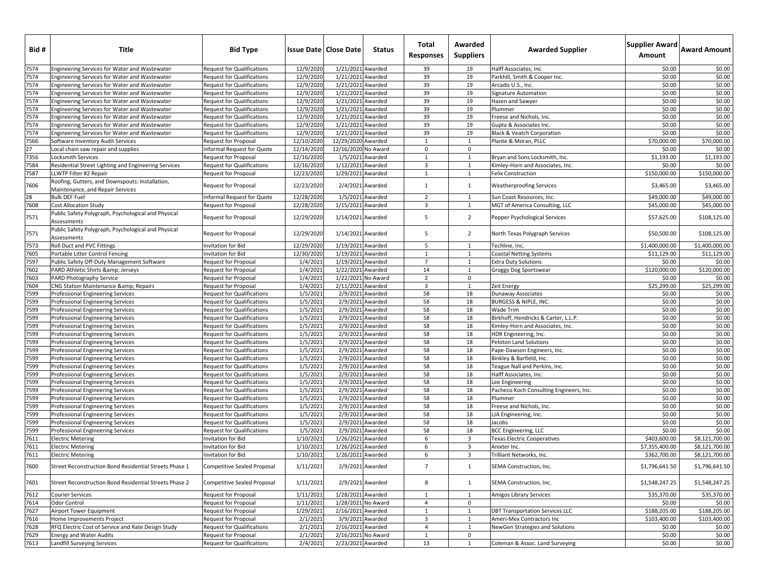| Bid # | Title                                                                               | <b>Bid Type</b>                    |            | <b>Issue Date   Close Date</b> | <b>Status</b> | Total<br><b>Responses</b> | Awarded<br><b>Suppliers</b> | <b>Awarded Supplier</b>                 | Supplier Award<br>Amount | <b>Award Amount</b> |
|-------|-------------------------------------------------------------------------------------|------------------------------------|------------|--------------------------------|---------------|---------------------------|-----------------------------|-----------------------------------------|--------------------------|---------------------|
| 7574  | Engineering Services for Water and Wastewater                                       | <b>Request for Qualifications</b>  | 12/9/2020  | 1/21/2021 Awarded              |               | 39                        | 19                          | Halff Associates, Inc.                  | \$0.00                   | \$0.00              |
| 7574  | Engineering Services for Water and Wastewater                                       | Request for Qualifications         | 12/9/2020  | 1/21/2021 Awarded              |               | 39                        | 19                          | Parkhill, Smith & Cooper Inc.           | \$0.00                   | \$0.00              |
| 7574  | Engineering Services for Water and Wastewater                                       | Request for Qualifications         | 12/9/2020  | 1/21/2021 Awarded              |               | 39                        | 19                          | Arcadis U.S., Inc.                      | \$0.00                   | \$0.00              |
| 7574  | Engineering Services for Water and Wastewater                                       | Request for Qualifications         | 12/9/2020  | 1/21/2021 Awarded              |               | 39                        | 19                          | <b>Signature Automation</b>             | \$0.00                   | \$0.00              |
| 7574  | Engineering Services for Water and Wastewater                                       | Request for Qualifications         | 12/9/2020  | 1/21/2021 Awarded              |               | 39                        | 19                          | Hazen and Sawyer                        | \$0.00                   | \$0.00              |
| 7574  | Engineering Services for Water and Wastewater                                       | Request for Qualifications         | 12/9/2020  | 1/21/2021 Awarded              |               | 39                        | 19                          | Plummer                                 | \$0.00                   | \$0.00              |
| 7574  | Engineering Services for Water and Wastewater                                       | Request for Qualifications         | 12/9/2020  | 1/21/2021 Awarded              |               | 39                        | 19                          | Freese and Nichols, Inc.                | \$0.00                   | \$0.00              |
| 7574  | Engineering Services for Water and Wastewater                                       | Request for Qualifications         | 12/9/2020  | 1/21/2021 Awarded              |               | 39                        | 19                          | Gupta & Associates Inc.                 | \$0.00                   | \$0.00              |
| 7574  | Engineering Services for Water and Wastewater                                       | Request for Qualifications         | 12/9/2020  | 1/21/2021 Awarded              |               | 39                        | 19                          | Black & Veatch Corporation              | \$0.00                   | \$0.00              |
| 7566  | Software Inventory Audit Services                                                   | Request for Proposal               | 12/10/2020 | 12/29/2020 Awarded             |               | 1                         | $\mathbf{1}$                | Plante & Moran, PLLC                    | \$70,000.00              | \$70,000.00         |
| 27    | Local chain saw repair and supplies                                                 | nformal Request for Quote          | 12/14/2020 | 12/16/2020 No Award            |               | $\mathbf 0$               | 0                           |                                         | \$0.00                   | \$0.00              |
| 7356  | Locksmith Services                                                                  | Request for Proposal               | 12/16/2020 | 1/5/2021 Awarded               |               | $\mathbf{1}$              | $\mathbf{1}$                | Brvan and Sons Locksmith. Inc.          | \$1,193.00               | \$1,193.00          |
| 7584  | Residential Street Lighting and Engineering Services                                | Request for Qualifications         | 12/16/2020 | 1/12/2021 Awarded              |               | $\overline{\mathbf{3}}$   | $\mathbf{1}$                | Kimley-Horn and Associates, Inc.        | \$0.00                   | \$0.00              |
| 7587  | LLWTP Filter #2 Repair                                                              | <b>Request for Proposal</b>        | 12/23/2020 | 1/29/2021 Awarded              |               | $\mathbf{1}$              | 1                           | <b>Felix Construction</b>               | \$150,000.00             | \$150,000.00        |
| 7606  | Roofing, Gutters, and Downspouts: Installation,<br>Maintenance, and Repair Services | Request for Proposal               | 12/23/2020 | 2/4/2021 Awarded               |               | $\mathbf{1}$              | $\mathbf{1}$                | <b>Weatherproofing Services</b>         | \$3,465.00               | \$3,465.00          |
| 28    | <b>Bulk DEF Fuel</b>                                                                | nformal Request for Quote          | 12/28/2020 | 1/5/2021 Awarded               |               | $\overline{2}$            | 1                           | Sun Coast Resources, Inc.               | \$49,000.00              | \$49,000.00         |
| 7608  | <b>Cost Allocation Study</b>                                                        | Request for Proposal               | 12/28/2020 | 1/15/2021 Awarded              |               | $\overline{\mathbf{3}}$   | $\mathbf{1}$                | MGT of America Consulting, LLC          | \$45,000.00              | \$45,000.00         |
| 7571  | Public Safety Polygraph, Psychological and Physical<br>Assessments                  | Request for Proposal               | 12/29/2020 | 1/14/2021 Awarded              |               | 5                         | $\overline{2}$              | Pepper Psychological Services           | \$57,625.00              | \$108,125.00        |
| 7571  | Public Safety Polygraph, Psychological and Physical<br>Assessments                  | Request for Proposal               | 12/29/2020 | 1/14/2021 Awarded              |               | 5                         | $\overline{2}$              | North Texas Polygraph Services          | \$50,500.00              | \$108,125.00        |
| 7573  | Roll Duct and PVC Fittings                                                          | Invitation for Bid                 | 12/29/2020 | 1/19/2021 Awarded              |               | 5                         | $\mathbf{1}$                | Techline, Inc.                          | \$1,400,000.00           | \$1,400,000,00      |
| 7605  | Portable Litter Control Fencing                                                     | nvitation for Bid                  | 12/30/2020 | 1/19/2021 Awarded              |               | $\mathbf{1}$              | 1                           | <b>Coastal Netting Systems</b>          | \$11,129.00              | \$11,129.00         |
| 7597  | Public Safety Off-Duty Management Software                                          | Request for Proposal               | 1/4/202    | 1/19/2021 Awarded              |               | $\overline{7}$            | 1                           | <b>Extra Duty Solutions</b>             | \$0.00                   | \$0.00              |
| 7602  | PARD Athletic Shirts & Jerseys                                                      | Request for Proposal               | 1/4/202    | 1/22/2021 Awarded              |               | 14                        | $\mathbf{1}$                | Groggy Dog Sportswear                   | \$120,000.00             | \$120,000.00        |
| 7603  | PARD Photography Service                                                            | Request for Proposal               | 1/4/2021   | 1/22/2021 No Award             |               | $\overline{2}$            | $\Omega$                    |                                         | \$0.00                   | \$0.00              |
| 7604  | CNG Station Maintenance & Repairs                                                   | Request for Proposal               | 1/4/202    | 2/11/2021 Awarded              |               | $\overline{\mathbf{3}}$   | $\mathbf{1}$                | Zeit Energy                             | \$25,299.00              | \$25,299.00         |
| 7599  | <b>Professional Engineering Services</b>                                            | Request for Qualifications         | 1/5/202    | 2/9/2021 Awarded               |               | 58                        | 18                          | Dunaway Associates                      | \$0.00                   | \$0.00              |
| 7599  | <b>Professional Engineering Services</b>                                            | Request for Qualifications         | 1/5/202    | 2/9/2021 Awarded               |               | 58                        | 18                          | BURGESS & NIPLE, INC.                   | \$0.00                   | \$0.00              |
| 7599  | <b>Professional Engineering Services</b>                                            | Request for Qualifications         | 1/5/2021   | 2/9/2021 Awarded               |               | 58                        | 18                          | Wade Trim                               | \$0.00                   | \$0.00              |
| 7599  | <b>Professional Engineering Services</b>                                            | Request for Qualifications         | 1/5/2021   | 2/9/2021 Awarded               |               | 58                        | 18                          | Birkhoff, Hendricks & Carter, L.L.P.    | \$0.00                   | \$0.00              |
| 7599  | <b>Professional Engineering Services</b>                                            | Request for Qualifications         | 1/5/2021   | 2/9/2021 Awarded               |               | 58                        | 18                          | Kimley-Horn and Associates, Inc.        | \$0.00                   | \$0.00              |
| 7599  | Professional Engineering Services                                                   | Request for Qualifications         | 1/5/202    | 2/9/2021 Awarded               |               | 58                        | 18                          | HDR Engineering, Inc.                   | \$0.00                   | \$0.00              |
| 7599  | <b>Professional Engineering Services</b>                                            | Request for Qualifications         | 1/5/202    | 2/9/2021 Awarded               |               | 58                        | 18                          | Peloton Land Solutions                  | \$0.00                   | \$0.00              |
| 7599  | <b>Professional Engineering Services</b>                                            | Request for Qualifications         | 1/5/2021   | 2/9/2021 Awarded               |               | 58                        | 18                          | Pape-Dawson Engineers, Inc.             | \$0.00                   | \$0.00              |
| 7599  | <b>Professional Engineering Services</b>                                            | Request for Qualifications         | 1/5/2021   | 2/9/2021 Awarded               |               | 58                        | 18                          | Binkley & Barfield, Inc.                | \$0.00                   | \$0.00              |
| 7599  | <b>Professional Engineering Services</b>                                            | Request for Qualifications         | 1/5/2021   | 2/9/2021 Awarded               |               | 58                        | 18                          | Teague Nall and Perkins, Inc.           | \$0.00                   | \$0.00              |
| 7599  | Professional Engineering Services                                                   | Request for Qualifications         | 1/5/202    | 2/9/2021 Awarded               |               | 58                        | 18                          | Halff Associates, Inc.                  | \$0.00                   | \$0.00              |
| 7599  | <b>Professional Engineering Services</b>                                            | Request for Qualifications         | 1/5/202    | 2/9/2021 Awarded               |               | 58                        | 18                          | Lee Engineering                         | \$0.00                   | \$0.00              |
| 7599  | <b>Professional Engineering Services</b>                                            | Request for Qualifications         | 1/5/2021   | 2/9/2021 Awarded               |               | 58                        | 18                          | Pacheco Koch Consulting Engineers, Inc. | \$0.00                   | \$0.00              |
| 7599  | <b>Professional Engineering Services</b>                                            | Request for Qualifications         | 1/5/2021   | 2/9/2021 Awarded               |               | 58                        | 18                          | Plummer                                 | \$0.00                   | \$0.00              |
| 7599  | <b>Professional Engineering Services</b>                                            | Request for Qualifications         | 1/5/202    | 2/9/2021 Awarded               |               | 58                        | 18                          | Freese and Nichols, Inc.                | \$0.00                   | \$0.00              |
| 7599  | Professional Engineering Services                                                   | Request for Qualifications         | 1/5/202    | 2/9/2021 Awarded               |               | 58                        | 18                          | LJA Engineering, Inc.                   | \$0.00                   | \$0.00              |
| 7599  | <b>Professional Engineering Services</b>                                            | Request for Qualifications         | 1/5/202    | 2/9/2021 Awarded               |               | 58                        | 18                          | Jacobs                                  | \$0.00                   | \$0.00              |
| 7599  | <b>Professional Engineering Services</b>                                            | Request for Qualifications         | 1/5/2021   | 2/9/2021 Awarded               |               | 58                        | 18                          | <b>BCC Engineering, LLC</b>             | \$0.00                   | \$0.00              |
| 7611  | <b>Electric Metering</b>                                                            | nvitation for Bid                  | 1/10/2021  | 1/26/2021 Awarded              |               | 6                         | 3                           | Texas Electric Cooperatives             | \$403,600.00             | \$8,121,700.00      |
| 7611  | <b>Electric Metering</b>                                                            | nvitation for Bid                  | 1/10/202   | 1/26/2021 Awarded              |               | 6                         | 3                           | Anixter Inc.                            | \$7,355,400.00           | \$8.121.700.00      |
| 7611  | <b>Electric Metering</b>                                                            | nvitation for Bid                  | 1/10/202   | 1/26/2021 Awarded              |               | 6                         | 3                           | Trilliant Networks, Inc.                | \$362,700.00             | \$8,121,700.00      |
| 7600  | Street Reconstruction Bond Residential Streets Phase 1                              | Competitive Sealed Proposal        | 1/11/2021  | 2/9/2021 Awarded               |               | $7\overline{ }$           | $\mathbf{1}$                | SEMA Construction, Inc.                 | \$1,796,641.50           | \$1,796,641.50      |
| 7601  | Street Reconstruction Bond Residential Streets Phase 2                              | <b>Competitive Sealed Proposal</b> | 1/11/2021  | 2/9/2021 Awarded               |               | 8                         | $\mathbf{1}$                | SEMA Construction, Inc.                 | \$1,548,247.25           | \$1,548,247.25      |
| 7612  | <b>Courier Services</b>                                                             | <b>Request for Proposal</b>        | 1/11/202   | 1/28/2021 Awarded              |               | $\mathbf{1}$              | $\mathbf{1}$                | Amigos Library Services                 | \$35,370.00              | \$35,370.00         |
| 7614  | Odor Control                                                                        | Request for Proposal               | 1/11/2021  | 1/28/2021 No Award             |               | $\overline{4}$            | 0                           |                                         | \$0.00                   | \$0.00              |
| 7627  | Airport Tower Equipment                                                             | Request for Proposal               | 1/29/2021  | 2/16/2021 Awarded              |               | 1                         | 1                           | <b>DBT Transportation Services LLC</b>  | \$188,205.00             | \$188,205.00        |
| 7616  | Home Improvements Project                                                           | Request for Proposal               | 2/1/2021   | 3/9/2021 Awarded               |               | $\overline{\mathbf{3}}$   | $\mathbf{1}$                | Ameri-Mex Contractors Inc               | \$103,400.00             | \$103,400.00        |
| 7628  | RFQ Electric Cost of Service and Rate Design Study                                  | Request for Qualifications         | 2/1/202    | 2/16/2021 Awarded              |               | $\overline{4}$            | $\mathbf{1}$                | NewGen Strategies and Solutions         | \$0.00                   | \$0.00              |
| 7629  | <b>Energy and Water Audits</b>                                                      | Request for Proposal               | 2/1/202    | 2/16/2021 No Award             |               | $\mathbf{1}$              | 0                           |                                         | \$0.00                   | \$0.00              |
| 7613  | Landfill Surveying Services                                                         | <b>Request for Qualifications</b>  | 2/4/2021   | 2/23/2021 Awarded              |               | 13                        | 1                           | Coleman & Assoc. Land Surveying         | \$0.00                   | \$0.00              |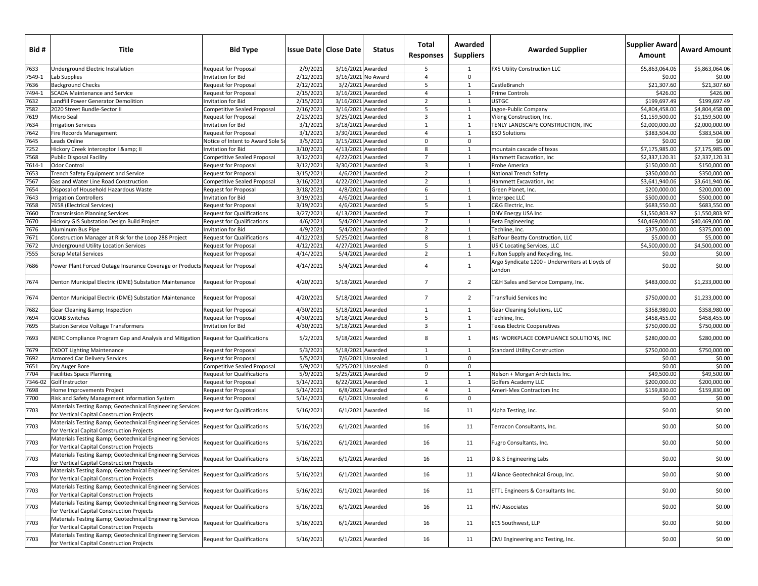| Bid #           | Title                                                                                                        | <b>Bid Type</b>                                    |                       | <b>Issue Date   Close Date</b>         | <b>Status</b>                        | Total<br><b>Responses</b>      | Awarded<br><b>Suppliers</b>  | <b>Awarded Supplier</b>                                                                        | Supplier Award<br>Amount       | <b>Award Amount</b>            |
|-----------------|--------------------------------------------------------------------------------------------------------------|----------------------------------------------------|-----------------------|----------------------------------------|--------------------------------------|--------------------------------|------------------------------|------------------------------------------------------------------------------------------------|--------------------------------|--------------------------------|
| 7633            | Underground Electric Installation                                                                            | Request for Proposal                               | 2/9/2021              | 3/16/2021 Awarded                      |                                      | 5                              | -1                           | FX5 Utility Construction LLC                                                                   | \$5,863,064.06                 | \$5,863,064.06                 |
| 7549-1          | Lab Supplies                                                                                                 | nvitation for Bid                                  | 2/12/2021             |                                        | 3/16/2021 No Award                   | $\overline{4}$                 | 0                            |                                                                                                | \$0.00                         | \$0.00                         |
| 7636            | <b>Background Checks</b>                                                                                     | Request for Proposal                               | 2/12/2021             |                                        | 3/2/2021 Awarded                     | 5                              | $\mathbf{1}$                 | CastleBranch                                                                                   | \$21,307.60                    | \$21,307.60                    |
| 7494-1          | <b>SCADA Maintenance and Service</b>                                                                         | Request for Proposal                               | 2/15/202              | 3/16/2021 Awarded                      |                                      | $\overline{4}$                 | 1                            | Prime Controls                                                                                 | \$426.00                       | \$426.00                       |
| 7632            | Landfill Power Generator Demolition                                                                          | nvitation for Bid                                  | 2/15/202              | 3/16/2021 Awarded                      |                                      | $\overline{2}$                 | 1                            | JSTGC                                                                                          | \$199,697.49                   | \$199,697.49                   |
| 7582            | 2020 Street Bundle-Sector II                                                                                 | Competitive Sealed Proposal                        | 2/16/202              | 3/16/2021 Awarded                      |                                      | 5                              | 1                            | lagoe-Public Company                                                                           | \$4,804,458.00                 | \$4,804,458.00                 |
| '619            | Micro Seal                                                                                                   | Request for Proposal                               | 2/23/2021             | 3/25/2021 Awarded                      |                                      | $\overline{\mathbf{3}}$        | 1                            | Viking Construction, Inc.                                                                      | \$1,159,500.00                 | \$1,159,500.00                 |
| 7634<br>7642    | <b>Irrigation Services</b><br>Fire Records Management                                                        | nvitation for Bid<br>Request for Proposal          | 3/1/2021<br>3/1/202   | 3/18/2021 Awarded<br>3/30/2021 Awarded |                                      | $\mathbf{1}$<br>$\overline{4}$ | 1<br>$\mathbf{1}$            | TENLY LANDSCAPE CONSTRUCTION, INC<br><b>ESO Solutions</b>                                      | \$2,000,000.00<br>\$383,504.00 | \$2,000,000.00<br>\$383,504.00 |
| 7645            | Leads Online                                                                                                 | Notice of Intent to Award Sole S                   | 3/5/202               | 3/15/2021 Awarded                      |                                      | $\mathbf 0$                    | 0                            |                                                                                                | \$0.00                         | \$0.00                         |
| 7252            | Hickory Creek Interceptor I & II                                                                             | nvitation for Bid                                  | 3/10/202              | 4/13/2021 Awarded                      |                                      | 8                              | $\mathbf{1}$                 | nountain cascade of texas                                                                      | \$7,175,985.00                 | \$7,175,985.00                 |
| 7568            | <b>Public Disposal Facility</b>                                                                              | Competitive Sealed Proposal                        | 3/12/2021             | 4/22/2021 Awarded                      |                                      | $\overline{7}$                 | 1                            | Hammett Excavation, Inc                                                                        | \$2,337,120.31                 | \$2.337.120.31                 |
| 7614-1          | <b>Odor Control</b>                                                                                          | Request for Proposal                               | 3/12/202              | 3/30/2021 Awarded                      |                                      | $\overline{3}$                 | 1                            | Probe America                                                                                  | \$150,000.00                   | \$150,000.00                   |
| 7653            | Trench Safety Equipment and Service                                                                          | Request for Proposal                               | 3/15/202              |                                        | 4/6/2021 Awarded                     | $\overline{2}$                 | $\mathbf{1}$                 | National Trench Safety                                                                         | \$350,000.00                   | \$350,000.00                   |
| 7567            | Gas and Water Line Road Construction                                                                         | Competitive Sealed Proposal                        | 3/16/202              | 4/22/2021 Awarded                      |                                      | $\overline{2}$                 | $\mathbf{1}$                 | Hammett Excavation, Inc                                                                        | \$3,641,940.06                 | \$3,641,940.06                 |
| '654            | Disposal of Household Hazardous Waste                                                                        | Request for Proposal                               | 3/18/2021             |                                        | 4/8/2021 Awarded                     | 6                              | $\mathbf{1}$                 | Green Planet, Inc.                                                                             | \$200,000.00                   | \$200,000.00                   |
| 7643            | <b>Irrigation Controllers</b>                                                                                | nvitation for Bid                                  | 3/19/2021             |                                        | 4/6/2021 Awarded                     | $\mathbf{1}$                   | 1                            | nterspec LLC                                                                                   | \$500,000.00                   | \$500,000.00                   |
| 7658            | 7658 (Electrical Services)                                                                                   | Request for Proposal                               | 3/19/2021             |                                        | 4/6/2021 Awarded                     | 5                              | 1                            | C&G Electric, Inc.                                                                             | \$683,550.00                   | \$683,550.00                   |
| 7660            | <b>Transmission Planning Services</b>                                                                        | Request for Qualifications                         | 3/27/202              | 4/13/2021 Awarded                      |                                      | $\overline{7}$                 | 1                            | DNV Energy USA Inc                                                                             | \$1,550,803.97                 | \$1,550,803.97                 |
| 7670            | Hickory GIS Substation Design Build Project                                                                  | Request for Qualifications                         | 4/6/202               |                                        | 5/4/2021 Awarded                     | $\overline{7}$                 | $\mathbf{1}$                 | Beta Engineering                                                                               | \$40,469,000.00                | \$40,469,000.00                |
| 7676            | Aluminum Bus Pipe                                                                                            | nvitation for Bid                                  | 4/9/2021              |                                        | 5/4/2021 Awarded                     | $\overline{2}$                 | 1                            | Techline, Inc.                                                                                 | \$375,000.00                   | \$375,000.00                   |
| 7671            | Construction Manager at Risk for the Loop 288 Project                                                        | Request for Qualifications                         | 4/12/2021             | 5/25/2021 Awarded                      |                                      | 8                              | 1                            | <b>Balfour Beatty Construction, LLC</b>                                                        | \$5,000.00                     | \$5,000.00                     |
| 7672<br>7555    | Underground Utility Location Services                                                                        | Request for Proposal                               | 4/12/202              | 4/27/2021 Awarded                      |                                      | 5<br>$\overline{2}$            | 1<br>1                       | USIC Locating Services, LLC                                                                    | \$4,500,000.00<br>\$0.00       | \$4,500,000.00                 |
| 7686            | <b>Scrap Metal Services</b><br>Power Plant Forced Outage Insurance Coverage or Products Request for Proposal | Request for Proposal                               | 4/14/202<br>4/14/2021 |                                        | 5/4/2021 Awarded<br>5/4/2021 Awarded | $\overline{4}$                 | $\mathbf{1}$                 | Fulton Supply and Recycling, Inc.<br>Argo Syndicate 1200 - Underwriters at Lloyds of<br>.ondon | \$0.00                         | \$0.00<br>\$0.00               |
| 7674            | Denton Municipal Electric (DME) Substation Maintenance                                                       | Request for Proposal                               | 4/20/2021             | 5/18/2021 Awarded                      |                                      | $7\overline{ }$                | $\overline{2}$               | C&H Sales and Service Company, Inc.                                                            | \$483,000.00                   | \$1,233,000.00                 |
| 7674            | Denton Municipal Electric (DME) Substation Maintenance                                                       | <b>Request for Proposal</b>                        | 4/20/2021             | 5/18/2021 Awarded                      |                                      | $\overline{7}$                 | $\overline{2}$               | <b>Transfluid Services Inc</b>                                                                 | \$750,000.00                   | \$1,233,000.00                 |
| 7682            | Gear Cleaning & Inspection                                                                                   | Request for Proposal                               | 4/30/202              | 5/18/2021 Awarded                      |                                      | 1                              | 1                            | Gear Cleaning Solutions, LLC                                                                   | \$358,980.00                   | \$358,980.00                   |
| 7694            | <b>GOAB Switches</b>                                                                                         | Request for Proposal                               | 4/30/2021             | 5/18/2021 Awarded                      |                                      | 5                              | $\mathbf{1}$                 | Fechline, Inc.                                                                                 | \$458,455.00                   | \$458,455.00                   |
| 7695            | <b>Station Service Voltage Transformers</b>                                                                  | nvitation for Bid                                  | 4/30/2021             | 5/18/2021 Awarded                      |                                      | $\overline{3}$                 | $\mathbf{1}$                 | <b>Texas Electric Cooperatives</b>                                                             | \$750,000.00                   | \$750,000.00                   |
| 7693            | NERC Compliance Program Gap and Analysis and Mitigation Request for Qualifications                           |                                                    | 5/2/2021              | 5/18/2021 Awarded                      |                                      | 8                              | $\mathbf{1}$                 | HSI WORKPLACE COMPLIANCE SOLUTIONS, INC                                                        | \$280,000.00                   | \$280,000.00                   |
| 7679            | <b>TXDOT Lighting Maintenance</b>                                                                            | <b>Request for Proposal</b>                        | 5/3/202               | 5/18/2021 Awarded                      |                                      | $\mathbf{1}$                   | 1                            | <b>Standard Utility Construction</b>                                                           | \$750,000.00                   | \$750,000.00                   |
| 7692            | Armored Car Delivery Services                                                                                | Request for Proposal                               | 5/5/2021              |                                        | 7/6/2021 Unsealed                    | $\mathbf{1}$                   | 0                            |                                                                                                | \$0.00                         | \$0.00                         |
| 7651            | Dry Auger Bore                                                                                               | Competitive Sealed Proposal                        | 5/9/2021              | 5/25/2021 Unsealed                     |                                      | $\mathbf 0$                    | 0                            |                                                                                                | \$0.00                         | \$0.00                         |
| 7704<br>7346-02 | <b>Facilities Space Planning</b><br>Golf Instructor                                                          | Request for Qualifications<br>Request for Proposal | 5/9/202<br>5/14/202   | 5/25/2021 Awarded<br>6/22/2021 Awarded |                                      | 9<br>$\mathbf{1}$              | $\mathbf{1}$<br>$\mathbf{1}$ | Nelson + Morgan Architects Inc.<br>Golfers Academy LLC                                         | \$49,500.00<br>\$200,000.00    | \$49,500.00<br>\$200,000.00    |
| 7698            | Home Improvements Project                                                                                    | Request for Proposal                               | 5/14/2021             |                                        | 6/8/2021 Awarded                     | $\overline{4}$                 | $\mathbf{1}$                 | Ameri-Mex Contractors Inc                                                                      | \$159,830.00                   | \$159,830.00                   |
| 7700            | Risk and Safety Management Information System                                                                | Request for Proposal                               | 5/14/2021             |                                        | 6/1/2021 Unsealed                    | 6                              | 0                            |                                                                                                | \$0.00                         | \$0.00                         |
| 7703            | Materials Testing & Geotechnical Engineering Services<br>for Vertical Capital Construction Projects          | <b>Request for Qualifications</b>                  | 5/16/2021             |                                        | 6/1/2021 Awarded                     | 16                             | 11                           | Alpha Testing, Inc.                                                                            | \$0.00                         | \$0.00                         |
| 7703            | Materials Testing & Geotechnical Engineering Services<br>for Vertical Capital Construction Projects          | <b>Request for Qualifications</b>                  | 5/16/2021             |                                        | 6/1/2021 Awarded                     | 16                             | 11                           | Terracon Consultants, Inc.                                                                     | \$0.00                         | \$0.00                         |
| 7703            | Materials Testing & Geotechnical Engineering Services<br>for Vertical Capital Construction Projects          | <b>Request for Qualifications</b>                  | 5/16/2021             |                                        | 6/1/2021 Awarded                     | 16                             | 11                           | ugro Consultants, Inc.                                                                         | \$0.00                         | \$0.00                         |
| 7703            | Materials Testing & Geotechnical Engineering Services<br>for Vertical Capital Construction Proiects          | <b>Request for Qualifications</b>                  | 5/16/2021             |                                        | 6/1/2021 Awarded                     | 16                             | 11                           | D & S Engineering Labs                                                                         | \$0.00                         | \$0.00                         |
| 7703            | Materials Testing & Geotechnical Engineering Services<br>for Vertical Capital Construction Projects          | Request for Qualifications                         | 5/16/2021             |                                        | 6/1/2021 Awarded                     | 16                             | 11                           | Alliance Geotechnical Group, Inc.                                                              | \$0.00                         | \$0.00                         |
| 7703            | Materials Testing & Geotechnical Engineering Services<br>for Vertical Capital Construction Projects          | <b>Request for Qualifications</b>                  | 5/16/2021             |                                        | 6/1/2021 Awarded                     | 16                             | 11                           | ETTL Engineers & Consultants Inc.                                                              | \$0.00                         | \$0.00                         |
| 7703            | Materials Testing & Geotechnical Engineering Services<br>for Vertical Capital Construction Projects          | <b>Request for Qualifications</b>                  | 5/16/2021             |                                        | 6/1/2021 Awarded                     | 16                             | 11                           | <b>HVJ Associates</b>                                                                          | \$0.00                         | \$0.00                         |
| 7703            | Materials Testing & Geotechnical Engineering Services<br>for Vertical Capital Construction Projects          | <b>Request for Qualifications</b>                  | 5/16/2021             |                                        | 6/1/2021 Awarded                     | 16                             | 11                           | ECS Southwest, LLP                                                                             | \$0.00                         | \$0.00                         |
| 7703            | Materials Testing & Geotechnical Engineering Services<br>for Vertical Capital Construction Projects          | Request for Qualifications                         | 5/16/2021             |                                        | 6/1/2021 Awarded                     | 16                             | 11                           | CMJ Engineering and Testing, Inc.                                                              | \$0.00                         | \$0.00                         |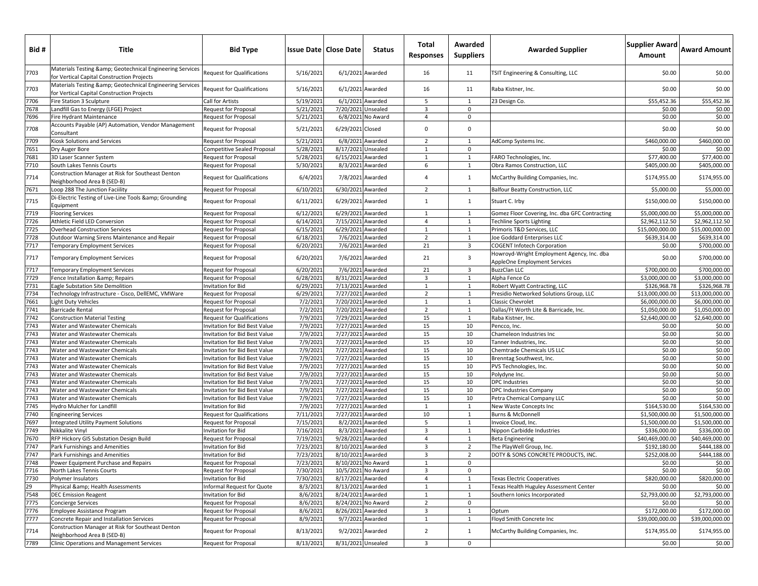| Bid# | Title                                                                                               | <b>Bid Type</b>                    |           | <b>Issue Date   Close Date</b> | Status            | Total<br><b>Responses</b> | Awarded<br><b>Suppliers</b> | <b>Awarded Supplier</b>                                                    | <b>Supplier Award</b><br>Amount | <b>Award Amount</b> |
|------|-----------------------------------------------------------------------------------------------------|------------------------------------|-----------|--------------------------------|-------------------|---------------------------|-----------------------------|----------------------------------------------------------------------------|---------------------------------|---------------------|
| 7703 | Materials Testing & Geotechnical Engineering Services<br>for Vertical Capital Construction Projects | <b>Request for Qualifications</b>  | 5/16/2021 |                                | 6/1/2021 Awarded  | 16                        | 11                          | TSIT Engineering & Consulting, LLC                                         | \$0.00                          | \$0.00              |
| 7703 | Materials Testing & Geotechnical Engineering Services<br>for Vertical Capital Construction Projects | <b>Request for Qualifications</b>  | 5/16/2021 |                                | 6/1/2021 Awarded  | 16                        | 11                          | Raba Kistner, Inc.                                                         | \$0.00                          | \$0.00              |
| 7706 | Fire Station 3 Sculpture                                                                            | Call for Artists                   | 5/19/2021 | 6/1/2021 Awarded               |                   | 5                         | 1                           | 23 Design Co.                                                              | \$55,452.36                     | \$55,452.36         |
| 7678 | Landfill Gas to Energy (LFGE) Project                                                               | <b>Request for Proposal</b>        | 5/21/2021 | 7/20/2021 Unsealed             |                   | 3                         | 0                           |                                                                            | \$0.00                          | \$0.00              |
| 7696 | Fire Hydrant Maintenance                                                                            | <b>Request for Proposal</b>        | 5/21/2021 |                                | 6/8/2021 No Award | $\overline{4}$            | 0                           |                                                                            | \$0.00                          | \$0.00              |
| 7708 | Accounts Payable (AP) Automation, Vendor Management<br>Consultant                                   | <b>Request for Proposal</b>        | 5/21/2021 | 6/29/2021 Closed               |                   | 0                         | $\mathbf 0$                 |                                                                            | \$0.00                          | \$0.00              |
| 7709 | Kiosk Solutions and Services                                                                        | Request for Proposal               | 5/21/2021 | 6/8/2021 Awarded               |                   | $\overline{2}$            | 1                           | AdComp Systems Inc.                                                        | \$460,000.00                    | \$460,000.00        |
| 7651 | Dry Auger Bore                                                                                      | <b>Competitive Sealed Proposal</b> | 5/28/2021 | 8/17/2021 Unsealed             |                   | $\mathbf{1}$              | 0                           |                                                                            | \$0.00                          | \$0.00              |
| 7681 | 3D Laser Scanner System                                                                             | <b>Request for Proposal</b>        | 5/28/2021 | 6/15/2021 Awarded              |                   | $\mathbf{1}$              | $\mathbf{1}$                | FARO Technologies, Inc.                                                    | \$77,400.00                     | \$77,400.00         |
| 7710 | South Lakes Tennis Courts                                                                           | <b>Request for Proposal</b>        | 5/30/202  | 8/3/2021 Awarded               |                   | 6                         | $\mathbf{1}$                | Obra Ramos Construction, LLC                                               | \$405,000.00                    | \$405,000.00        |
| 7714 | Construction Manager at Risk for Southeast Denton<br>Neighborhood Area B (SED-B)                    | <b>Request for Qualifications</b>  | 6/4/2021  |                                | 7/8/2021 Awarded  | $\overline{4}$            | $\mathbf{1}$                | McCarthy Building Companies, Inc.                                          | \$174,955.00                    | \$174,955.00        |
| 7671 | Loop 288 The Junction Faciility                                                                     | Request for Proposal               | 6/10/2021 | 6/30/2021 Awarded              |                   | $\overline{2}$            | 1                           | <b>Balfour Beatty Construction, LLC</b>                                    | \$5,000.00                      | \$5,000.00          |
| 7715 | Di-Electric Testing of Live-Line Tools & Grounding<br>Equipment                                     | Request for Proposal               | 6/11/2021 | 6/29/2021 Awarded              |                   | $\mathbf{1}$              | $\mathbf{1}$                | Stuart C. Irby                                                             | \$150,000.00                    | \$150,000.00        |
| 7719 | <b>Flooring Services</b>                                                                            | Request for Proposal               | 6/12/2021 | 6/29/2021 Awarded              |                   | 1                         | 1                           | Gomez Floor Covering, Inc. dba GFC Contracting                             | \$5,000,000.00                  | \$5,000,000.00      |
| 7726 | Athletic Field LED Conversion                                                                       | Request for Proposal               | 6/14/2021 | 7/15/2021 Awarded              |                   | $\overline{4}$            | 1                           | Techline Sports Lighting                                                   | \$2,962,112.50                  | \$2,962,112.50      |
| 7725 | Overhead Construction Services                                                                      | <b>Request for Proposal</b>        | 6/15/2021 | 6/29/2021 Awarded              |                   | 1                         | 1                           | Primoris T&D Services, LLC                                                 | \$15,000,000.00                 | \$15,000,000.00     |
| 7728 | Outdoor Warning Sirens Maintenance and Repair                                                       | <b>Request for Proposal</b>        | 6/18/2021 | 7/6/2021 Awarded               |                   | $\overline{2}$            | $\mathbf{1}$                | Joe Goddard Enterprises LLC                                                | \$639,314.00                    | \$639,314.00        |
| 7717 | <b>Temporary Employment Services</b>                                                                | Request for Proposal               | 6/20/202  | 7/6/2021 Awarded               |                   | 21                        | $\overline{3}$              | <b>COGENT Infotech Corporation</b>                                         | \$0.00                          | \$700,000.00        |
| 7717 | <b>Temporary Employment Services</b>                                                                | Request for Proposal               | 6/20/2021 |                                | 7/6/2021 Awarded  | 21                        | $\overline{3}$              | Howroyd-Wright Employment Agency, Inc. dba<br>AppleOne Employment Services | \$0.00                          | \$700,000.00        |
| 7717 | Temporary Employment Services                                                                       | Request for Proposal               | 6/20/2021 | 7/6/2021 Awarded               |                   | 21                        | $\overline{3}$              | <b>BuzzClan LLC</b>                                                        | \$700,000.00                    | \$700,000.00        |
| 7729 | Fence Installation & Repairs                                                                        | <b>Request for Proposal</b>        | 6/28/2021 | 8/31/2021 Awarded              |                   | 3                         | $\mathbf{1}$                | Alpha Fence Co                                                             | \$3,000,000.00                  | \$3,000,000.00      |
| 7731 | Eagle Substation Site Demolition                                                                    | Invitation for Bid                 | 6/29/2021 | 7/13/2021 Awarded              |                   | $\mathbf{1}$              | $\mathbf{1}$                | Robert Wyatt Contracting, LLC                                              | \$326,968.78                    | \$326,968.78        |
| 7734 | Technology Infrastructure - Cisco, DellEMC, VMWare                                                  | Request for Proposal               | 6/29/2021 | 7/27/2021 Awarded              |                   | 2                         | 1                           | Presidio Networked Solutions Group, LLC                                    | \$13,000,000.00                 | \$13,000,000.00     |
| 7661 | Light Duty Vehicles                                                                                 | <b>Request for Proposal</b>        | 7/2/2021  | 7/20/2021 Awarded              |                   | $\mathbf{1}$              | $\mathbf{1}$                | Classic Chevrolet                                                          | \$6,000,000.00                  | \$6,000,000.00      |
| 7741 | Barricade Rental                                                                                    | <b>Request for Proposal</b>        | 7/2/2021  | 7/20/2021 Awarded              |                   | $\overline{2}$            | $\mathbf{1}$                | Dallas/Ft Worth Lite & Barricade, Inc.                                     | \$1,050,000.00                  | \$1,050,000.00      |
| 7742 | <b>Construction Material Testing</b>                                                                | <b>Request for Qualifications</b>  | 7/9/2021  | 7/29/2021 Awarded              |                   | 15                        | $\mathbf{1}$                | Raba Kistner, Inc.                                                         | \$2,640,000.00                  | \$2,640,000.00      |
| 7743 | Water and Wastewater Chemicals                                                                      | Invitation for Bid Best Value      | 7/9/2021  | 7/27/2021 Awarded              |                   | 15                        | 10                          | Pencco, Inc.                                                               | \$0.00                          | \$0.00              |
| 7743 | Water and Wastewater Chemicals                                                                      | Invitation for Bid Best Value      | 7/9/2021  | 7/27/2021 Awarded              |                   | 15                        | 10                          | Chameleon Industries Inc                                                   | \$0.00                          | \$0.00              |
| 7743 | Water and Wastewater Chemicals                                                                      | Invitation for Bid Best Value      | 7/9/2021  | 7/27/2021 Awarded              |                   | 15                        | 10                          | Tanner Industries, Inc.                                                    | \$0.00                          | \$0.00              |
| 7743 | Water and Wastewater Chemicals                                                                      | nvitation for Bid Best Value       | 7/9/2021  | 7/27/2021 Awarded              |                   | 15                        | 10                          | Chemtrade Chemicals US LLC                                                 | \$0.00                          | \$0.00              |
| 7743 | Water and Wastewater Chemicals                                                                      | Invitation for Bid Best Value      | 7/9/2021  | 7/27/2021 Awarded              |                   | 15                        | 10                          | Brenntag Southwest, Inc.                                                   | \$0.00                          | \$0.00              |
| 7743 | Water and Wastewater Chemicals                                                                      | Invitation for Bid Best Value      | 7/9/2021  | 7/27/2021 Awarded              |                   | 15                        | 10                          | PVS Technologies, Inc.                                                     | \$0.00                          | \$0.00              |
| 7743 | Water and Wastewater Chemicals                                                                      | Invitation for Bid Best Value      | 7/9/2021  | 7/27/2021 Awarded              |                   | 15                        | 10                          | Polydyne Inc.                                                              | \$0.00                          | \$0.00              |
| 7743 | Water and Wastewater Chemicals                                                                      | Invitation for Bid Best Value      | 7/9/2021  | 7/27/2021 Awarded              |                   | 15                        | 10                          | <b>DPC Industries</b>                                                      | \$0.00                          | \$0.00              |
| 7743 | Water and Wastewater Chemicals                                                                      | nvitation for Bid Best Value       | 7/9/2021  | 7/27/2021 Awarded              |                   | 15                        | 10                          | DPC Industries Company                                                     | \$0.00                          | \$0.00              |
| 7743 | Water and Wastewater Chemicals                                                                      | Invitation for Bid Best Value      | 7/9/2021  | 7/27/2021 Awarded              |                   | 15                        | 10                          | Petra Chemical Company LLC                                                 | \$0.00                          | \$0.00              |
| 7745 | Hydro Mulcher for Landfill                                                                          | Invitation for Bid                 | 7/9/202   | 7/27/2021 Awarded              |                   | $\mathbf{1}$              | $\mathbf{1}$                | New Waste Concepts Inc                                                     | \$164,530.00                    | \$164,530.00        |
| 7740 | <b>Engineering Services</b>                                                                         | <b>Request for Qualifications</b>  | 7/11/2021 | 7/27/2021 Awarded              |                   | 10                        | 1                           | Burns & McDonnell                                                          | \$1,500,000.00                  | \$1,500,000.00      |
| 7697 | Integrated Utility Payment Solutions                                                                | <b>Request for Proposal</b>        | 7/15/2021 | 8/2/2021 Awarded               |                   | 5                         | 1                           | Invoice Cloud, Inc.                                                        | \$1,500,000.00                  | \$1,500,000.00      |
| 7749 | Nikkalite Vinyl                                                                                     | Invitation for Bid                 | 7/16/2021 | 8/3/2021 Awarded               |                   | 3                         | 1                           | Nippon Carbidde Industries                                                 | \$336,000.00                    | \$336,000.00        |
| 7670 | RFP Hickory GIS Substation Design Build                                                             | Request for Proposal               | 7/19/2021 | 9/28/2021 Awarded              |                   | $\overline{4}$            | $\mathbf{1}$                | <b>Beta Engineering</b>                                                    | \$40,469,000.00                 | \$40,469,000.00     |
| 7747 | Park Furnishings and Amenities                                                                      | Invitation for Bid                 | 7/23/202  | 8/10/2021 Awarded              |                   | 3                         | $\overline{2}$              | The PlayWell Group, Inc.                                                   | \$192,180.00                    | \$444,188.00        |
| 7747 | Park Furnishings and Amenities                                                                      | Invitation for Bid                 | 7/23/2021 | 8/10/2021 Awarded              |                   | 3                         | $\overline{2}$              | DOTY & SONS CONCRETE PRODUCTS, INC.                                        | \$252,008.00                    | \$444,188.00        |
| 7748 | Power Equipment Purchase and Repairs                                                                | <b>Request for Proposal</b>        | 7/23/2021 | 8/10/2021 No Award             |                   | 1                         | $\mathbf 0$                 |                                                                            | \$0.00                          | \$0.00              |
| 7716 | North Lakes Tennis Courts                                                                           | <b>Request for Proposal</b>        | 7/30/2021 | 10/5/2021 No Award             |                   | $\overline{3}$            | $\mathbf 0$                 |                                                                            | \$0.00                          | \$0.00              |
| 7730 | Polymer Insulators                                                                                  | Invitation for Bid                 | 7/30/2021 | 8/17/2021 Awarded              |                   | $\overline{4}$            | $\mathbf{1}$                | <b>Texas Electric Cooperatives</b>                                         | \$820,000.00                    | \$820,000.00        |
| 29   | Physical & Health Assessments                                                                       | Informal Request for Quote         | 8/3/2021  | 8/13/2021 Awarded              |                   | $\mathbf{1}$              | 1                           | Texas Health Huguley Assessment Center                                     | \$0.00                          | \$0.00              |
| 7548 | <b>DEC Emission Reagent</b>                                                                         | Invitation for Bid                 | 8/6/2021  | 8/24/2021 Awarded              |                   | 1                         | 1                           | Southern Ionics Incorporated                                               | \$2,793,000.00                  | \$2,793,000.00      |
| 7775 | Concierge Services                                                                                  | Request for Proposal               | 8/6/2021  | 8/24/2021 No Award             |                   | $\overline{2}$            | $\mathbf 0$                 |                                                                            | \$0.00                          | \$0.00              |
| 7776 | Employee Assistance Program                                                                         | Request for Proposal               | 8/6/2021  | 8/26/2021 Awarded              |                   | 3                         | $\mathbf{1}$                | Optum                                                                      | \$172,000.00                    | \$172,000.00        |
| 7777 | Concrete Repair and Installation Services                                                           | Request for Proposal               | 8/9/2021  |                                | 9/7/2021 Awarded  | $\mathbf{1}$              | $\mathbf{1}$                | Floyd Smith Concrete Inc                                                   | \$39,000,000.00                 | \$39,000,000.00     |
| 7714 | Construction Manager at Risk for Southeast Denton<br>Neighborhood Area B (SED-B)                    | Request for Proposal               | 8/13/2021 |                                | 9/2/2021 Awarded  | $\overline{2}$            | 1                           | McCarthy Building Companies, Inc.                                          | \$174,955.00                    | \$174,955.00        |
| 7789 | Clinic Operations and Management Services                                                           | Request for Proposal               | 8/13/2021 | 8/31/2021 Unsealed             |                   | $\overline{\mathbf{3}}$   | $\mathbf 0$                 |                                                                            | \$0.00                          | \$0.00              |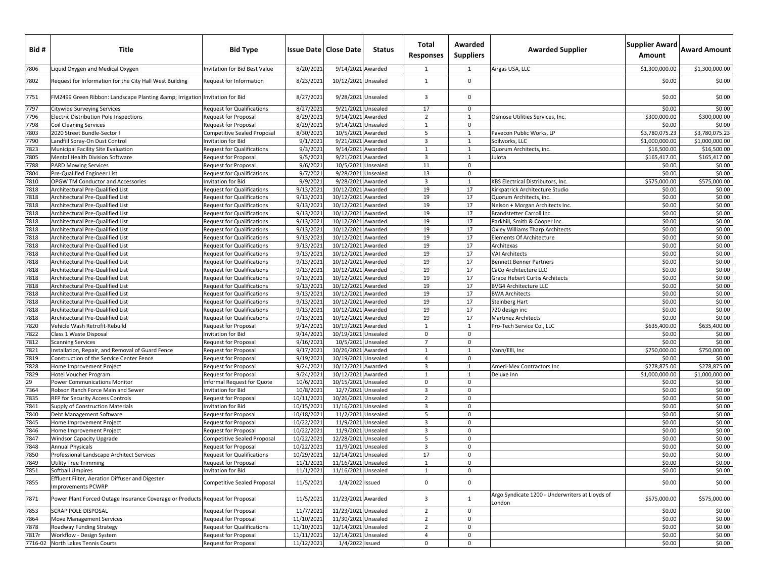| Bid#         | Title                                                                         | <b>Bid Type</b>                                                        |                          | <b>Issue Date   Close Date</b>            | <b>Status</b> | Total<br><b>Responses</b> | Awarded<br><b>Suppliers</b> | <b>Awarded Supplier</b>                                   | Supplier Award Award Amount<br>Amount |                        |
|--------------|-------------------------------------------------------------------------------|------------------------------------------------------------------------|--------------------------|-------------------------------------------|---------------|---------------------------|-----------------------------|-----------------------------------------------------------|---------------------------------------|------------------------|
| 7806         | iquid Oxygen and Medical Oxygen.                                              | Invitation for Bid Best Value                                          | 8/20/2021                | 9/14/2021 Awarded                         |               | 1                         | 1                           | Airgas USA, LLC                                           | \$1,300,000.00                        | \$1,300,000.00         |
| 7802         | Request for Information for the City Hall West Building                       | Request for Information                                                | 8/23/2021                | 10/12/2021 Unsealed                       |               | 1                         | $\mathbf 0$                 |                                                           | \$0.00                                | \$0.00                 |
| 7751         | FM2499 Green Ribbon: Landscape Planting & Irrigation Invitation for Bid       |                                                                        | 8/27/2021                | 9/28/2021 Unsealed                        |               | 3                         | $\mathbf 0$                 |                                                           | \$0.00                                | \$0.00                 |
| 7797         | Citywide Surveying Services                                                   | <b>Request for Qualifications</b>                                      | 8/27/2021                | 9/21/2021 Unsealed                        |               | 17                        | $\mathbf 0$                 |                                                           | \$0.00                                | \$0.00                 |
| 7796         | Electric Distribution Pole Inspections                                        | Request for Proposal                                                   | 8/29/2021                | 9/14/2021 Awarded                         |               | $\overline{2}$            | 1                           | Osmose Utilities Services, Inc.                           | \$300,000.00                          | \$300,000.00           |
| 7798         | <b>Coil Cleaning Services</b>                                                 | Request for Proposal                                                   | 8/29/2021                | 9/14/2021 Unsealed                        |               | 1                         | $\mathbf 0$                 |                                                           | \$0.00                                | \$0.00                 |
| 7803         | 2020 Street Bundle-Sector I                                                   | <b>Competitive Sealed Proposal</b>                                     | 8/30/2021                | 10/5/2021 Awarded                         |               | 5                         | 1                           | Pavecon Public Works, LP                                  | \$3,780,075.23                        | \$3,780,075.23         |
| 7790         | Landfill Spray-On Dust Control                                                | Invitation for Bid                                                     | 9/1/202                  | 9/21/2021 Awarded                         |               | $\overline{3}$            | $\mathbf{1}$                | Soilworks, LLC                                            | \$1,000,000.00                        | \$1,000,000.00         |
| 7823<br>7805 | Municipal Facility Site Evaluation                                            | <b>Request for Qualifications</b>                                      | 9/3/2021                 | 9/14/2021 Awarded                         |               | $\mathbf{1}$              | 1                           | Quorum Architects, inc.                                   | \$16,500.00<br>\$165,417.00           | \$16,500.00            |
| 7788         | Mental Health Division Software<br><b>PARD Mowing Services</b>                | Request for Proposal                                                   | 9/5/202<br>9/6/202       | 9/21/2021 Awarded<br>10/5/2021 Unsealed   |               | $\overline{3}$<br>11      | $\mathbf{1}$<br>$\mathbf 0$ | Julota                                                    | \$0.00                                | \$165,417.00<br>\$0.00 |
| 7804         | Pre-Qualified Engineer List                                                   | Request for Proposal<br><b>Request for Qualifications</b>              | 9/7/202                  | 9/28/2021 Unsealed                        |               | 13                        | 0                           |                                                           | \$0.00                                | \$0.00                 |
| 7810         | OPGW TM Conductor and Accessories                                             | Invitation for Bid                                                     | 9/9/202:                 | 9/28/2021 Awarded                         |               | $\overline{\mathbf{3}}$   | $\mathbf{1}$                | KBS Electrical Distributors, Inc.                         | \$575,000.00                          | \$575,000.00           |
| 7818         | Architectural Pre-Qualified List                                              | <b>Request for Qualifications</b>                                      | 9/13/2021                | 10/12/2021 Awarded                        |               | 19                        | 17                          | Kirkpatrick Architecture Studio                           | \$0.00                                | \$0.00                 |
| 7818         | Architectural Pre-Qualified List                                              | <b>Request for Qualifications</b>                                      | 9/13/202                 | 10/12/2021 Awarded                        |               | 19                        | 17                          | Quorum Architects, inc.                                   | \$0.00                                | \$0.00                 |
| 7818         | Architectural Pre-Qualified List                                              | <b>Request for Qualifications</b>                                      | 9/13/2021                | 10/12/2021 Awarded                        |               | 19                        | 17                          | Nelson + Morgan Architects Inc.                           | \$0.00                                | \$0.00                 |
| 7818         | Architectural Pre-Qualified List                                              | <b>Request for Qualifications</b>                                      | 9/13/202                 | 10/12/2021 Awarded                        |               | 19                        | 17                          | Brandstetter Carroll Inc.                                 | \$0.00                                | \$0.00                 |
| 7818         | <b>Architectural Pre-Qualified List</b>                                       | <b>Request for Qualifications</b>                                      | 9/13/202                 | 10/12/2021 Awarded                        |               | 19                        | 17                          | Parkhill, Smith & Cooper Inc.                             | \$0.00                                | \$0.00                 |
| 7818         | Architectural Pre-Qualified List                                              | <b>Request for Qualifications</b>                                      | 9/13/2021                | 10/12/2021 Awarded                        |               | 19                        | 17                          | Oxley Williams Tharp Architects                           | \$0.00                                | \$0.00                 |
| 7818         | Architectural Pre-Qualified List                                              | <b>Request for Qualifications</b>                                      | 9/13/202                 | 10/12/2021 Awarded                        |               | 19                        | 17                          | Elements Of Architecture                                  | \$0.00                                | \$0.00                 |
| 7818         | Architectural Pre-Qualified List                                              | <b>Request for Qualifications</b>                                      | 9/13/2021                | 10/12/2021 Awarded                        |               | 19                        | 17                          | Architexas                                                | \$0.00                                | \$0.00                 |
| 7818         | Architectural Pre-Qualified List                                              | <b>Request for Qualifications</b>                                      | 9/13/2021                | 10/12/2021 Awarded                        |               | 19                        | 17                          | <b>VAI Architects</b>                                     | \$0.00                                | \$0.00                 |
| 7818         | Architectural Pre-Qualified List                                              | <b>Request for Qualifications</b>                                      | 9/13/202                 | 10/12/2021 Awarded                        |               | 19                        | 17                          | <b>Bennett Benner Partners</b>                            | \$0.00                                | \$0.00                 |
| 7818         | Architectural Pre-Qualified List                                              | <b>Request for Qualifications</b>                                      | 9/13/2021                | 10/12/2021 Awarded                        |               | 19                        | 17                          | CaCo Architecture LLC                                     | \$0.00                                | \$0.00                 |
| 7818         | Architectural Pre-Qualified List                                              | <b>Request for Qualifications</b>                                      | 9/13/202                 | 10/12/2021 Awarded                        |               | 19                        | 17                          | Grace Hebert Curtis Architects                            | \$0.00                                | \$0.00                 |
| 7818<br>7818 | <b>Architectural Pre-Qualified List</b>                                       | <b>Request for Qualifications</b><br><b>Request for Qualifications</b> | 9/13/2021                | 10/12/2021 Awarded                        |               | 19<br>19                  | 17<br>17                    | <b>BVG4 Architecture LLC</b>                              | \$0.00<br>\$0.00                      | \$0.00<br>\$0.00       |
| 7818         | Architectural Pre-Qualified List<br>Architectural Pre-Qualified List          | <b>Request for Qualifications</b>                                      | 9/13/2021<br>9/13/202    | 10/12/2021 Awarded<br>10/12/2021 Awarded  |               | 19                        | 17                          | <b>BWA Architects</b><br>Steinberg Hart                   | \$0.00                                | \$0.00                 |
| 7818         | Architectural Pre-Qualified List                                              | <b>Request for Qualifications</b>                                      | 9/13/2021                | 10/12/2021 Awarded                        |               | 19                        | 17                          | 720 design inc                                            | \$0.00                                | \$0.00                 |
| 7818         | Architectural Pre-Qualified List                                              | <b>Request for Qualifications</b>                                      | 9/13/202                 | 10/12/2021 Awarded                        |               | 19                        | 17                          | Martinez Architects                                       | \$0.00                                | \$0.00                 |
| 7820         | Vehicle Wash Retrofit-Rebuild                                                 | Request for Proposal                                                   | 9/14/2021                | 10/19/2021 Awarded                        |               | 1                         | 1                           | Pro-Tech Service Co., LLC                                 | \$635,400.00                          | \$635,400.00           |
| 7822         | Class 1 Waste Disposal                                                        | Invitation for Bid                                                     | 9/14/2021                | 10/19/2021 Unsealed                       |               | 0                         | $\mathbf 0$                 |                                                           | \$0.00                                | \$0.00                 |
| 7812         | <b>Scanning Services</b>                                                      | <b>Request for Proposal</b>                                            | 9/16/2021                | 10/5/2021 Unsealed                        |               | $\overline{7}$            | 0                           |                                                           | \$0.00                                | \$0.00                 |
| 7821         | Installation, Repair, and Removal of Guard Fence                              | <b>Request for Proposal</b>                                            | 9/17/2021                | 10/26/2021 Awarded                        |               | $\mathbf{1}$              | $\mathbf{1}$                | Vann/Elli, Inc                                            | \$750,000.00                          | \$750,000.00           |
| 7819         | Construction of the Service Center Fence                                      | Request for Proposal                                                   | 9/19/202                 | 10/19/2021 Unsealed                       |               | $\overline{4}$            | 0                           |                                                           | \$0.00                                | \$0.00                 |
| 7828         | Home Improvement Project                                                      | <b>Request for Proposal</b>                                            | 9/24/2021                | 10/12/2021 Awarded                        |               | $\overline{3}$            | 1                           | Ameri-Mex Contractors Inc                                 | \$278,875.00                          | \$278,875.00           |
| 7829         | Hotel Voucher Program                                                         | Request for Proposal                                                   | 9/24/2021                | 10/12/2021 Awarded                        |               | 1                         | $\mathbf{1}$                | Deluxe Inn                                                | \$1,000,000.00                        | \$1,000,000.00         |
| 29           | Power Communications Monitor                                                  | Informal Request for Quote                                             | 10/6/2021                | 10/15/2021 Unsealed                       |               | $\mathsf 0$               | 0                           |                                                           | \$0.00                                | \$0.00                 |
| 7364         | Robson Ranch Force Main and Sewer                                             | nvitation for Bid                                                      | 10/8/2021                | 12/7/2021 Unsealed                        |               | $\overline{\mathbf{3}}$   | $\mathbf{0}$                |                                                           | \$0.00                                | \$0.00                 |
| 7835         | RFP for Security Access Controls                                              | <b>Request for Proposal</b>                                            | 10/11/202                | 10/26/2021 Unsealed                       |               | $\overline{2}$            | 0                           |                                                           | \$0.00                                | \$0.00                 |
| 7841         | Supply of Construction Materials                                              | <b>Invitation for Bid</b>                                              | 10/15/2021               | 11/16/2021 Unsealed                       |               | $\overline{3}$            | $\mathbf 0$                 |                                                           | \$0.00                                | \$0.00                 |
| 7840<br>7845 | Debt Management Software                                                      | <b>Request for Proposal</b>                                            | 10/18/2021               | 11/2/2021 Unsealed                        |               | 5<br>$\overline{3}$       | $\mathbf 0$<br>$\mathbf 0$  |                                                           | \$0.00<br>\$0.00                      | \$0.00                 |
| 7846         | Home Improvement Project                                                      | Request for Proposal                                                   | 10/22/2021<br>10/22/2021 | 11/9/2021 Unsealed                        |               | 3                         | $\mathbf{0}$                |                                                           | \$0.00                                | \$0.00<br>\$0.00       |
| 7847         | Home Improvement Project<br>Windsor Capacity Upgrade                          | <b>Request for Proposal</b><br><b>Competitive Sealed Proposal</b>      | 10/22/202                | 11/9/2021 Unsealed<br>12/28/2021 Unsealed |               | 5                         | 0                           |                                                           | \$0.00                                | \$0.00                 |
| 7848         | <b>Annual Physicals</b>                                                       | Request for Proposal                                                   | 10/22/2021               | 11/9/2021 Unsealed                        |               | $\overline{3}$            | $\mathbf 0$                 |                                                           | \$0.00                                | \$0.00                 |
| 7850         | Professional Landscape Architect Services                                     | <b>Request for Qualifications</b>                                      | 10/29/2021               | 12/14/2021 Unsealed                       |               | 17                        | 0                           |                                                           | \$0.00                                | \$0.00                 |
| 7849         | <b>Utility Tree Trimming</b>                                                  | Request for Proposal                                                   | 11/1/2021                | 11/16/2021 Unsealed                       |               | $\mathbf{1}$              | $\Omega$                    |                                                           | \$0.00                                | \$0.00                 |
| 7851         | Softball Umpires                                                              | Invitation for Bid                                                     | 11/1/2021                | 11/16/2021 Unsealed                       |               | $\mathbf{1}$              | $\mathbf 0$                 |                                                           | \$0.00                                | \$0.00                 |
| 7855         | Effluent Filter, Aeration Diffuser and Digester<br>Improvements PCWRP         | Competitive Sealed Proposal                                            | 11/5/2021                | 1/4/2022 Issued                           |               | $\mathbf 0$               | $\mathbf 0$                 |                                                           | \$0.00                                | \$0.00                 |
| 7871         | Power Plant Forced Outage Insurance Coverage or Products Request for Proposal |                                                                        | 11/5/2021                | 11/23/2021 Awarded                        |               | 3                         | 1                           | Argo Syndicate 1200 - Underwriters at Lloyds of<br>London | \$575,000.00                          | \$575,000.00           |
| 7853         | <b>SCRAP POLE DISPOSAL</b>                                                    | <b>Request for Proposal</b>                                            | 11/7/2021                | 11/23/2021 Unsealed                       |               | $\overline{2}$            | $\mathbf 0$                 |                                                           | \$0.00                                | \$0.00                 |
| 7864         | <b>Move Management Services</b>                                               | Request for Proposal                                                   | 11/10/2021               | 11/30/2021 Unsealed                       |               | $\overline{2}$            | $\mathbf 0$                 |                                                           | \$0.00                                | \$0.00                 |
| 7878         | Roadway Funding Strategy                                                      | <b>Request for Qualifications</b>                                      | 11/10/2021               | 12/14/2021 Unsealed                       |               | $\overline{2}$            | $\mathbf 0$                 |                                                           | \$0.00                                | \$0.00                 |
| 7817r        | Workflow - Design System                                                      | <b>Request for Proposal</b>                                            | 11/11/2021               | 12/14/2021 Unsealed                       |               | 4                         | $\mathbf 0$                 |                                                           | \$0.00                                | \$0.00                 |
| 7716-02      | North Lakes Tennis Courts                                                     | Request for Proposal                                                   | 11/12/2021               | 1/4/2022 Issued                           |               | $\mathsf 0$               | $\mathsf{O}\xspace$         |                                                           | \$0.00                                | \$0.00                 |